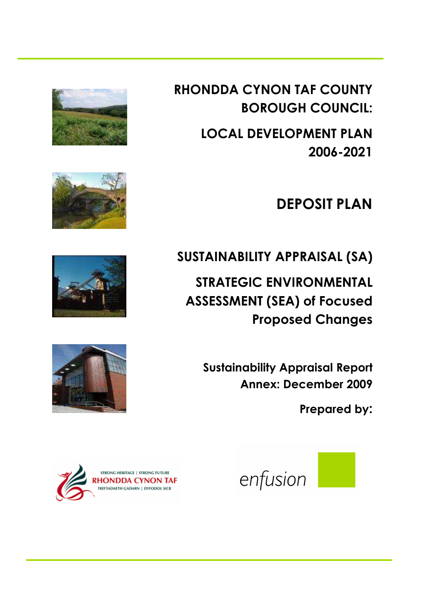RHONDDA CYNON TAF COUNTY BOROUGH COUNCIL:

> LOCAL DEVELOPMENT PLAN 2006-2021

> > DEPOSIT PLAN

SUSTAINABILITY APPRAISAL (SA)

STRATEGIC ENVIRONMENTAL ASSESSMENT (SEA) of Focused Proposed Changes

Sustainability Appraisal Report Annex: December 2009

Prepared by:











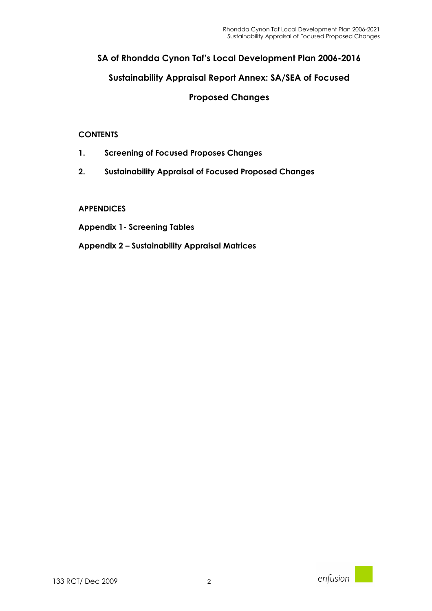## SA of Rhondda Cynon Taf's Local Development Plan 2006-2016

### Sustainability Appraisal Report Annex: SA/SEA of Focused

### Proposed Changes

#### **CONTENTS**

- 1. Screening of Focused Proposes Changes
- 2. Sustainability Appraisal of Focused Proposed Changes

#### APPENDICES

- Appendix 1- Screening Tables
- Appendix 2 Sustainability Appraisal Matrices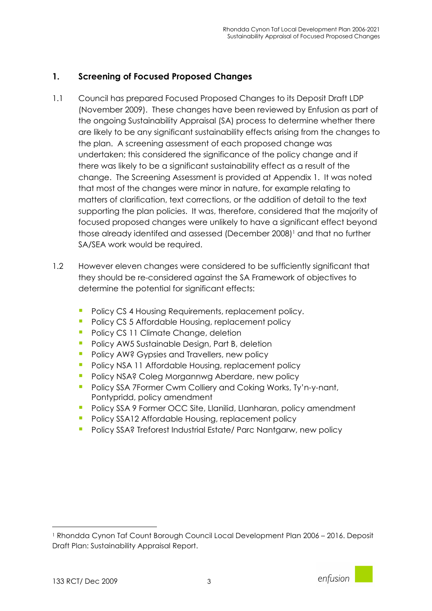## 1. Screening of Focused Proposed Changes

- 1.1 Council has prepared Focused Proposed Changes to its Deposit Draft LDP (November 2009). These changes have been reviewed by Enfusion as part of the ongoing Sustainability Appraisal (SA) process to determine whether there are likely to be any significant sustainability effects arising from the changes to the plan. A screening assessment of each proposed change was undertaken; this considered the significance of the policy change and if there was likely to be a significant sustainability effect as a result of the change. The Screening Assessment is provided at Appendix 1. It was noted that most of the changes were minor in nature, for example relating to matters of clarification, text corrections, or the addition of detail to the text supporting the plan policies. It was, therefore, considered that the majority of focused proposed changes were unlikely to have a significant effect beyond those already identifed and assessed (December 2008) 1 and that no further SA/SEA work would be required.
- 1.2 However eleven changes were considered to be sufficiently significant that they should be re-considered against the SA Framework of objectives to determine the potential for significant effects:
	- **Policy CS 4 Housing Requirements, replacement policy.**
	- **Policy CS 5 Affordable Housing, replacement policy**
	- Policy CS 11 Climate Change, deletion
	- **Policy AW5 Sustainable Design, Part B, deletion**
	- **Policy AW? Gypsies and Travellers, new policy**
	- **Policy NSA 11 Affordable Housing, replacement policy**
	- **Policy NSA? Coleg Morgannwg Aberdare, new policy**
	- **Policy SSA 7Former Cwm Colliery and Coking Works, Ty'n-y-nant,** Pontypridd, policy amendment
	- Policy SSA 9 Former OCC Site, Llanilid, Llanharan, policy amendment
	- Policy SSA12 Affordable Housing, replacement policy
	- **Policy SSA? Treforest Industrial Estate/ Parc Nantgarw, new policy**

 $\overline{a}$ 



<sup>1</sup> Rhondda Cynon Taf Count Borough Council Local Development Plan 2006 – 2016. Deposit Draft Plan: Sustainability Appraisal Report.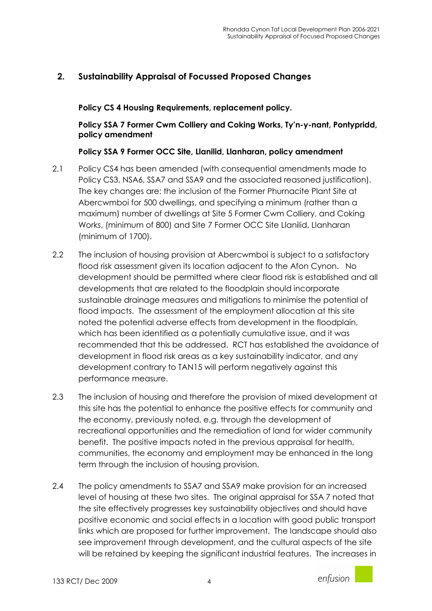# 2. Sustainability Appraisal of Focussed Proposed Changes

Policy CS 4 Housing Requirements, replacement policy.

Policy SSA 7 Former Cwm Colliery and Coking Works, Ty'n-y-nant, Pontypridd, policy amendment

#### Policy SSA 9 Former OCC Site, Llanilid, Llanharan, policy amendment

- 2.1 Policy CS4 has been amended (with consequential amendments made to Policy CS3, NSA6, SSA7 and SSA9 and the associated reasoned justification). The key changes are: the inclusion of the Former Phurnacite Plant Site at Abercwmboi for 500 dwellings, and specifying a minimum (rather than a maximum) number of dwellings at Site 5 Former Cwm Colliery, and Coking Works, (minimum of 800) and Site 7 Former OCC Site Llanilid, Llanharan (minimum of 1700).
- 2.2 The inclusion of housing provision at Abercwmboi is subject to a satisfactory flood risk assessment given its location adjacent to the Afon Cynon. No development should be permitted where clear flood risk is established and all developments that are related to the floodplain should incorporate sustainable drainage measures and mitigations to minimise the potential of flood impacts. The assessment of the employment allocation at this site noted the potential adverse effects from development in the floodplain, which has been identified as a potentially cumulative issue, and it was recommended that this be addressed. RCT has established the avoidance of development in flood risk areas as a key sustainability indicator, and any development contrary to TAN15 will perform negatively against this performance measure.
- 2.3 The inclusion of housing and therefore the provision of mixed development at this site has the potential to enhance the positive effects for community and the economy, previously noted, e.g. through the development of recreational opportunities and the remediation of land for wider community benefit. The positive impacts noted in the previous appraisal for health, communities, the economy and employment may be enhanced in the long term through the inclusion of housing provision.
- 2.4 The policy amendments to SSA7 and SSA9 make provision for an increased level of housing at these two sites. The original appraisal for SSA 7 noted that the site effectively progresses key sustainability objectives and should have positive economic and social effects in a location with good public transport links which are proposed for further improvement. The landscape should also see improvement through development, and the cultural aspects of the site will be retained by keeping the significant industrial features. The increases in

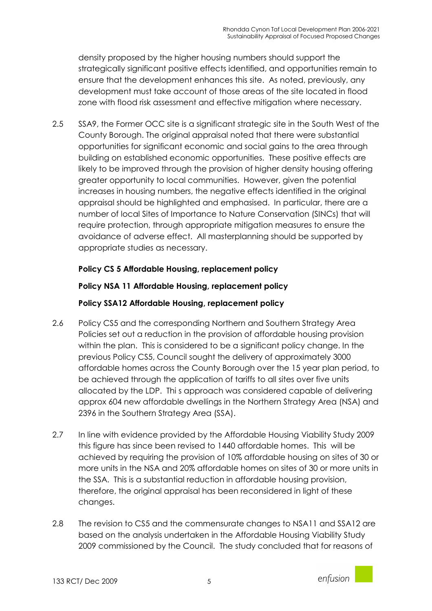density proposed by the higher housing numbers should support the strategically significant positive effects identified, and opportunities remain to ensure that the development enhances this site. As noted, previously, any development must take account of those areas of the site located in flood zone with flood risk assessment and effective mitigation where necessary.

2.5 SSA9, the Former OCC site is a significant strategic site in the South West of the County Borough. The original appraisal noted that there were substantial opportunities for significant economic and social gains to the area through building on established economic opportunities. These positive effects are likely to be improved through the provision of higher density housing offering greater opportunity to local communities. However, given the potential increases in housing numbers, the negative effects identified in the original appraisal should be highlighted and emphasised. In particular, there are a number of local Sites of Importance to Nature Conservation (SINCs) that will require protection, through appropriate mitigation measures to ensure the avoidance of adverse effect. All masterplanning should be supported by appropriate studies as necessary.

## Policy CS 5 Affordable Housing, replacement policy

### Policy NSA 11 Affordable Housing, replacement policy

### Policy SSA12 Affordable Housing, replacement policy

- 2.6 Policy CS5 and the corresponding Northern and Southern Strategy Area Policies set out a reduction in the provision of affordable housing provision within the plan. This is considered to be a significant policy change. In the previous Policy CS5, Council sought the delivery of approximately 3000 affordable homes across the County Borough over the 15 year plan period, to be achieved through the application of tariffs to all sites over five units allocated by the LDP. Thi s approach was considered capable of delivering approx 604 new affordable dwellings in the Northern Strategy Area (NSA) and 2396 in the Southern Strategy Area (SSA).
- 2.7 In line with evidence provided by the Affordable Housing Viability Study 2009 this figure has since been revised to 1440 affordable homes. This will be achieved by requiring the provision of 10% affordable housing on sites of 30 or more units in the NSA and 20% affordable homes on sites of 30 or more units in the SSA. This is a substantial reduction in affordable housing provision, therefore, the original appraisal has been reconsidered in light of these changes.
- 2.8 The revision to CS5 and the commensurate changes to NSA11 and SSA12 are based on the analysis undertaken in the Affordable Housing Viability Study 2009 commissioned by the Council. The study concluded that for reasons of

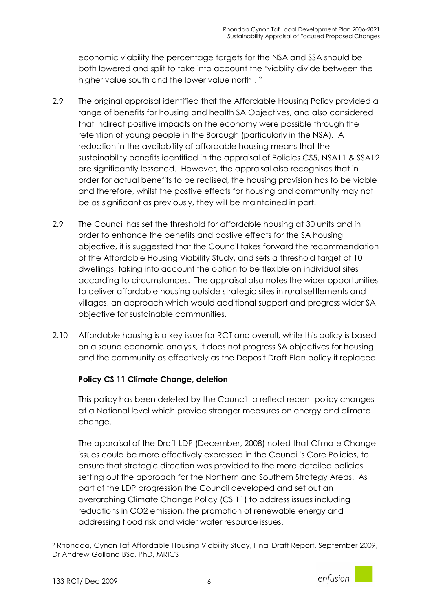economic viability the percentage targets for the NSA and SSA should be both lowered and split to take into account the 'viablity divide between the higher value south and the lower value north'. <sup>2</sup>

- 2.9 The original appraisal identified that the Affordable Housing Policy provided a range of benefits for housing and health SA Objectives, and also considered that indirect positive impacts on the economy were possible through the retention of young people in the Borough (particularly in the NSA). A reduction in the availability of affordable housing means that the sustainability benefits identified in the appraisal of Policies CS5, NSA11 & SSA12 are significantly lessened. However, the appraisal also recognises that in order for actual benefits to be realised, the housing provision has to be viable and therefore, whilst the postive effects for housing and community may not be as significant as previously, they will be maintained in part.
- 2.9 The Council has set the threshold for affordable housing at 30 units and in order to enhance the benefits and postive effects for the SA housing objective, it is suggested that the Council takes forward the recommendation of the Affordable Housing Viability Study, and sets a threshold target of 10 dwellings, taking into account the option to be flexible on individual sites according to circumstances. The appraisal also notes the wider opportunities to deliver affordable housing outside strategic sites in rural settlements and villages, an approach which would additional support and progress wider SA objective for sustainable communities.
- 2.10 Affordable housing is a key issue for RCT and overall, while this policy is based on a sound economic analysis, it does not progress SA objectives for housing and the community as effectively as the Deposit Draft Plan policy it replaced.

## Policy CS 11 Climate Change, deletion

This policy has been deleted by the Council to reflect recent policy changes at a National level which provide stronger measures on energy and climate change.

The appraisal of the Draft LDP (December, 2008) noted that Climate Change issues could be more effectively expressed in the Council's Core Policies, to ensure that strategic direction was provided to the more detailed policies setting out the approach for the Northern and Southern Strategy Areas. As part of the LDP progression the Council developed and set out an overarching Climate Change Policy (CS 11) to address issues including reductions in CO2 emission, the promotion of renewable energy and addressing flood risk and wider water resource issues.

l



<sup>2</sup> Rhondda, Cynon Taf Affordable Housing Viability Study, Final Draft Report, September 2009, Dr Andrew Golland BSc, PhD, MRICS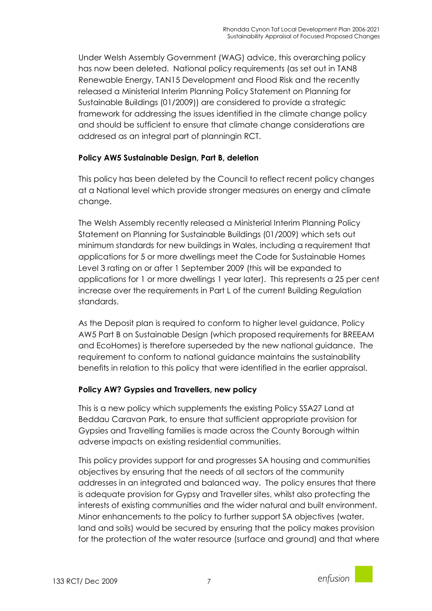Under Welsh Assembly Government (WAG) advice, this overarching policy has now been deleted. National policy requirements (as set out in TAN8 Renewable Energy, TAN15 Development and Flood Risk and the recently released a Ministerial Interim Planning Policy Statement on Planning for Sustainable Buildings (01/2009)) are considered to provide a strategic framework for addressing the issues identified in the climate change policy and should be sufficient to ensure that climate change considerations are addresed as an integral part of planningin RCT.

## Policy AW5 Sustainable Design, Part B, deletion

This policy has been deleted by the Council to reflect recent policy changes at a National level which provide stronger measures on energy and climate change.

The Welsh Assembly recently released a Ministerial Interim Planning Policy Statement on Planning for Sustainable Buildings (01/2009) which sets out minimum standards for new buildings in Wales, including a requirement that applications for 5 or more dwellings meet the Code for Sustainable Homes Level 3 rating on or after 1 September 2009 (this will be expanded to applications for 1 or more dwellings 1 year later). This represents a 25 per cent increase over the requirements in Part L of the current Building Regulation standards.

As the Deposit plan is required to conform to higher level guidance, Policy AW5 Part B on Sustainable Design (which proposed requirements for BREEAM and EcoHomes) is therefore superseded by the new national guidance. The requirement to conform to national guidance maintains the sustainability benefits in relation to this policy that were identified in the earlier appraisal.

## Policy AW? Gypsies and Travellers, new policy

This is a new policy which supplements the existing Policy SSA27 Land at Beddau Caravan Park, to ensure that sufficient appropriate provision for Gypsies and Travelling families is made across the County Borough within adverse impacts on existing residential communities.

This policy provides support for and progresses SA housing and communities objectives by ensuring that the needs of all sectors of the community addresses in an integrated and balanced way. The policy ensures that there is adequate provision for Gypsy and Traveller sites, whilst also protecting the interests of existing communities and the wider natural and built environment. Minor enhancements to the policy to further support SA objectives (water, land and soils) would be secured by ensuring that the policy makes provision for the protection of the water resource (surface and ground) and that where

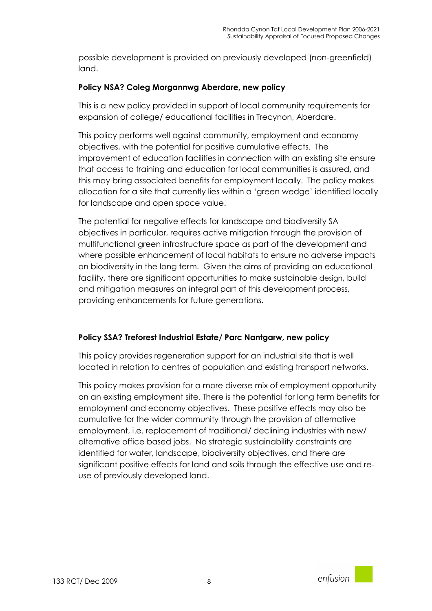possible development is provided on previously developed (non-greenfield) land.

### Policy NSA? Coleg Morgannwg Aberdare, new policy

This is a new policy provided in support of local community requirements for expansion of college/ educational facilities in Trecynon, Aberdare.

This policy performs well against community, employment and economy objectives, with the potential for positive cumulative effects. The improvement of education facilities in connection with an existing site ensure that access to training and education for local communities is assured, and this may bring associated benefits for employment locally. The policy makes allocation for a site that currently lies within a 'green wedge' identified locally for landscape and open space value.

The potential for negative effects for landscape and biodiversity SA objectives in particular, requires active mitigation through the provision of multifunctional green infrastructure space as part of the development and where possible enhancement of local habitats to ensure no adverse impacts on biodiversity in the long term. Given the aims of providing an educational facility, there are significant opportunities to make sustainable design, build and mitigation measures an integral part of this development process, providing enhancements for future generations.

#### Policy SSA? Treforest Industrial Estate/ Parc Nantgarw, new policy

This policy provides regeneration support for an industrial site that is well located in relation to centres of population and existing transport networks.

This policy makes provision for a more diverse mix of employment opportunity on an existing employment site. There is the potential for long term benefits for employment and economy objectives. These positive effects may also be cumulative for the wider community through the provision of alternative employment, i.e. replacement of traditional/ declining industries with new/ alternative office based jobs. No strategic sustainability constraints are identified for water, landscape, biodiversity objectives, and there are significant positive effects for land and soils through the effective use and reuse of previously developed land.

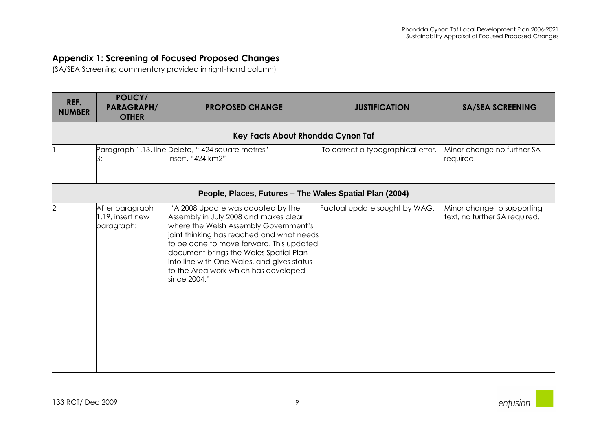## Appendix 1: Screening of Focused Proposed Changes

(SA/SEA Screening commentary provided in right-hand column)

| REF.<br><b>NUMBER</b> | POLICY/<br><b>PARAGRAPH/</b><br><b>OTHER</b>      | <b>PROPOSED CHANGE</b>                                                                                                                                                                                                                                                                                                                                       | <b>JUSTIFICATION</b>              | <b>SA/SEA SCREENING</b>                                     |
|-----------------------|---------------------------------------------------|--------------------------------------------------------------------------------------------------------------------------------------------------------------------------------------------------------------------------------------------------------------------------------------------------------------------------------------------------------------|-----------------------------------|-------------------------------------------------------------|
|                       |                                                   | Key Facts About Rhondda Cynon Taf                                                                                                                                                                                                                                                                                                                            |                                   |                                                             |
|                       | З:                                                | Paragraph 1.13, line Delete, "424 square metres"<br>Insert, "424 km2"                                                                                                                                                                                                                                                                                        | To correct a typographical error. | Minor change no further SA<br>required.                     |
|                       |                                                   | People, Places, Futures - The Wales Spatial Plan (2004)                                                                                                                                                                                                                                                                                                      |                                   |                                                             |
| 2                     | After paragraph<br>1.19, insert new<br>paragraph: | "A 2008 Update was adopted by the<br>Assembly in July 2008 and makes clear<br>where the Welsh Assembly Government's<br>joint thinking has reached and what needs<br>to be done to move forward. This updated<br>document brings the Wales Spatial Plan<br>into line with One Wales, and gives status<br>to the Area work which has developed<br>since 2004." | Factual update sought by WAG.     | Minor change to supporting<br>text, no further SA required. |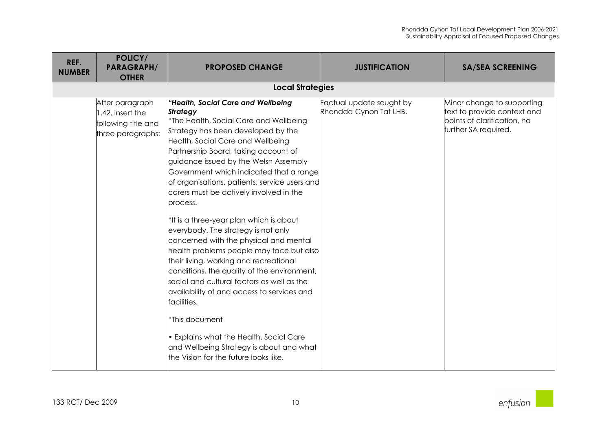| REF.<br><b>NUMBER</b> | POLICY/<br><b>PARAGRAPH/</b><br><b>OTHER</b>                                    | <b>PROPOSED CHANGE</b>                                                                                                                                                                                                                                                                                                                                                                                                                                                                                                                                                                                                                                                                                                                                                                                                                                                                                                                     | <b>JUSTIFICATION</b>                               | <b>SA/SEA SCREENING</b>                                                                                          |
|-----------------------|---------------------------------------------------------------------------------|--------------------------------------------------------------------------------------------------------------------------------------------------------------------------------------------------------------------------------------------------------------------------------------------------------------------------------------------------------------------------------------------------------------------------------------------------------------------------------------------------------------------------------------------------------------------------------------------------------------------------------------------------------------------------------------------------------------------------------------------------------------------------------------------------------------------------------------------------------------------------------------------------------------------------------------------|----------------------------------------------------|------------------------------------------------------------------------------------------------------------------|
|                       |                                                                                 | <b>Local Strategies</b>                                                                                                                                                                                                                                                                                                                                                                                                                                                                                                                                                                                                                                                                                                                                                                                                                                                                                                                    |                                                    |                                                                                                                  |
|                       | After paragraph<br>1.42, insert the<br>following title and<br>three paragraphs: | "Health, Social Care and Wellbeing<br><b>Strategy</b><br>"The Health, Social Care and Wellbeing<br>Strategy has been developed by the<br>Health, Social Care and Wellbeing<br>Partnership Board, taking account of<br>guidance issued by the Welsh Assembly<br>Government which indicated that a range<br>of organisations, patients, service users and<br>carers must be actively involved in the<br>process.<br>"It is a three-year plan which is about<br>everybody. The strategy is not only<br>concerned with the physical and mental<br>health problems people may face but also<br>their living, working and recreational<br>conditions, the quality of the environment,<br>social and cultural factors as well as the<br>availability of and access to services and<br>facilities.<br>"This document<br>Explains what the Health, Social Care<br>and Wellbeing Strategy is about and what<br>the Vision for the future looks like. | Factual update sought by<br>Rhondda Cynon Taf LHB. | Minor change to supporting<br>text to provide context and<br>points of clarification, no<br>further SA required. |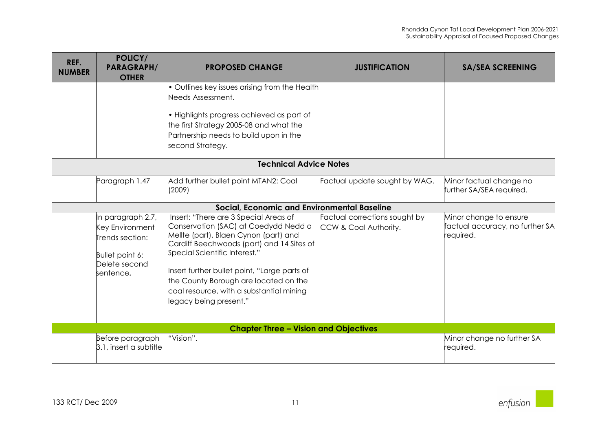| REF.<br><b>NUMBER</b> | POLICY/<br><b>PARAGRAPH/</b><br><b>OTHER</b>                                                             | <b>PROPOSED CHANGE</b>                                                                                                                                                                                                                                                                                                                                              | <b>JUSTIFICATION</b>                                   | <b>SA/SEA SCREENING</b>                                               |
|-----------------------|----------------------------------------------------------------------------------------------------------|---------------------------------------------------------------------------------------------------------------------------------------------------------------------------------------------------------------------------------------------------------------------------------------------------------------------------------------------------------------------|--------------------------------------------------------|-----------------------------------------------------------------------|
|                       |                                                                                                          | • Outlines key issues arising from the Health<br>Needs Assessment.<br>. Highlights progress achieved as part of<br>the first Strategy 2005-08 and what the<br>Partnership needs to build upon in the<br>second Strategy.                                                                                                                                            |                                                        |                                                                       |
|                       |                                                                                                          | <b>Technical Advice Notes</b>                                                                                                                                                                                                                                                                                                                                       |                                                        |                                                                       |
|                       | Paragraph 1.47                                                                                           | Add further bullet point MTAN2: Coal<br>(2009)                                                                                                                                                                                                                                                                                                                      | Factual update sought by WAG.                          | Minor factual change no<br>further SA/SEA required.                   |
|                       |                                                                                                          | Social, Economic and Environmental Baseline                                                                                                                                                                                                                                                                                                                         |                                                        |                                                                       |
|                       | In paragraph 2.7,<br>Key Environment<br>Trends section:<br>Bullet point 6:<br>Delete second<br>sentence. | Insert: "There are 3 Special Areas of<br>Conservation (SAC) at Coedydd Nedd a<br>Mellte (part), Blaen Cynon (part) and<br>Cardiff Beechwoods (part) and 14 Sites of<br>Special Scientific Interest."<br>Insert further bullet point, "Large parts of<br>the County Borough are located on the<br>coal resource, with a substantial mining<br>legacy being present." | Factual corrections sought by<br>CCW & Coal Authority. | Minor change to ensure<br>factual accuracy, no further SA<br>equired. |
|                       |                                                                                                          | <b>Chapter Three - Vision and Objectives</b>                                                                                                                                                                                                                                                                                                                        |                                                        |                                                                       |
|                       | Before paragraph<br>3.1, insert a subtitle                                                               | "Vision".                                                                                                                                                                                                                                                                                                                                                           |                                                        | Minor change no further SA<br>equired.                                |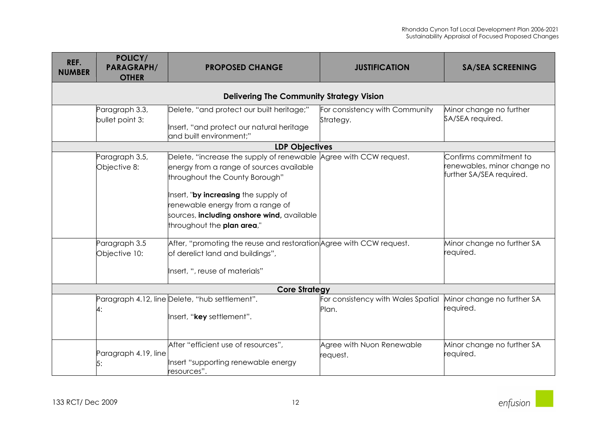| REF.          | POLICY/<br><b>PARAGRAPH/</b>                                     | <b>PROPOSED CHANGE</b>                                                                                                                                                                                                                                                                                                                                                                                             | <b>JUSTIFICATION</b>                        | <b>SA/SEA SCREENING</b>                                                                                                      |
|---------------|------------------------------------------------------------------|--------------------------------------------------------------------------------------------------------------------------------------------------------------------------------------------------------------------------------------------------------------------------------------------------------------------------------------------------------------------------------------------------------------------|---------------------------------------------|------------------------------------------------------------------------------------------------------------------------------|
| <b>NUMBER</b> | <b>OTHER</b>                                                     |                                                                                                                                                                                                                                                                                                                                                                                                                    |                                             |                                                                                                                              |
|               |                                                                  | <b>Delivering The Community Strategy Vision</b>                                                                                                                                                                                                                                                                                                                                                                    |                                             |                                                                                                                              |
|               | Paragraph 3.3,<br>bullet point 3:                                | Delete, "and protect our built heritage;"<br>Insert, "and protect our natural heritage<br>and built environment;"                                                                                                                                                                                                                                                                                                  | For consistency with Community<br>Strategy. | Minor change no further<br>SA/SEA required.                                                                                  |
|               |                                                                  | <b>LDP Objectives</b>                                                                                                                                                                                                                                                                                                                                                                                              |                                             |                                                                                                                              |
|               | Paragraph 3.5,<br>Objective 8:<br>Paragraph 3.5<br>Objective 10: | Delete, "increase the supply of renewable Agree with CCW request.<br>energy from a range of sources available<br>throughout the County Borough"<br>Insert, "by increasing the supply of<br>renewable energy from a range of<br>sources, including onshore wind, available<br>throughout the plan area,"<br>After, "promoting the reuse and restoration Agree with CCW request.<br>of derelict land and buildings", |                                             | Confirms commitment to<br>renewables, minor change no<br>further SA/SEA required.<br>Minor change no further SA<br>required. |
|               |                                                                  | Insert, ", reuse of materials"                                                                                                                                                                                                                                                                                                                                                                                     |                                             |                                                                                                                              |
|               |                                                                  | <b>Core Strategy</b>                                                                                                                                                                                                                                                                                                                                                                                               |                                             |                                                                                                                              |
|               | 4:                                                               | Paragraph 4.12, line Delete, "hub settlement".<br>Insert, "key settlement".                                                                                                                                                                                                                                                                                                                                        | For consistency with Wales Spatial<br>Plan. | Minor change no further SA<br>required.                                                                                      |
|               | Paragraph 4.19, line<br>5:                                       | After "efficient use of resources",<br>Insert "supporting renewable energy<br>resources".                                                                                                                                                                                                                                                                                                                          | Agree with Nuon Renewable<br>request.       | Minor change no further SA<br>required.                                                                                      |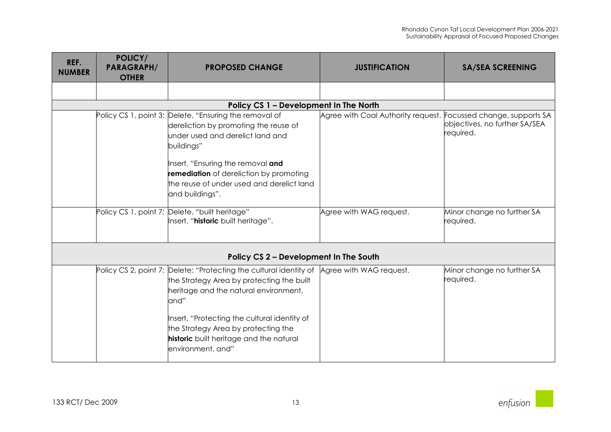| REF.<br><b>NUMBER</b> | POLICY/<br><b>PARAGRAPH/</b><br><b>OTHER</b> | <b>PROPOSED CHANGE</b>                                                                                                                                                                                                                                                                                                                          | <b>JUSTIFICATION</b>                                            | <b>SA/SEA SCREENING</b>                    |
|-----------------------|----------------------------------------------|-------------------------------------------------------------------------------------------------------------------------------------------------------------------------------------------------------------------------------------------------------------------------------------------------------------------------------------------------|-----------------------------------------------------------------|--------------------------------------------|
|                       |                                              |                                                                                                                                                                                                                                                                                                                                                 |                                                                 |                                            |
|                       |                                              | Policy CS 1 - Development In The North                                                                                                                                                                                                                                                                                                          |                                                                 |                                            |
|                       |                                              | Policy CS 1, point 3: Delete, "Ensuring the removal of<br>dereliction by promoting the reuse of<br>under used and derelict land and<br>buildings"<br>Insert, "Ensuring the removal and<br>remediation of dereliction by promoting<br>the reuse of under used and derelict land<br>and buildings".                                               | Agree with Coal Authority request. Focussed change, supports SA | objectives, no further SA/SEA<br>required. |
|                       |                                              | Policy CS 1, point 7: Delete, "built heritage"<br>Insert, "historic built heritage".                                                                                                                                                                                                                                                            | Agree with WAG request.                                         | Minor change no further SA<br>required.    |
|                       |                                              | Policy CS 2 - Development In The South                                                                                                                                                                                                                                                                                                          |                                                                 |                                            |
|                       |                                              | Policy CS 2, point 7: Delete: "Protecting the cultural identity of Agree with WAG request.<br>the Strategy Area by protecting the built<br>heritage and the natural environment,<br>and"<br>Insert, "Protecting the cultural identity of<br>the Strategy Area by protecting the<br>historic built heritage and the natural<br>environment, and" |                                                                 | Minor change no further SA<br>required.    |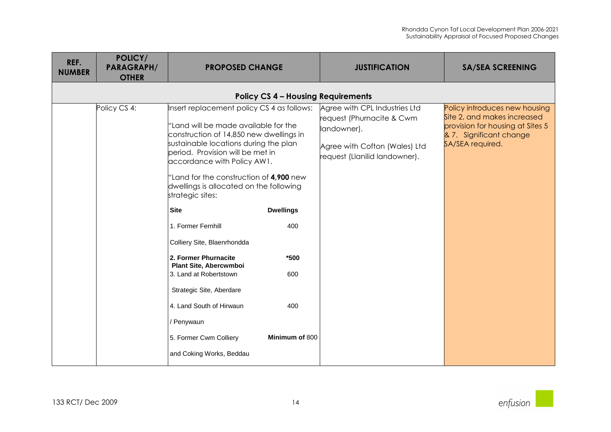| REF.<br><b>NUMBER</b> | POLICY/<br><b>PARAGRAPH/</b><br><b>OTHER</b> | <b>PROPOSED CHANGE</b>                                                                                                                                                                                                                                                                                                                                                                                                                                                                                                                                                                                                          |                                                                 | <b>JUSTIFICATION</b>                                                                                                                        | <b>SA/SEA SCREENING</b>                                                                                                                         |
|-----------------------|----------------------------------------------|---------------------------------------------------------------------------------------------------------------------------------------------------------------------------------------------------------------------------------------------------------------------------------------------------------------------------------------------------------------------------------------------------------------------------------------------------------------------------------------------------------------------------------------------------------------------------------------------------------------------------------|-----------------------------------------------------------------|---------------------------------------------------------------------------------------------------------------------------------------------|-------------------------------------------------------------------------------------------------------------------------------------------------|
|                       |                                              |                                                                                                                                                                                                                                                                                                                                                                                                                                                                                                                                                                                                                                 |                                                                 | <b>Policy CS 4 - Housing Requirements</b>                                                                                                   |                                                                                                                                                 |
|                       | Policy CS 4:                                 | Insert replacement policy CS 4 as follows:<br>"Land will be made available for the<br>construction of 14,850 new dwellings in<br>sustainable locations during the plan<br>period. Provision will be met in<br>accordance with Policy AW1.<br>"Land for the construction of 4,900 new<br>dwellings is allocated on the following<br>strategic sites:<br><b>Site</b><br>1. Former Fernhill<br>Colliery Site, Blaenrhondda<br>2. Former Phurnacite<br>Plant Site, Abercwmboi<br>3. Land at Robertstown<br>Strategic Site, Aberdare<br>4. Land South of Hirwaun<br>/ Penywaun<br>5. Former Cwm Colliery<br>and Coking Works, Beddau | <b>Dwellings</b><br>400<br>*500<br>600<br>400<br>Minimum of 800 | Agree with CPL Industries Ltd<br>request (Phurnacite & Cwm<br>landowner).<br>Agree with Cofton (Wales) Ltd<br>request (Llanilid landowner). | Policy introduces new housing<br>Site 2, and makes increased<br>provision for housing at Sites 5<br>& 7. Significant change<br>SA/SEA required. |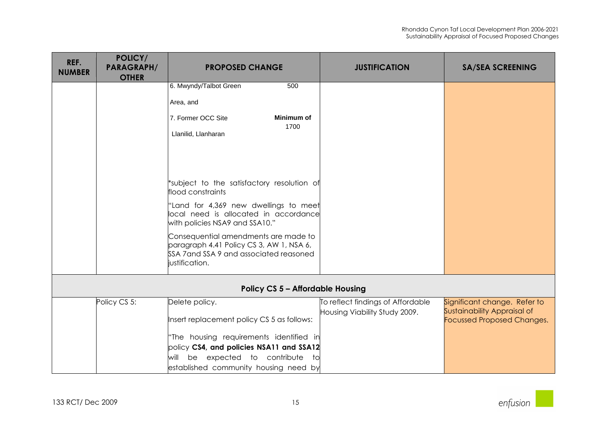| REF.<br><b>NUMBER</b> | POLICY/<br><b>PARAGRAPH/</b><br><b>OTHER</b> | <b>PROPOSED CHANGE</b>                                                                                                                        | <b>JUSTIFICATION</b>              | <b>SA/SEA SCREENING</b>                                          |
|-----------------------|----------------------------------------------|-----------------------------------------------------------------------------------------------------------------------------------------------|-----------------------------------|------------------------------------------------------------------|
|                       |                                              | 6. Mwyndy/Talbot Green<br>500                                                                                                                 |                                   |                                                                  |
|                       |                                              | Area, and                                                                                                                                     |                                   |                                                                  |
|                       |                                              | 7. Former OCC Site<br>Minimum of                                                                                                              |                                   |                                                                  |
|                       |                                              | 1700<br>Llanilid, Llanharan                                                                                                                   |                                   |                                                                  |
|                       |                                              |                                                                                                                                               |                                   |                                                                  |
|                       |                                              | *subject to the satisfactory resolution of<br>flood constraints                                                                               |                                   |                                                                  |
|                       |                                              | "Land for 4,369 new dwellings to meet<br>local need is allocated in accordance<br>with policies NSA9 and SSA10."                              |                                   |                                                                  |
|                       |                                              | Consequential amendments are made to<br>paragraph 4.41 Policy CS 3, AW 1, NSA 6,<br>SSA 7 and SSA 9 and associated reasoned<br>justification. |                                   |                                                                  |
|                       |                                              | <b>Policy CS 5 - Affordable Housing</b>                                                                                                       |                                   |                                                                  |
|                       | Policy CS 5:                                 | Delete policy.                                                                                                                                | To reflect findings of Affordable | Significant change. Refer to                                     |
|                       |                                              | Insert replacement policy CS 5 as follows:                                                                                                    | Housing Viability Study 2009.     | Sustainability Appraisal of<br><b>Focussed Proposed Changes.</b> |
|                       |                                              | "The housing requirements identified in                                                                                                       |                                   |                                                                  |
|                       |                                              | policy CS4, and policies NSA11 and SSA12                                                                                                      |                                   |                                                                  |
|                       |                                              | be expected to contribute to<br>will                                                                                                          |                                   |                                                                  |
|                       |                                              | established community housing need by                                                                                                         |                                   |                                                                  |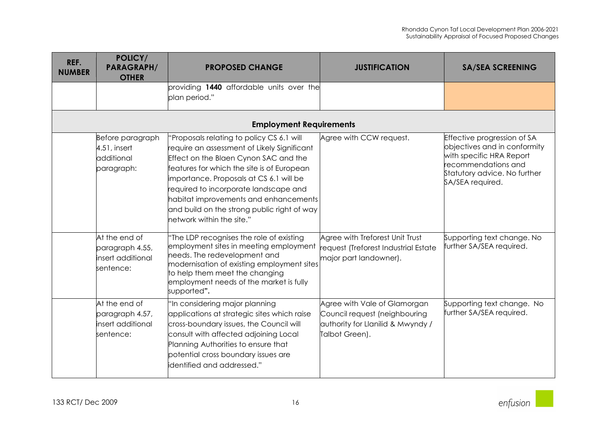| REF.<br><b>NUMBER</b> | POLICY/<br><b>PARAGRAPH/</b><br><b>OTHER</b>                       | <b>PROPOSED CHANGE</b>                                                                                                                                                                                                                                                                                                                                                                   | <b>JUSTIFICATION</b>                                                                                                 | <b>SA/SEA SCREENING</b>                                                                                                                                            |
|-----------------------|--------------------------------------------------------------------|------------------------------------------------------------------------------------------------------------------------------------------------------------------------------------------------------------------------------------------------------------------------------------------------------------------------------------------------------------------------------------------|----------------------------------------------------------------------------------------------------------------------|--------------------------------------------------------------------------------------------------------------------------------------------------------------------|
|                       |                                                                    | providing 1440 affordable units over the<br>plan period."                                                                                                                                                                                                                                                                                                                                |                                                                                                                      |                                                                                                                                                                    |
|                       |                                                                    | <b>Employment Requirements</b>                                                                                                                                                                                                                                                                                                                                                           |                                                                                                                      |                                                                                                                                                                    |
|                       | Before paragraph<br>4.51, insert<br>additional<br>paragraph:       | "Proposals relating to policy CS 6.1 will<br>require an assessment of Likely Significant<br>Effect on the Blaen Cynon SAC and the<br>features for which the site is of European<br>importance. Proposals at CS 6.1 will be<br>required to incorporate landscape and<br>habitat improvements and enhancements<br>and build on the strong public right of way<br>network within the site." | Agree with CCW request.                                                                                              | Effective progression of SA<br>objectives and in conformity<br>with specific HRA Report<br>recommendations and<br>Statutory advice. No further<br>SA/SEA required. |
|                       | At the end of<br>paragraph 4.55,<br>insert additional<br>sentence: | "The LDP recognises the role of existing<br>employment sites in meeting employment<br>needs. The redevelopment and<br>modernisation of existing employment sites<br>to help them meet the changing<br>employment needs of the market is fully<br>supported".                                                                                                                             | Agree with Treforest Unit Trust<br>request (Treforest Industrial Estate<br>major part landowner).                    | Supporting text change. No<br>further SA/SEA required.                                                                                                             |
|                       | At the end of<br>paragraph 4.57,<br>insert additional<br>sentence: | "In considering major planning<br>applications at strategic sites which raise<br>cross-boundary issues, the Council will<br>consult with affected adjoining Local<br>Planning Authorities to ensure that<br>potential cross boundary issues are<br>identified and addressed."                                                                                                            | Agree with Vale of Glamorgan<br>Council request (neighbouring<br>authority for Llanilid & Mwyndy /<br>Talbot Green). | Supporting text change. No<br>further SA/SEA required.                                                                                                             |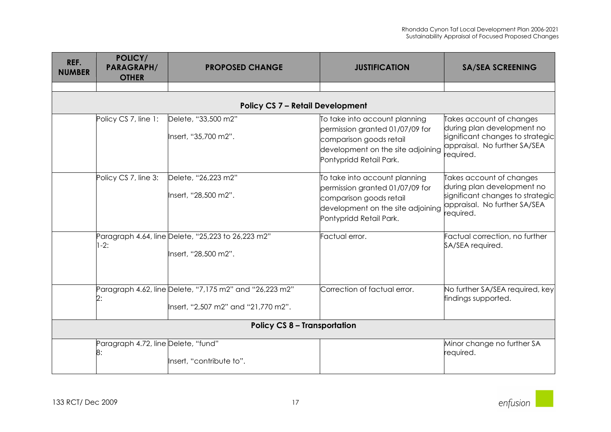| REF.<br><b>NUMBER</b>               | POLICY/<br><b>PARAGRAPH/</b><br><b>OTHER</b> | <b>PROPOSED CHANGE</b>                                                                         | <b>JUSTIFICATION</b>                                                                                                                                        | <b>SA/SEA SCREENING</b>                                                                                                                 |
|-------------------------------------|----------------------------------------------|------------------------------------------------------------------------------------------------|-------------------------------------------------------------------------------------------------------------------------------------------------------------|-----------------------------------------------------------------------------------------------------------------------------------------|
|                                     |                                              |                                                                                                |                                                                                                                                                             |                                                                                                                                         |
|                                     |                                              | <b>Policy CS 7 - Retail Development</b>                                                        |                                                                                                                                                             |                                                                                                                                         |
|                                     | Policy CS 7, line 1:                         | Delete, "33,500 m2"<br>Insert, "35,700 m2".                                                    | To take into account planning<br>permission granted 01/07/09 for<br>comparison goods retail<br>development on the site adjoining<br>Pontypridd Retail Park. | Takes account of changes<br>during plan development no<br>significant changes to strategic<br>appraisal. No further SA/SEA<br>required. |
|                                     | Policy CS 7, line 3:                         | Delete, "26,223 m2"<br>Insert, "28,500 m2".                                                    | To take into account planning<br>permission granted 01/07/09 for<br>comparison goods retail<br>development on the site adjoining<br>Pontypridd Retail Park. | Takes account of changes<br>during plan development no<br>significant changes to strategic<br>appraisal. No further SA/SEA<br>required. |
|                                     | $1-2:$                                       | Paragraph 4.64, line Delete, "25,223 to 26,223 m2"<br>Insert, "28,500 m2".                     | Factual error.                                                                                                                                              | Factual correction, no further<br>SA/SEA required.                                                                                      |
|                                     |                                              | Paragraph 4.62, line Delete, "7,175 m2" and "26,223 m2"<br>lnsert, "2,507 m2" and "21,770 m2". | Correction of factual error.                                                                                                                                | No further SA/SEA required, key<br>findings supported.                                                                                  |
| <b>Policy CS 8 - Transportation</b> |                                              |                                                                                                |                                                                                                                                                             |                                                                                                                                         |
|                                     | Paragraph 4.72, line Delete, "fund"<br>8:    | Insert, "contribute to".                                                                       |                                                                                                                                                             | Minor change no further SA<br>required.                                                                                                 |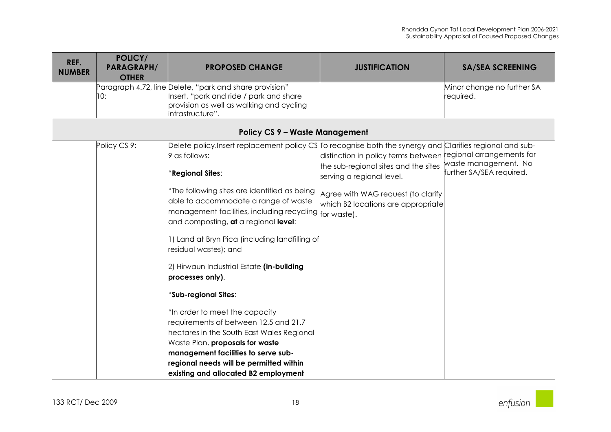| REF.<br><b>NUMBER</b> | <b>POLICY/</b><br><b>PARAGRAPH/</b><br><b>OTHER</b> | <b>PROPOSED CHANGE</b>                                                                                                                                                                                                                                                            | <b>JUSTIFICATION</b>                                                     | <b>SA/SEA SCREENING</b>                                  |
|-----------------------|-----------------------------------------------------|-----------------------------------------------------------------------------------------------------------------------------------------------------------------------------------------------------------------------------------------------------------------------------------|--------------------------------------------------------------------------|----------------------------------------------------------|
|                       | 10:                                                 | Paragraph 4.72, line Delete, "park and share provision"<br>Insert, "park and ride / park and share<br>provision as well as walking and cycling<br>infrastructure".                                                                                                                |                                                                          | Minor change no further SA<br>required.                  |
|                       |                                                     | <b>Policy CS 9 - Waste Management</b>                                                                                                                                                                                                                                             |                                                                          |                                                          |
|                       | Policy CS 9:                                        | Delete policy.Insert replacement policy CS To recognise both the synergy and<br>9 as follows:                                                                                                                                                                                     | distinction in policy terms between                                      | Clarifies regional and sub-<br>regional arrangements for |
|                       |                                                     | Regional Sites:                                                                                                                                                                                                                                                                   | the sub-regional sites and the sites<br>serving a regional level.        | waste management. No<br>further SA/SEA required.         |
|                       |                                                     | "The following sites are identified as being<br>able to accommodate a range of waste<br>$ $ management facilities, including recycling $ _{\rm for\,\, waste)}$ .<br>and composting, at a regional level:                                                                         | Agree with WAG request (to clarify<br>which B2 locations are appropriate |                                                          |
|                       |                                                     | 1) Land at Bryn Pica (including landfilling of<br>residual wastes); and                                                                                                                                                                                                           |                                                                          |                                                          |
|                       |                                                     | 2) Hirwaun Industrial Estate (in-building<br>processes only).                                                                                                                                                                                                                     |                                                                          |                                                          |
|                       |                                                     | 'Sub-regional Sites:                                                                                                                                                                                                                                                              |                                                                          |                                                          |
|                       |                                                     | "In order to meet the capacity<br>requirements of between 12.5 and 21.7<br>hectares in the South East Wales Regional<br>Waste Plan, proposals for waste<br>management facilities to serve sub-<br>regional needs will be permitted within<br>existing and allocated B2 employment |                                                                          |                                                          |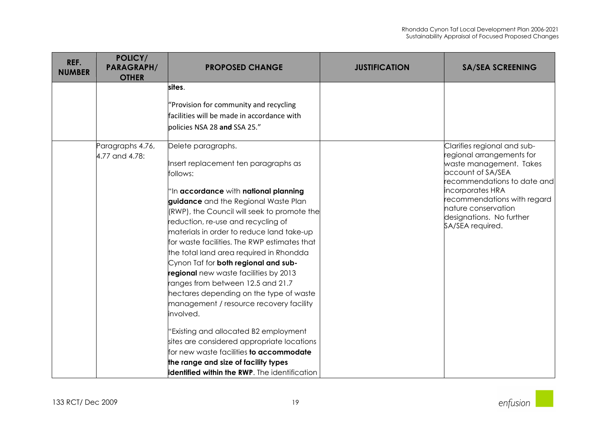| REF.<br><b>NUMBER</b> | POLICY/<br><b>PARAGRAPH/</b><br><b>OTHER</b> | <b>PROPOSED CHANGE</b>                                                                                                                                                                                                                                                                                                                                                                                                                                                                                                                                                                                                                                                                                                                                                                                                                           | <b>JUSTIFICATION</b> | <b>SA/SEA SCREENING</b>                                                                                                                                                                                                                                           |
|-----------------------|----------------------------------------------|--------------------------------------------------------------------------------------------------------------------------------------------------------------------------------------------------------------------------------------------------------------------------------------------------------------------------------------------------------------------------------------------------------------------------------------------------------------------------------------------------------------------------------------------------------------------------------------------------------------------------------------------------------------------------------------------------------------------------------------------------------------------------------------------------------------------------------------------------|----------------------|-------------------------------------------------------------------------------------------------------------------------------------------------------------------------------------------------------------------------------------------------------------------|
|                       |                                              | sites.<br>"Provision for community and recycling<br>facilities will be made in accordance with<br>policies NSA 28 and SSA 25."                                                                                                                                                                                                                                                                                                                                                                                                                                                                                                                                                                                                                                                                                                                   |                      |                                                                                                                                                                                                                                                                   |
|                       | Paragraphs 4.76,<br>4.77 and 4.78:           | Delete paragraphs.<br>Insert replacement ten paragraphs as<br>follows:<br>"In accordance with national planning<br>guidance and the Regional Waste Plan<br>(RWP), the Council will seek to promote the<br>reduction, re-use and recycling of<br>materials in order to reduce land take-up<br>for waste facilities. The RWP estimates that<br>the total land area required in Rhondda<br>Cynon Taf for both regional and sub-<br>regional new waste facilities by 2013<br>ranges from between 12.5 and 21.7<br>hectares depending on the type of waste<br>management / resource recovery facility<br>involved.<br>'Existing and allocated B2 employment<br>sites are considered appropriate locations<br>for new waste facilities to accommodate<br>the range and size of facility types<br><b>identified within the RWP</b> . The identification |                      | Clarifies regional and sub-<br>regional arrangements for<br>waste management. Takes<br>account of SA/SEA<br>recommendations to date and<br>incorporates HRA<br>recommendations with regard<br>nature conservation<br>designations. No further<br>SA/SEA required. |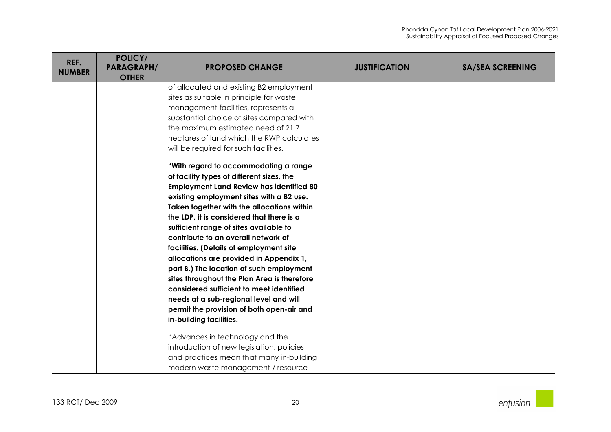| REF.<br><b>NUMBER</b> | POLICY/<br><b>PARAGRAPH/</b><br><b>OTHER</b> | <b>PROPOSED CHANGE</b>                          | <b>JUSTIFICATION</b> | <b>SA/SEA SCREENING</b> |
|-----------------------|----------------------------------------------|-------------------------------------------------|----------------------|-------------------------|
|                       |                                              | of allocated and existing B2 employment         |                      |                         |
|                       |                                              | sites as suitable in principle for waste        |                      |                         |
|                       |                                              | management facilities, represents a             |                      |                         |
|                       |                                              | substantial choice of sites compared with       |                      |                         |
|                       |                                              | the maximum estimated need of 21.7              |                      |                         |
|                       |                                              | hectares of land which the RWP calculates       |                      |                         |
|                       |                                              | will be required for such facilities.           |                      |                         |
|                       |                                              | 'With regard to accommodating a range           |                      |                         |
|                       |                                              | of facility types of different sizes, the       |                      |                         |
|                       |                                              | <b>Employment Land Review has identified 80</b> |                      |                         |
|                       |                                              | existing employment sites with a B2 use.        |                      |                         |
|                       |                                              | Taken together with the allocations within      |                      |                         |
|                       |                                              | the LDP, it is considered that there is a       |                      |                         |
|                       |                                              | sufficient range of sites available to          |                      |                         |
|                       |                                              | contribute to an overall network of             |                      |                         |
|                       |                                              | facilities. (Details of employment site         |                      |                         |
|                       |                                              | allocations are provided in Appendix 1,         |                      |                         |
|                       |                                              | part B.) The location of such employment        |                      |                         |
|                       |                                              | sites throughout the Plan Area is therefore     |                      |                         |
|                       |                                              | considered sufficient to meet identified        |                      |                         |
|                       |                                              | needs at a sub-regional level and will          |                      |                         |
|                       |                                              | permit the provision of both open-air and       |                      |                         |
|                       |                                              | in-building facilities.                         |                      |                         |
|                       |                                              | 'Advances in technology and the                 |                      |                         |
|                       |                                              | introduction of new legislation, policies       |                      |                         |
|                       |                                              | and practices mean that many in-building        |                      |                         |
|                       |                                              | modern waste management / resource              |                      |                         |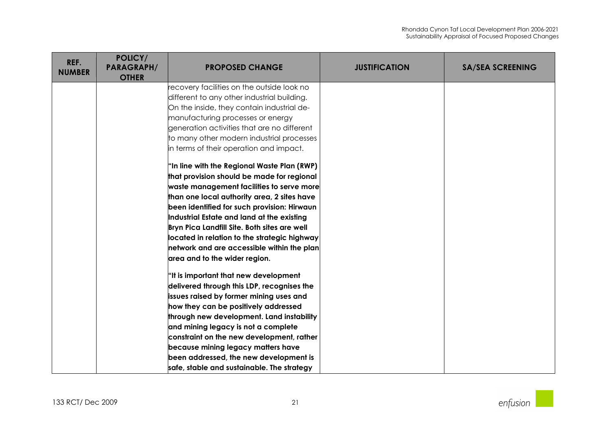| REF.<br><b>NUMBER</b> | POLICY/<br><b>PARAGRAPH/</b><br><b>OTHER</b> | <b>PROPOSED CHANGE</b>                              | <b>JUSTIFICATION</b> | <b>SA/SEA SCREENING</b> |
|-----------------------|----------------------------------------------|-----------------------------------------------------|----------------------|-------------------------|
|                       |                                              | ecovery facilities on the outside look no           |                      |                         |
|                       |                                              | different to any other industrial building.         |                      |                         |
|                       |                                              | On the inside, they contain industrial de-          |                      |                         |
|                       |                                              | manufacturing processes or energy                   |                      |                         |
|                       |                                              | generation activities that are no different         |                      |                         |
|                       |                                              | to many other modern industrial processes           |                      |                         |
|                       |                                              | in terms of their operation and impact.             |                      |                         |
|                       |                                              | "In line with the Regional Waste Plan (RWP)         |                      |                         |
|                       |                                              | that provision should be made for regional          |                      |                         |
|                       |                                              | waste management facilities to serve more           |                      |                         |
|                       |                                              | than one local authority area, 2 sites have         |                      |                         |
|                       |                                              | been identified for such provision: Hirwaun         |                      |                         |
|                       |                                              | Industrial Estate and land at the existing          |                      |                         |
|                       |                                              | Bryn Pica Landfill Site. Both sites are well        |                      |                         |
|                       |                                              | located in relation to the strategic highway $\mid$ |                      |                         |
|                       |                                              | network and are accessible within the plan          |                      |                         |
|                       |                                              | area and to the wider region.                       |                      |                         |
|                       |                                              | "It is important that new development               |                      |                         |
|                       |                                              | delivered through this LDP, recognises the          |                      |                         |
|                       |                                              | issues raised by former mining uses and             |                      |                         |
|                       |                                              | how they can be positively addressed                |                      |                         |
|                       |                                              | through new development. Land instability           |                      |                         |
|                       |                                              | and mining legacy is not a complete                 |                      |                         |
|                       |                                              | constraint on the new development, rather           |                      |                         |
|                       |                                              | because mining legacy matters have                  |                      |                         |
|                       |                                              | been addressed, the new development is              |                      |                         |
|                       |                                              | safe, stable and sustainable. The strategy          |                      |                         |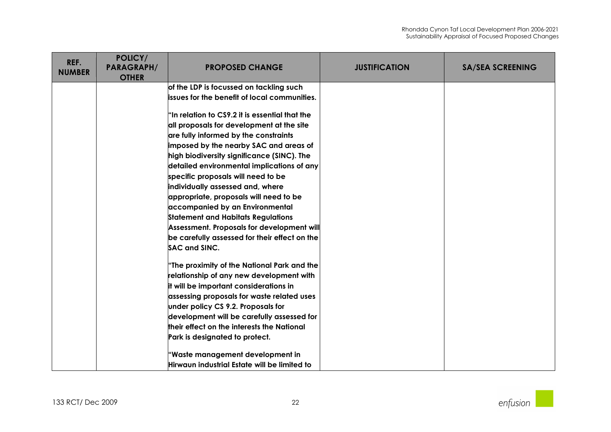| REF.<br><b>NUMBER</b> | POLICY/<br><b>PARAGRAPH/</b><br><b>OTHER</b> | <b>PROPOSED CHANGE</b>                         | <b>JUSTIFICATION</b> | <b>SA/SEA SCREENING</b> |
|-----------------------|----------------------------------------------|------------------------------------------------|----------------------|-------------------------|
|                       |                                              | of the LDP is focussed on tackling such        |                      |                         |
|                       |                                              | lissues for the benefit of local communities.  |                      |                         |
|                       |                                              | "In relation to CS9.2 it is essential that the |                      |                         |
|                       |                                              | all proposals for development at the site      |                      |                         |
|                       |                                              | are fully informed by the constraints          |                      |                         |
|                       |                                              | imposed by the nearby SAC and areas of         |                      |                         |
|                       |                                              | high biodiversity significance (SINC). The     |                      |                         |
|                       |                                              | detailed environmental implications of any     |                      |                         |
|                       |                                              | specific proposals will need to be             |                      |                         |
|                       |                                              | individually assessed and, where               |                      |                         |
|                       |                                              | appropriate, proposals will need to be         |                      |                         |
|                       |                                              | accompanied by an Environmental                |                      |                         |
|                       |                                              | <b>Statement and Habitats Regulations</b>      |                      |                         |
|                       |                                              | Assessment. Proposals for development will     |                      |                         |
|                       |                                              | be carefully assessed for their effect on the  |                      |                         |
|                       |                                              | <b>SAC and SINC.</b>                           |                      |                         |
|                       |                                              | "The proximity of the National Park and the    |                      |                         |
|                       |                                              | relationship of any new development with       |                      |                         |
|                       |                                              | it will be important considerations in         |                      |                         |
|                       |                                              | assessing proposals for waste related uses     |                      |                         |
|                       |                                              | under policy CS 9.2. Proposals for             |                      |                         |
|                       |                                              | development will be carefully assessed for     |                      |                         |
|                       |                                              | their effect on the interests the National     |                      |                         |
|                       |                                              | Park is designated to protect.                 |                      |                         |
|                       |                                              | "Waste management development in               |                      |                         |
|                       |                                              | Hirwaun industrial Estate will be limited to   |                      |                         |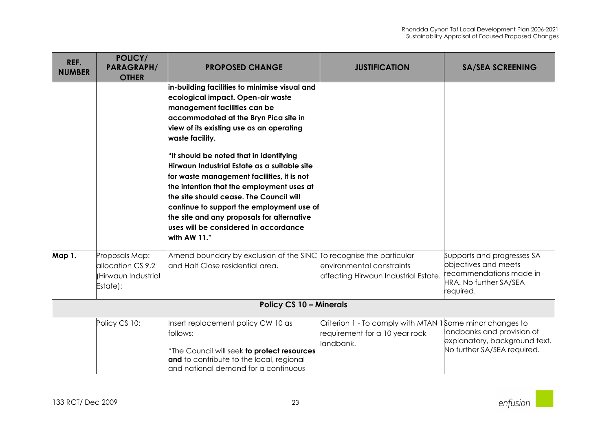| REF.<br><b>NUMBER</b> | POLICY/<br><b>PARAGRAPH/</b><br><b>OTHER</b>                           | <b>PROPOSED CHANGE</b>                                                                                                                                                                                                                                                                                                                                                                                                                                                                                                                                                                                          | <b>JUSTIFICATION</b>                                                                                    | <b>SA/SEA SCREENING</b>                                                                                              |  |
|-----------------------|------------------------------------------------------------------------|-----------------------------------------------------------------------------------------------------------------------------------------------------------------------------------------------------------------------------------------------------------------------------------------------------------------------------------------------------------------------------------------------------------------------------------------------------------------------------------------------------------------------------------------------------------------------------------------------------------------|---------------------------------------------------------------------------------------------------------|----------------------------------------------------------------------------------------------------------------------|--|
|                       |                                                                        | in-building facilities to minimise visual and<br>ecological impact. Open-air waste<br>management facilities can be<br>accommodated at the Bryn Pica site in<br>view of its existing use as an operating<br>waste facility.<br>"It should be noted that in identifying<br>Hirwaun Industrial Estate as a suitable site<br>for waste management facilities, it is not<br>the intention that the employment uses at<br>the site should cease. The Council will<br>continue to support the employment use of<br>the site and any proposals for alternative<br>uses will be considered in accordance<br>with AW 11." |                                                                                                         |                                                                                                                      |  |
| <b>Map 1.</b>         | Proposals Map:<br>allocation CS 9.2<br>(Hirwaun Industrial<br>Estate): | Amend boundary by exclusion of the SINC To recognise the particular<br>and Halt Close residential area.                                                                                                                                                                                                                                                                                                                                                                                                                                                                                                         | environmental constraints<br>affecting Hirwaun Industrial Estate.                                       | Supports and progresses SA<br>objectives and meets<br>recommendations made in<br>HRA. No further SA/SEA<br>required. |  |
|                       | <b>Policy CS 10 - Minerals</b>                                         |                                                                                                                                                                                                                                                                                                                                                                                                                                                                                                                                                                                                                 |                                                                                                         |                                                                                                                      |  |
|                       | Policy CS 10:                                                          | Insert replacement policy CW 10 as<br>follows:<br>'The Council will seek to protect resources<br>and to contribute to the local, regional<br>and national demand for a continuous                                                                                                                                                                                                                                                                                                                                                                                                                               | Criterion 1 - To comply with MTAN 1Some minor changes to<br>requirement for a 10 year rock<br>landbank. | landbanks and provision of<br>explanatory, background text.<br>No further SA/SEA required.                           |  |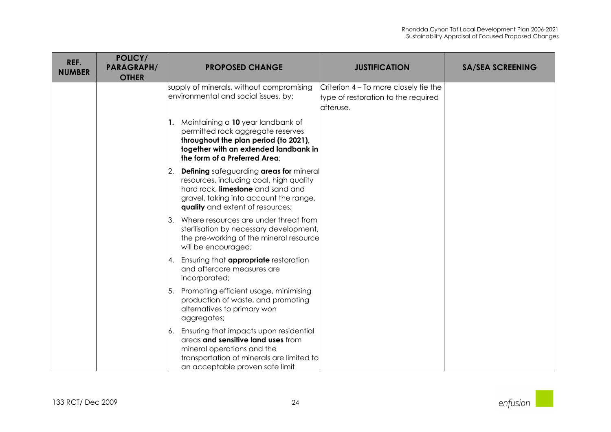| REF.<br><b>NUMBER</b> | POLICY/<br><b>PARAGRAPH/</b><br><b>OTHER</b> | <b>PROPOSED CHANGE</b>                                                                                                                                                                                             | <b>JUSTIFICATION</b>                                                                       | <b>SA/SEA SCREENING</b> |
|-----------------------|----------------------------------------------|--------------------------------------------------------------------------------------------------------------------------------------------------------------------------------------------------------------------|--------------------------------------------------------------------------------------------|-------------------------|
|                       |                                              | supply of minerals, without compromising<br>environmental and social issues, by:                                                                                                                                   | Criterion 4 – To more closely tie the<br>type of restoration to the required<br>lafteruse. |                         |
|                       |                                              | 1. Maintaining a 10 year landbank of<br>permitted rock aggregate reserves<br>throughout the plan period (to 2021),<br>together with an extended landbank in<br>the form of a Preferred Area;                       |                                                                                            |                         |
|                       |                                              | <b>Defining</b> safeguarding areas for mineral<br>2.<br>resources, including coal, high quality<br>hard rock, limestone and sand and<br>gravel, taking into account the range,<br>quality and extent of resources; |                                                                                            |                         |
|                       |                                              | Where resources are under threat from<br>13.<br>sterilisation by necessary development,<br>the pre-working of the mineral resource<br>will be encouraged;                                                          |                                                                                            |                         |
|                       |                                              | Ensuring that <b>appropriate</b> restoration<br>14.<br>and aftercare measures are<br>incorporated;                                                                                                                 |                                                                                            |                         |
|                       |                                              | 5. Promoting efficient usage, minimising<br>production of waste, and promoting<br>alternatives to primary won<br>aggregates;                                                                                       |                                                                                            |                         |
|                       |                                              | Ensuring that impacts upon residential<br>6.<br>areas and sensitive land uses from<br>mineral operations and the<br>transportation of minerals are limited to<br>an acceptable proven safe limit                   |                                                                                            |                         |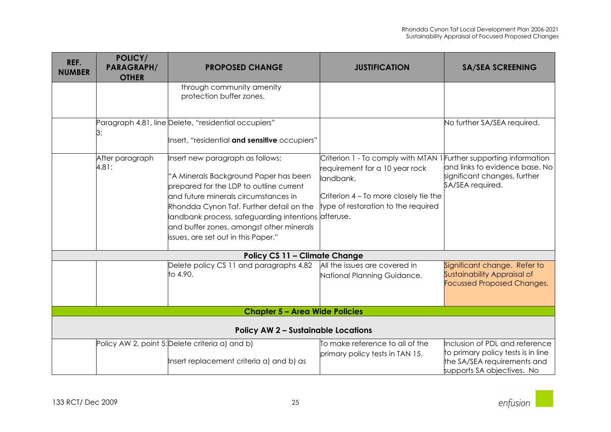| REF.<br><b>NUMBER</b>                      | POLICY/<br><b>PARAGRAPH/</b><br><b>OTHER</b> | <b>PROPOSED CHANGE</b>                                                                                                                                                                                                                                                                                                                             | <b>JUSTIFICATION</b>                                                                                                                                                                              | <b>SA/SEA SCREENING</b>                                                                                                           |
|--------------------------------------------|----------------------------------------------|----------------------------------------------------------------------------------------------------------------------------------------------------------------------------------------------------------------------------------------------------------------------------------------------------------------------------------------------------|---------------------------------------------------------------------------------------------------------------------------------------------------------------------------------------------------|-----------------------------------------------------------------------------------------------------------------------------------|
|                                            |                                              | through community amenity<br>protection buffer zones.                                                                                                                                                                                                                                                                                              |                                                                                                                                                                                                   |                                                                                                                                   |
|                                            | З:                                           | Paragraph 4.81, line Delete, "residential occupiers"<br>Insert, "residential and sensitive occupiers"                                                                                                                                                                                                                                              |                                                                                                                                                                                                   | No further SA/SEA required.                                                                                                       |
|                                            | After paragraph<br>4.81:                     | Insert new paragraph as follows:<br>'A Minerals Background Paper has been<br>prepared for the LDP to outline current<br>and future minerals circumstances in<br>Rhondda Cynon Taf. Further detail on the<br>landbank process, safeguarding intentions afteruse.<br>and buffer zones, amongst other minerals<br>issues, are set out in this Paper." | Criterion 1 - To comply with MTAN 1 Further supporting information<br>requirement for a 10 year rock<br>landbank.<br>Criterion 4 - To more closely tie the<br>type of restoration to the required | and links to evidence base. No<br>significant changes, further<br>SA/SEA required.                                                |
|                                            |                                              | <b>Policy CS 11 - Climate Change</b>                                                                                                                                                                                                                                                                                                               |                                                                                                                                                                                                   |                                                                                                                                   |
|                                            |                                              | Delete policy CS 11 and paragraphs 4.82<br>to 4.90.                                                                                                                                                                                                                                                                                                | All the issues are covered in<br>National Planning Guidance.                                                                                                                                      | Significant change. Refer to<br>Sustainability Appraisal of<br><b>Focussed Proposed Changes.</b>                                  |
|                                            |                                              | <b>Chapter 5 - Area Wide Policies</b>                                                                                                                                                                                                                                                                                                              |                                                                                                                                                                                                   |                                                                                                                                   |
| <b>Policy AW 2 - Sustainable Locations</b> |                                              |                                                                                                                                                                                                                                                                                                                                                    |                                                                                                                                                                                                   |                                                                                                                                   |
|                                            |                                              | Policy AW 2, point 5: Delete criteria a) and b)<br>Insert replacement criteria a) and b) as                                                                                                                                                                                                                                                        | To make reference to all of the<br>primary policy tests in TAN 15.                                                                                                                                | Inclusion of PDL and reference<br>to primary policy tests is in line<br>the SA/SEA requirements and<br>supports SA objectives. No |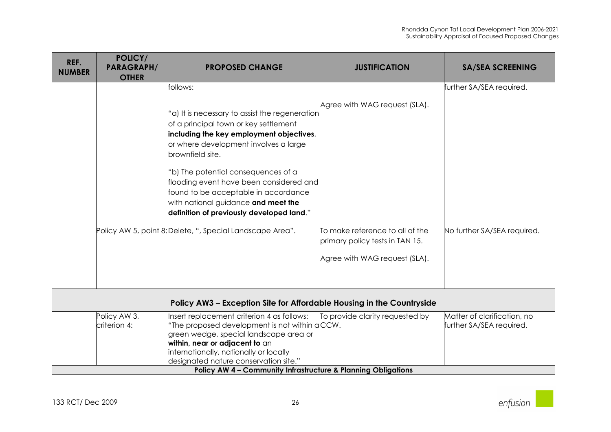| REF.<br><b>NUMBER</b> | POLICY/<br><b>PARAGRAPH/</b><br><b>OTHER</b> | <b>PROPOSED CHANGE</b>                                                   | <b>JUSTIFICATION</b>                                               | <b>SA/SEA SCREENING</b>     |
|-----------------------|----------------------------------------------|--------------------------------------------------------------------------|--------------------------------------------------------------------|-----------------------------|
|                       |                                              | follows:                                                                 |                                                                    | further SA/SEA required.    |
|                       |                                              |                                                                          | Agree with WAG request (SLA).                                      |                             |
|                       |                                              | 'a) It is necessary to assist the regeneration                           |                                                                    |                             |
|                       |                                              | of a principal town or key settlement                                    |                                                                    |                             |
|                       |                                              | including the key employment objectives,                                 |                                                                    |                             |
|                       |                                              | or where development involves a large                                    |                                                                    |                             |
|                       |                                              | brownfield site.                                                         |                                                                    |                             |
|                       |                                              | 'b) The potential consequences of a                                      |                                                                    |                             |
|                       |                                              | flooding event have been considered and                                  |                                                                    |                             |
|                       |                                              | found to be acceptable in accordance                                     |                                                                    |                             |
|                       |                                              | with national guidance and meet the                                      |                                                                    |                             |
|                       |                                              | definition of previously developed land."                                |                                                                    |                             |
|                       |                                              | Policy AW 5, point 8: Delete, ", Special Landscape Area".                | To make reference to all of the<br>primary policy tests in TAN 15. | No further SA/SEA required. |
|                       |                                              |                                                                          | Agree with WAG request (SLA).                                      |                             |
|                       |                                              |                                                                          |                                                                    |                             |
|                       |                                              |                                                                          |                                                                    |                             |
|                       |                                              | Policy AW3 - Exception Site for Affordable Housing in the Countryside    |                                                                    |                             |
|                       | Policy AW 3,                                 | Insert replacement criterion 4 as follows:                               | To provide clarity requested by                                    | Matter of clarification, no |
|                       | criterion 4:                                 | 'The proposed development is not within aCCW.                            |                                                                    | further SA/SEA required.    |
|                       |                                              | green wedge, special landscape area or                                   |                                                                    |                             |
|                       |                                              | within, near or adjacent to an<br>internationally, nationally or locally |                                                                    |                             |
|                       |                                              | designated nature conservation site."                                    |                                                                    |                             |
|                       |                                              | <b>Policy AW 4 - Community Infrastructure &amp; Planning Obligations</b> |                                                                    |                             |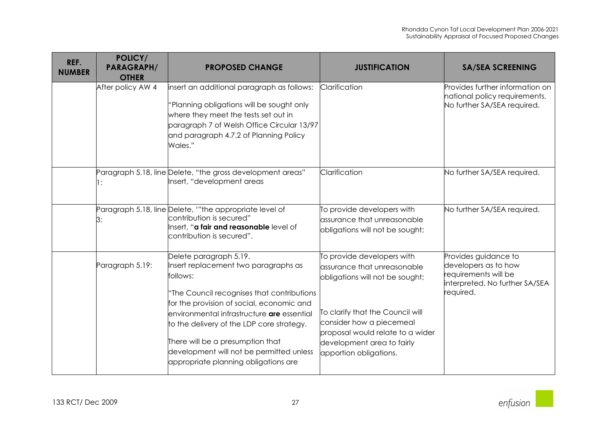| REF.<br><b>NUMBER</b> | POLICY/<br><b>PARAGRAPH/</b><br><b>OTHER</b> | <b>PROPOSED CHANGE</b>                                                                                                                                                                                                                                                                                                                                                                          | <b>JUSTIFICATION</b>                                                                                                                                                                                                                                     | <b>SA/SEA SCREENING</b>                                                                                             |
|-----------------------|----------------------------------------------|-------------------------------------------------------------------------------------------------------------------------------------------------------------------------------------------------------------------------------------------------------------------------------------------------------------------------------------------------------------------------------------------------|----------------------------------------------------------------------------------------------------------------------------------------------------------------------------------------------------------------------------------------------------------|---------------------------------------------------------------------------------------------------------------------|
|                       | After policy AW 4                            | insert an additional paragraph as follows:<br>Planning obligations will be sought only<br>where they meet the tests set out in<br>paragraph 7 of Welsh Office Circular 13/97<br>and paragraph 4.7.2 of Planning Policy<br>Wales."                                                                                                                                                               | Clarification                                                                                                                                                                                                                                            | Provides further information on<br>national policy requirements.<br>No further SA/SEA required.                     |
|                       | l:                                           | Paragraph 5.18, line Delete, "the gross development areas"<br>Insert, "development areas                                                                                                                                                                                                                                                                                                        | Clarification                                                                                                                                                                                                                                            | No further SA/SEA required.                                                                                         |
|                       | 3:                                           | Paragraph 5.18, line Delete, "the appropriate level of<br>contribution is secured"<br>Insert, " <b>a fair and reasonable</b> level of<br>contribution is secured".                                                                                                                                                                                                                              | To provide developers with<br>assurance that unreasonable<br>obligations will not be sought;                                                                                                                                                             | No further SA/SEA required.                                                                                         |
|                       | Paragraph 5.19:                              | Delete paragraph 5.19.<br>Insert replacement two paragraphs as<br>follows:<br>"The Council recognises that contributions<br>for the provision of social, economic and<br>environmental infrastructure <b>are</b> essential<br>to the delivery of the LDP core strategy.<br>There will be a presumption that<br>development will not be permitted unless<br>appropriate planning obligations are | To provide developers with<br>assurance that unreasonable<br>obligations will not be sought;<br>To clarify that the Council will<br>consider how a piecemeal<br>proposal would relate to a wider<br>development area to fairly<br>apportion obligations. | Provides guidance to<br>developers as to how<br>requirements will be<br>interpreted. No further SA/SEA<br>required. |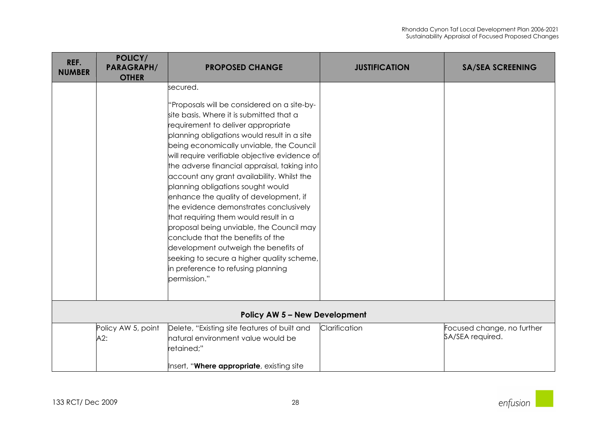| REF.<br><b>NUMBER</b> | POLICY/<br><b>PARAGRAPH/</b><br><b>OTHER</b> | <b>PROPOSED CHANGE</b>                                                                                                                                                                                                                                                                                                                                                                                                                                                                                                                                                                                                                                                                                                                                                             | <b>JUSTIFICATION</b> | <b>SA/SEA SCREENING</b>                        |
|-----------------------|----------------------------------------------|------------------------------------------------------------------------------------------------------------------------------------------------------------------------------------------------------------------------------------------------------------------------------------------------------------------------------------------------------------------------------------------------------------------------------------------------------------------------------------------------------------------------------------------------------------------------------------------------------------------------------------------------------------------------------------------------------------------------------------------------------------------------------------|----------------------|------------------------------------------------|
|                       |                                              | secured.<br>'Proposals will be considered on a site-by-<br>site basis. Where it is submitted that a<br>requirement to deliver appropriate<br>planning obligations would result in a site<br>being economically unviable, the Council<br>will require verifiable objective evidence of<br>the adverse financial appraisal, taking into<br>account any grant availability. Whilst the<br>planning obligations sought would<br>enhance the quality of development, if<br>the evidence demonstrates conclusively<br>that requiring them would result in a<br>proposal being unviable, the Council may<br>conclude that the benefits of the<br>development outweigh the benefits of<br>seeking to secure a higher quality scheme,<br>in preference to refusing planning<br>permission." |                      |                                                |
|                       |                                              | <b>Policy AW 5 - New Development</b>                                                                                                                                                                                                                                                                                                                                                                                                                                                                                                                                                                                                                                                                                                                                               |                      |                                                |
|                       | Policy AW 5, point<br>A2:                    | Delete, "Existing site features of built and<br>natural environment value would be<br>retained;"<br>Insert, "Where appropriate, existing site                                                                                                                                                                                                                                                                                                                                                                                                                                                                                                                                                                                                                                      | Clarification        | Focused change, no further<br>SA/SEA required. |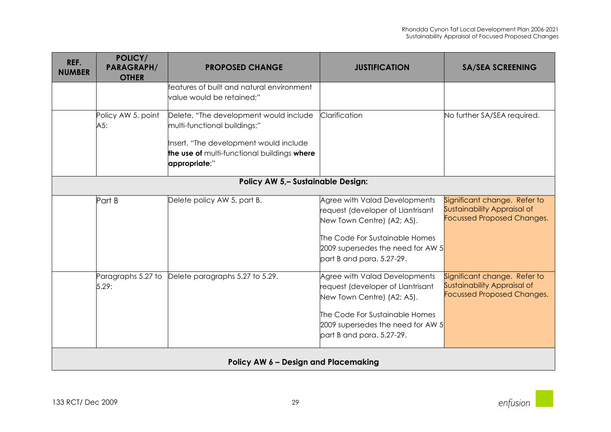| REF.<br><b>NUMBER</b>                | POLICY/<br><b>PARAGRAPH/</b><br><b>OTHER</b> | <b>PROPOSED CHANGE</b>                                                                                                                                                           | <b>JUSTIFICATION</b>                                                                                                                                                                                 | <b>SA/SEA SCREENING</b>                                                                          |  |  |
|--------------------------------------|----------------------------------------------|----------------------------------------------------------------------------------------------------------------------------------------------------------------------------------|------------------------------------------------------------------------------------------------------------------------------------------------------------------------------------------------------|--------------------------------------------------------------------------------------------------|--|--|
|                                      |                                              | features of built and natural environment<br>value would be retained;"                                                                                                           |                                                                                                                                                                                                      |                                                                                                  |  |  |
|                                      | Policy AW 5, point<br>A5:                    | Delete, "The development would include<br>multi-functional buildings;"<br>Insert, "The development would include<br>the use of multi-functional buildings where<br>appropriate;" | Clarification                                                                                                                                                                                        | No further SA/SEA required.                                                                      |  |  |
|                                      | Policy AW 5,- Sustainable Design:            |                                                                                                                                                                                  |                                                                                                                                                                                                      |                                                                                                  |  |  |
|                                      | Part B                                       | Delete policy AW 5, part B.                                                                                                                                                      | Agree with Valad Developments<br>request (developer of Llantrisant<br>New Town Centre) (A2; A5).<br>The Code For Sustainable Homes<br>2009 supersedes the need for AW 5<br>part B and para. 5.27-29. | Significant change. Refer to<br>Sustainability Appraisal of<br><b>Focussed Proposed Changes.</b> |  |  |
|                                      | Paragraphs 5.27 to<br>5.29:                  | Delete paragraphs 5.27 to 5.29.                                                                                                                                                  | Agree with Valad Developments<br>request (developer of Llantrisant<br>New Town Centre) (A2; A5).<br>The Code For Sustainable Homes<br>2009 supersedes the need for AW 5<br>part B and para. 5.27-29. | Significant change. Refer to<br>Sustainability Appraisal of<br><b>Focussed Proposed Changes.</b> |  |  |
| Policy AW 6 - Design and Placemaking |                                              |                                                                                                                                                                                  |                                                                                                                                                                                                      |                                                                                                  |  |  |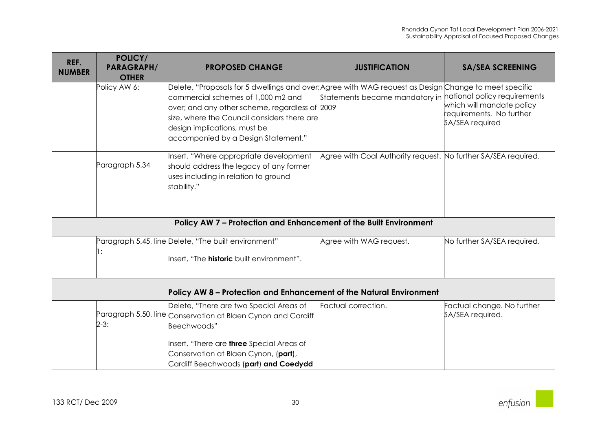| REF.<br><b>NUMBER</b> | POLICY/<br><b>PARAGRAPH/</b><br><b>OTHER</b> | <b>PROPOSED CHANGE</b>                                                                                                                                                                                                                                                                                              | <b>JUSTIFICATION</b>                                           | <b>SA/SEA SCREENING</b>                                                  |
|-----------------------|----------------------------------------------|---------------------------------------------------------------------------------------------------------------------------------------------------------------------------------------------------------------------------------------------------------------------------------------------------------------------|----------------------------------------------------------------|--------------------------------------------------------------------------|
|                       | Policy AW 6:                                 | Delete, "Proposals for 5 dwellings and over; Agree with WAG request as Design Change to meet specific<br>commercial schemes of 1,000 m2 and<br>over; and any other scheme, regardless of 2009<br>size, where the Council considers there are<br>design implications, must be<br>accompanied by a Design Statement." | Statements became mandatory in national policy requirements    | which will mandate policy<br>requirements. No further<br>SA/SEA required |
|                       | Paragraph 5.34                               | Insert, "Where appropriate development<br>should address the legacy of any former<br>uses including in relation to ground<br>stability."                                                                                                                                                                            | Agree with Coal Authority request. No further SA/SEA required. |                                                                          |
|                       |                                              | Policy AW 7 - Protection and Enhancement of the Built Environment                                                                                                                                                                                                                                                   |                                                                |                                                                          |
|                       | 1:                                           | Paragraph 5.45, line Delete, "The built environment"<br>Insert, "The <b>historic</b> built environment".                                                                                                                                                                                                            | Agree with WAG request.                                        | No further SA/SEA required.                                              |
|                       |                                              | Policy AW 8 - Protection and Enhancement of the Natural Environment                                                                                                                                                                                                                                                 |                                                                |                                                                          |
|                       | $2-3:$                                       | Delete, "There are two Special Areas of<br>Paragraph 5.50, line Conservation at Blaen Cynon and Cardiff<br>Beechwoods"<br>Insert, "There are <b>three</b> Special Areas of<br>Conservation at Blaen Cynon, (part),<br>Cardiff Beechwoods (part) and Coedydd                                                         | Factual correction.                                            | Factual change. No further<br>SA/SEA required.                           |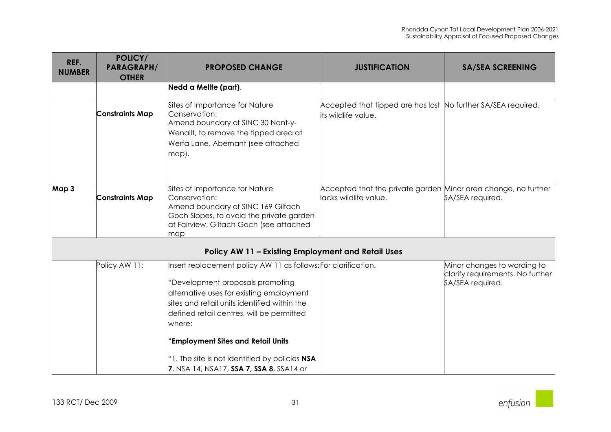| POLICY/<br><b>PARAGRAPH/</b><br><b>OTHER</b> | <b>PROPOSED CHANGE</b>                                                                                                                                                                                                                                                      | <b>JUSTIFICATION</b>                     | <b>SA/SEA SCREENING</b>                                                                                                                                                                                                                                 |
|----------------------------------------------|-----------------------------------------------------------------------------------------------------------------------------------------------------------------------------------------------------------------------------------------------------------------------------|------------------------------------------|---------------------------------------------------------------------------------------------------------------------------------------------------------------------------------------------------------------------------------------------------------|
|                                              | Nedd a Mellte (part).                                                                                                                                                                                                                                                       |                                          |                                                                                                                                                                                                                                                         |
| <b>Constraints Map</b>                       | Sites of Importance for Nature<br>Conservation:<br>Amend boundary of SINC 30 Nant-y-<br>Wenallt, to remove the tipped area at<br>Werfa Lane, Abernant (see attached<br>map).                                                                                                | its wildlife value.                      |                                                                                                                                                                                                                                                         |
| <b>Constraints Map</b>                       | Sites of Importance for Nature<br>Conservation:<br>Amend boundary of SINC 169 Gilfach<br>Goch Slopes, to avoid the private garden<br>at Fairview, Gilfach Goch (see attached<br>map                                                                                         | lacks wildlife value.                    | SA/SEA required.                                                                                                                                                                                                                                        |
|                                              |                                                                                                                                                                                                                                                                             |                                          |                                                                                                                                                                                                                                                         |
| Policy AW 11:                                | 'Development proposals promoting<br>alternative uses for existing employment<br>sites and retail units identified within the<br>defined retail centres, will be permitted<br>where:<br>'Employment Sites and Retail Units<br>"1. The site is not identified by policies NSA |                                          | Minor changes to wording to<br>clarify requirements. No further<br>SA/SEA required.                                                                                                                                                                     |
|                                              |                                                                                                                                                                                                                                                                             | 7, NSA 14, NSA17, SSA 7, SSA 8, SSA14 or | Accepted that tipped are has lost No further SA/SEA required.<br>Accepted that the private garden Minor area change, no further<br>Policy AW 11 - Existing Employment and Retail Uses<br>Insert replacement policy AW 11 as follows: For clarification. |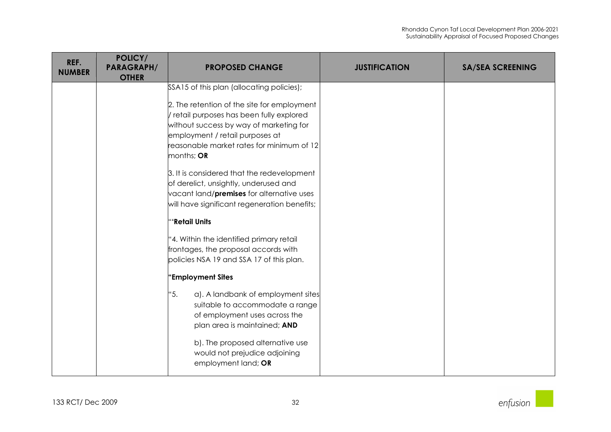| REF.<br><b>NUMBER</b> | POLICY/<br><b>PARAGRAPH/</b><br><b>OTHER</b> | <b>PROPOSED CHANGE</b>                                                                                                                                                                                                                                                                                                                                                                                                                                                                                                                                                                                                                                                                                                                                                                                                                                                                         | <b>JUSTIFICATION</b> | <b>SA/SEA SCREENING</b> |
|-----------------------|----------------------------------------------|------------------------------------------------------------------------------------------------------------------------------------------------------------------------------------------------------------------------------------------------------------------------------------------------------------------------------------------------------------------------------------------------------------------------------------------------------------------------------------------------------------------------------------------------------------------------------------------------------------------------------------------------------------------------------------------------------------------------------------------------------------------------------------------------------------------------------------------------------------------------------------------------|----------------------|-------------------------|
|                       |                                              | SSA15 of this plan (allocating policies);<br>2. The retention of the site for employment<br>/ retail purposes has been fully explored<br>without success by way of marketing for<br>employment / retail purposes at<br>reasonable market rates for minimum of 12<br>months; OR<br>3. It is considered that the redevelopment<br>of derelict, unsightly, underused and<br>vacant land/ <b>premises</b> for alternative uses<br>will have significant regeneration benefits;<br>"'Retail Units<br>"4. Within the identified primary retail<br>frontages, the proposal accords with<br>policies NSA 19 and SSA 17 of this plan.<br>'Employment Sites<br>"5.<br>a). A landbank of employment sites<br>suitable to accommodate a range<br>of employment uses across the<br>plan area is maintained; AND<br>b). The proposed alternative use<br>would not prejudice adjoining<br>employment land; OR |                      |                         |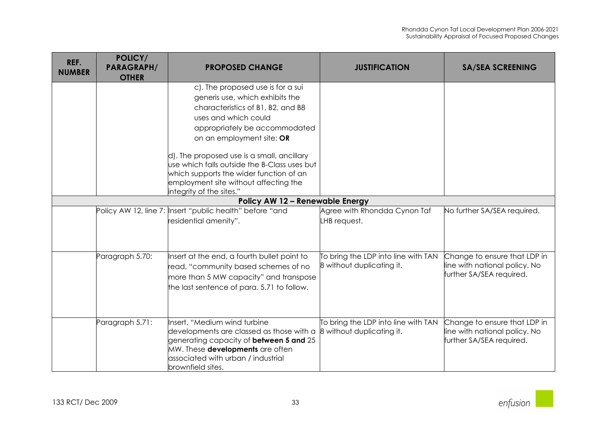| REF.<br><b>NUMBER</b>                  | POLICY/<br><b>PARAGRAPH/</b><br><b>OTHER</b> | <b>PROPOSED CHANGE</b>                                                             | <b>JUSTIFICATION</b>                | <b>SA/SEA SCREENING</b>                                   |  |
|----------------------------------------|----------------------------------------------|------------------------------------------------------------------------------------|-------------------------------------|-----------------------------------------------------------|--|
|                                        |                                              | c). The proposed use is for a sui                                                  |                                     |                                                           |  |
|                                        |                                              | generis use, which exhibits the                                                    |                                     |                                                           |  |
|                                        |                                              | characteristics of B1, B2, and B8                                                  |                                     |                                                           |  |
|                                        |                                              | uses and which could                                                               |                                     |                                                           |  |
|                                        |                                              | appropriately be accommodated                                                      |                                     |                                                           |  |
|                                        |                                              | on an employment site; OR                                                          |                                     |                                                           |  |
|                                        |                                              | d). The proposed use is a small, ancillary                                         |                                     |                                                           |  |
|                                        |                                              | use which falls outside the B-Class uses but                                       |                                     |                                                           |  |
|                                        |                                              | which supports the wider function of an<br>employment site without affecting the   |                                     |                                                           |  |
|                                        |                                              | integrity of the sites."                                                           |                                     |                                                           |  |
| <b>Policy AW 12 - Renewable Energy</b> |                                              |                                                                                    |                                     |                                                           |  |
|                                        |                                              | Policy AW 12, line 7: Insert "public health" before "and                           | Agree with Rhondda Cynon Taf        | No further SA/SEA required.                               |  |
|                                        |                                              | residential amenity".                                                              | LHB request.                        |                                                           |  |
|                                        |                                              |                                                                                    |                                     |                                                           |  |
|                                        | Paragraph 5.70:                              | Insert at the end, a fourth bullet point to                                        | To bring the LDP into line with TAN | Change to ensure that LDP in                              |  |
|                                        |                                              | read, "community based schemes of no                                               | 8 without duplicating it.           | line with national policy. No                             |  |
|                                        |                                              | more than 5 MW capacity" and transpose                                             |                                     | further SA/SEA required.                                  |  |
|                                        |                                              | the last sentence of para. 5.71 to follow.                                         |                                     |                                                           |  |
|                                        |                                              |                                                                                    |                                     |                                                           |  |
|                                        | Paragraph 5.71:                              | Insert, "Medium wind turbine                                                       | To bring the LDP into line with TAN | Change to ensure that LDP in                              |  |
|                                        |                                              | developments are classed as those with a                                           | 8 without duplicating it.           | line with national policy. No<br>further SA/SEA required. |  |
|                                        |                                              | generating capacity of <b>between 5 and</b> 25<br>MW. These developments are often |                                     |                                                           |  |
|                                        |                                              | associated with urban / industrial                                                 |                                     |                                                           |  |
|                                        |                                              | brownfield sites.                                                                  |                                     |                                                           |  |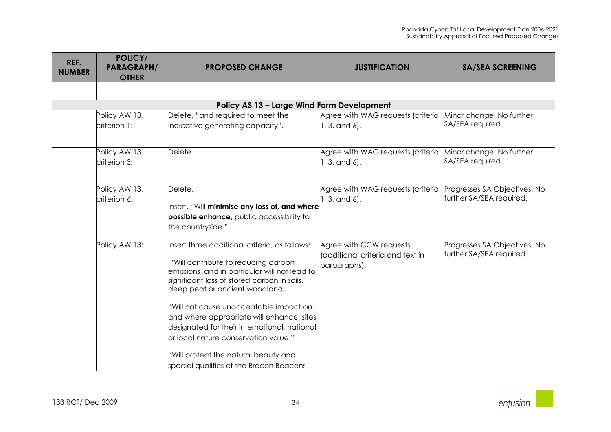| REF.<br><b>NUMBER</b> | POLICY/<br><b>PARAGRAPH/</b><br><b>OTHER</b> | <b>PROPOSED CHANGE</b>                                                                                                                                                                                                                                                                                                                                                                                                                                                                    | <b>JUSTIFICATION</b>                                                         | <b>SA/SEA SCREENING</b>                                  |
|-----------------------|----------------------------------------------|-------------------------------------------------------------------------------------------------------------------------------------------------------------------------------------------------------------------------------------------------------------------------------------------------------------------------------------------------------------------------------------------------------------------------------------------------------------------------------------------|------------------------------------------------------------------------------|----------------------------------------------------------|
|                       |                                              |                                                                                                                                                                                                                                                                                                                                                                                                                                                                                           |                                                                              |                                                          |
|                       |                                              | Policy AS 13 - Large Wind Farm Development                                                                                                                                                                                                                                                                                                                                                                                                                                                |                                                                              |                                                          |
|                       | Policy AW 13,                                | Delete, "and required to meet the                                                                                                                                                                                                                                                                                                                                                                                                                                                         | Agree with WAG requests (criteria                                            | Minor change. No further                                 |
|                       | criterion 1:                                 | indicative generating capacity".                                                                                                                                                                                                                                                                                                                                                                                                                                                          | $1, 3,$ and 6).                                                              | SA/SEA required.                                         |
|                       | Policy AW 13,<br>criterion 3:                | Delete.                                                                                                                                                                                                                                                                                                                                                                                                                                                                                   | Agree with WAG requests (criteria<br>1, 3, and 6).                           | Minor change. No further<br>SA/SEA required.             |
|                       | Policy AW 13,<br>criterion 6:                | Delete.<br>Insert, "Will minimise any loss of, and where<br>possible enhance, public accessibility to<br>the countryside."                                                                                                                                                                                                                                                                                                                                                                | Agree with WAG requests (criteria<br>1, 3, and 6).                           | Progresses SA Objectives. No<br>further SA/SEA required. |
|                       | Policy AW 13:                                | Insert three additional criteria, as follows:<br>"Will contribute to reducing carbon<br>emissions, and in particular will not lead to<br>significant loss of stored carbon in soils,<br>deep peat or ancient woodland.<br>"Will not cause unacceptable impact on,<br>and where appropriate will enhance, sites<br>designated for their international, national<br>or local nature conservation value."<br>'Will protect the natural beauty and<br>special qualities of the Brecon Beacons | Agree with CCW requests<br>l(additional criteria and text in<br>paragraphs). | Progresses SA Objectives. No<br>further SA/SEA required. |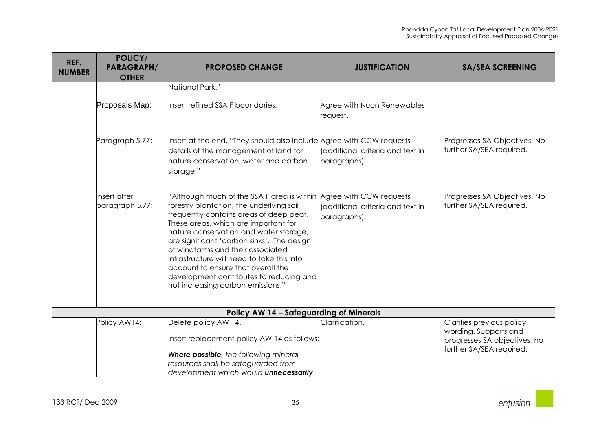| REF.<br><b>NUMBER</b> | POLICY/<br><b>PARAGRAPH/</b><br><b>OTHER</b>   | <b>PROPOSED CHANGE</b>                                                                                                                                                                                                                                                                                                                                                                                                                                                                             | <b>JUSTIFICATION</b>                             | <b>SA/SEA SCREENING</b>                                                                                        |  |  |
|-----------------------|------------------------------------------------|----------------------------------------------------------------------------------------------------------------------------------------------------------------------------------------------------------------------------------------------------------------------------------------------------------------------------------------------------------------------------------------------------------------------------------------------------------------------------------------------------|--------------------------------------------------|----------------------------------------------------------------------------------------------------------------|--|--|
|                       |                                                | National Park."                                                                                                                                                                                                                                                                                                                                                                                                                                                                                    |                                                  |                                                                                                                |  |  |
|                       | Proposals Map:                                 | Insert refined SSA F boundaries.                                                                                                                                                                                                                                                                                                                                                                                                                                                                   | Agree with Nuon Renewables<br>request.           |                                                                                                                |  |  |
|                       | Paragraph 5.77:                                | Insert at the end, "They should also include Agree with CCW requests<br>details of the management of land for<br>nature conservation, water and carbon<br>storage."                                                                                                                                                                                                                                                                                                                                | (additional criteria and text in<br>paragraphs). | Progresses SA Objectives. No<br>further SA/SEA required.                                                       |  |  |
|                       | Insert after<br>paragraph 5.77:                | 'Although much of the SSA F area is within Agree with CCW requests<br>forestry plantation, the underlying soil<br>frequently contains areas of deep peat.<br>These areas, which are important for<br>nature conservation and water storage,<br>are significant 'carbon sinks'. The design<br>of windfarms and their associated<br>infrastructure will need to take this into<br>account to ensure that overall the<br>development contributes to reducing and<br>not increasing carbon emissions." | (additional criteria and text in<br>paragraphs). | Progresses SA Objectives. No<br>further SA/SEA required.                                                       |  |  |
|                       | <b>Policy AW 14 - Safeguarding of Minerals</b> |                                                                                                                                                                                                                                                                                                                                                                                                                                                                                                    |                                                  |                                                                                                                |  |  |
|                       | Policy AW14:                                   | Delete policy AW 14.<br>Insert replacement policy AW 14 as follows:<br><b>Where possible</b> , the following mineral<br>resources shall be safeguarded from<br>development which would unnecessarily                                                                                                                                                                                                                                                                                               | Clarification.                                   | Clarifies previous policy<br>wording. Supports and<br>progresses SA objectives, no<br>further SA/SEA required. |  |  |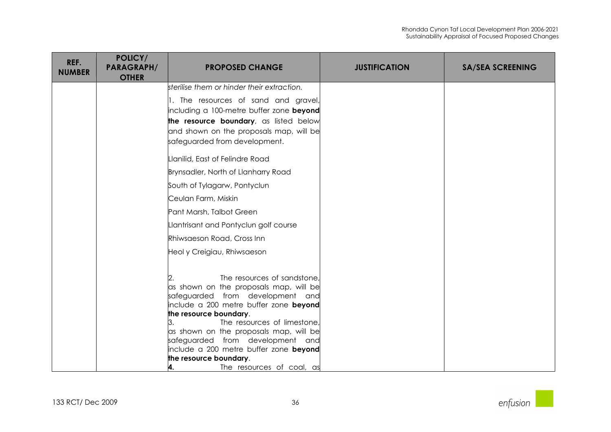| REF.<br><b>NUMBER</b> | POLICY/<br><b>PARAGRAPH/</b><br><b>OTHER</b> | <b>PROPOSED CHANGE</b>                                                                                                                                                                                                                                                                                                                                                                                  | <b>JUSTIFICATION</b> | <b>SA/SEA SCREENING</b> |
|-----------------------|----------------------------------------------|---------------------------------------------------------------------------------------------------------------------------------------------------------------------------------------------------------------------------------------------------------------------------------------------------------------------------------------------------------------------------------------------------------|----------------------|-------------------------|
|                       |                                              | sterilise them or hinder their extraction.                                                                                                                                                                                                                                                                                                                                                              |                      |                         |
|                       |                                              | 1. The resources of sand and gravel,<br>including a 100-metre buffer zone beyond<br>the resource boundary, as listed below<br>and shown on the proposals map, will be                                                                                                                                                                                                                                   |                      |                         |
|                       |                                              | safeguarded from development.                                                                                                                                                                                                                                                                                                                                                                           |                      |                         |
|                       |                                              | Llanilid, East of Felindre Road                                                                                                                                                                                                                                                                                                                                                                         |                      |                         |
|                       |                                              | Brynsadler, North of Llanharry Road                                                                                                                                                                                                                                                                                                                                                                     |                      |                         |
|                       |                                              | South of Tylagarw, Pontyclun                                                                                                                                                                                                                                                                                                                                                                            |                      |                         |
|                       |                                              | Ceulan Farm, Miskin                                                                                                                                                                                                                                                                                                                                                                                     |                      |                         |
|                       |                                              | Pant Marsh, Talbot Green                                                                                                                                                                                                                                                                                                                                                                                |                      |                         |
|                       |                                              | Llantrisant and Pontyclun golf course                                                                                                                                                                                                                                                                                                                                                                   |                      |                         |
|                       |                                              | Rhiwsaeson Road, Cross Inn                                                                                                                                                                                                                                                                                                                                                                              |                      |                         |
|                       |                                              | Heol y Creigiau, Rhiwsaeson                                                                                                                                                                                                                                                                                                                                                                             |                      |                         |
|                       |                                              | The resources of sandstone,<br>as shown on the proposals map, will be<br>safeguarded from development and<br>include a 200 metre buffer zone beyond<br>the resource boundary.<br>The resources of limestone,<br>3.<br>as shown on the proposals map, will be<br>safeguarded from development and<br>include a 200 metre buffer zone beyond<br>the resource boundary.<br>4.<br>The resources of coal, as |                      |                         |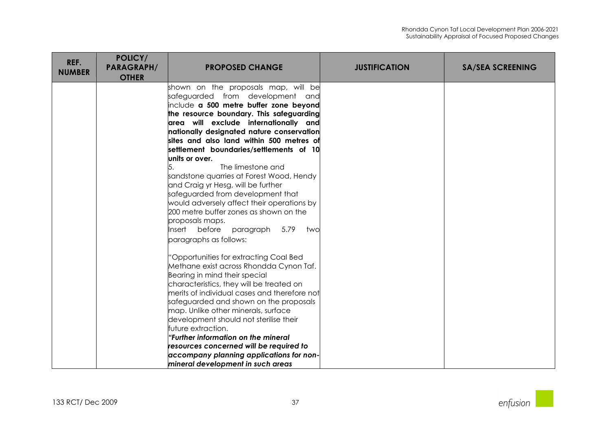| REF.<br><b>NUMBER</b> | POLICY/<br><b>PARAGRAPH/</b><br><b>OTHER</b> | <b>PROPOSED CHANGE</b>                                    | <b>JUSTIFICATION</b> | <b>SA/SEA SCREENING</b> |
|-----------------------|----------------------------------------------|-----------------------------------------------------------|----------------------|-------------------------|
|                       |                                              | shown on the proposals map, will be                       |                      |                         |
|                       |                                              | safeguarded from development and                          |                      |                         |
|                       |                                              | include a 500 metre buffer zone beyond                    |                      |                         |
|                       |                                              | the resource boundary. This safeguarding                  |                      |                         |
|                       |                                              | area will exclude internationally and                     |                      |                         |
|                       |                                              | nationally designated nature conservation                 |                      |                         |
|                       |                                              | sites and also land within 500 metres of                  |                      |                         |
|                       |                                              | settlement boundaries/settlements of 10<br>units or over. |                      |                         |
|                       |                                              | The limestone and                                         |                      |                         |
|                       |                                              | sandstone quarries at Forest Wood, Hendy                  |                      |                         |
|                       |                                              | and Craig yr Hesg, will be further                        |                      |                         |
|                       |                                              | safeguarded from development that                         |                      |                         |
|                       |                                              | would adversely affect their operations by                |                      |                         |
|                       |                                              | 200 metre buffer zones as shown on the                    |                      |                         |
|                       |                                              | proposals maps.                                           |                      |                         |
|                       |                                              | Insert before<br>paragraph<br>5.79 two                    |                      |                         |
|                       |                                              | paragraphs as follows:                                    |                      |                         |
|                       |                                              | 'Opportunities for extracting Coal Bed                    |                      |                         |
|                       |                                              | Methane exist across Rhondda Cynon Taf.                   |                      |                         |
|                       |                                              | Bearing in mind their special                             |                      |                         |
|                       |                                              | characteristics, they will be treated on                  |                      |                         |
|                       |                                              | merits of individual cases and therefore not              |                      |                         |
|                       |                                              | safeguarded and shown on the proposals                    |                      |                         |
|                       |                                              | map. Unlike other minerals, surface                       |                      |                         |
|                       |                                              | development should not sterilise their                    |                      |                         |
|                       |                                              | future extraction.                                        |                      |                         |
|                       |                                              | "Further information on the mineral                       |                      |                         |
|                       |                                              | resources concerned will be required to                   |                      |                         |
|                       |                                              | accompany planning applications for non-                  |                      |                         |
|                       |                                              | mineral development in such areas                         |                      |                         |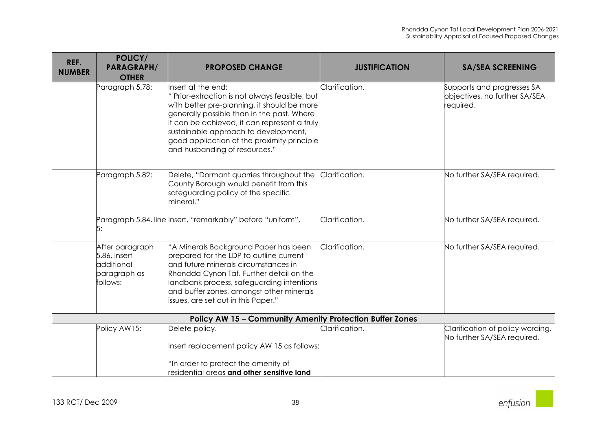| REF.<br><b>NUMBER</b> | POLICY/<br><b>PARAGRAPH/</b><br><b>OTHER</b>                              | <b>PROPOSED CHANGE</b>                                                                                                                                                                                                                                                                                                                  | <b>JUSTIFICATION</b> | <b>SA/SEA SCREENING</b>                                                  |
|-----------------------|---------------------------------------------------------------------------|-----------------------------------------------------------------------------------------------------------------------------------------------------------------------------------------------------------------------------------------------------------------------------------------------------------------------------------------|----------------------|--------------------------------------------------------------------------|
|                       | Paragraph 5.78:                                                           | Insert at the end:<br>Prior-extraction is not always feasible, but<br>with better pre-planning, it should be more<br>generally possible than in the past. Where<br>it can be achieved, it can represent a truly<br>sustainable approach to development,<br>good application of the proximity principle<br>and husbanding of resources." | Clarification.       | Supports and progresses SA<br>objectives, no further SA/SEA<br>required. |
|                       | Paragraph 5.82:                                                           | Delete, "Dormant quarries throughout the<br>County Borough would benefit from this<br>safeguarding policy of the specific<br>mineral."                                                                                                                                                                                                  | Clarification.       | No further SA/SEA required.                                              |
|                       | 5:                                                                        | Paragraph 5.84, line  Insert, "remarkably" before "uniform".                                                                                                                                                                                                                                                                            | Clarification.       | No further SA/SEA required.                                              |
|                       | After paragraph<br>5.86, insert<br>additional<br>paragraph as<br>follows: | "A Minerals Background Paper has been<br>prepared for the LDP to outline current<br>and future minerals circumstances in<br>Rhondda Cynon Taf. Further detail on the<br>landbank process, safeguarding intentions<br>and buffer zones, amongst other minerals<br>issues, are set out in this Paper."                                    | Clarification.       | No further SA/SEA required.                                              |
|                       |                                                                           | <b>Policy AW 15 - Community Amenity Protection Buffer Zones</b>                                                                                                                                                                                                                                                                         |                      |                                                                          |
|                       | Policy AW15:                                                              | Delete policy.<br>Insert replacement policy AW 15 as follows:<br>"In order to protect the amenity of<br>residential areas and other sensitive land                                                                                                                                                                                      | Clarification.       | Clarification of policy wording.<br>No further SA/SEA required.          |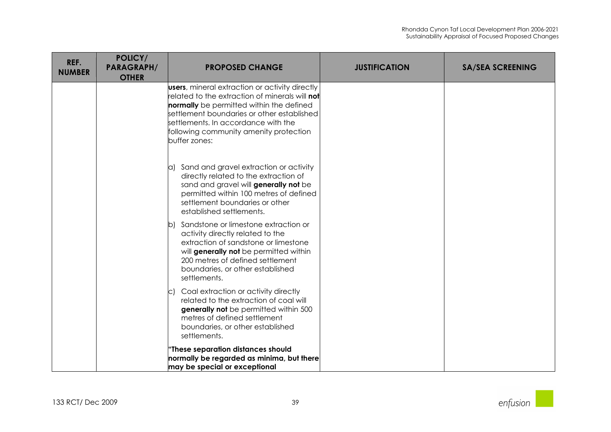| REF.<br><b>NUMBER</b> | POLICY/<br><b>PARAGRAPH/</b><br><b>OTHER</b> | <b>PROPOSED CHANGE</b>                                                                                                                                                                                                                                                                                      | <b>JUSTIFICATION</b> | <b>SA/SEA SCREENING</b> |
|-----------------------|----------------------------------------------|-------------------------------------------------------------------------------------------------------------------------------------------------------------------------------------------------------------------------------------------------------------------------------------------------------------|----------------------|-------------------------|
|                       |                                              | <b>users</b> , mineral extraction or activity directly<br>related to the extraction of minerals will <b>not</b><br>normally be permitted within the defined<br>settlement boundaries or other established<br>settlements. In accordance with the<br>following community amenity protection<br>buffer zones: |                      |                         |
|                       |                                              | a) Sand and gravel extraction or activity<br>directly related to the extraction of<br>sand and gravel will generally not be<br>permitted within 100 metres of defined<br>settlement boundaries or other<br>established settlements.                                                                         |                      |                         |
|                       |                                              | b) Sandstone or limestone extraction or<br>activity directly related to the<br>extraction of sandstone or limestone<br>will generally not be permitted within<br>200 metres of defined settlement<br>boundaries, or other established<br>settlements.                                                       |                      |                         |
|                       |                                              | Coal extraction or activity directly<br>C)<br>related to the extraction of coal will<br>generally not be permitted within 500<br>metres of defined settlement<br>boundaries, or other established<br>settlements.                                                                                           |                      |                         |
|                       |                                              | 'These separation distances should<br>normally be regarded as minima, but there<br>may be special or exceptional                                                                                                                                                                                            |                      |                         |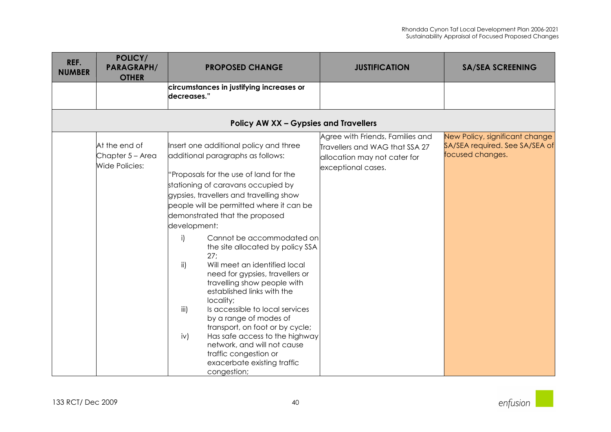| REF.<br><b>NUMBER</b> | POLICY/<br><b>PARAGRAPH/</b><br><b>OTHER</b>               | <b>PROPOSED CHANGE</b>                                                                                                                                                                                                                                                                                                                                                                                                                                                                                                                                                                                                                                                                                                                                                                                   | <b>JUSTIFICATION</b>                                                                                                     | <b>SA/SEA SCREENING</b>                                                              |
|-----------------------|------------------------------------------------------------|----------------------------------------------------------------------------------------------------------------------------------------------------------------------------------------------------------------------------------------------------------------------------------------------------------------------------------------------------------------------------------------------------------------------------------------------------------------------------------------------------------------------------------------------------------------------------------------------------------------------------------------------------------------------------------------------------------------------------------------------------------------------------------------------------------|--------------------------------------------------------------------------------------------------------------------------|--------------------------------------------------------------------------------------|
|                       |                                                            | circumstances in justifying increases or<br>decreases."                                                                                                                                                                                                                                                                                                                                                                                                                                                                                                                                                                                                                                                                                                                                                  |                                                                                                                          |                                                                                      |
|                       |                                                            | <b>Policy AW XX - Gypsies and Travellers</b>                                                                                                                                                                                                                                                                                                                                                                                                                                                                                                                                                                                                                                                                                                                                                             |                                                                                                                          |                                                                                      |
|                       | At the end of<br>Chapter 5 - Area<br><b>Wide Policies:</b> | Insert one additional policy and three<br>additional paragraphs as follows:<br>'Proposals for the use of land for the<br>stationing of caravans occupied by<br>gypsies, travellers and travelling show<br>people will be permitted where it can be<br>demonstrated that the proposed<br>development:<br>i)<br>Cannot be accommodated on<br>the site allocated by policy SSA<br>27:<br>Will meet an identified local<br>$\mathsf{ii}$<br>need for gypsies, travellers or<br>travelling show people with<br>established links with the<br>locality;<br>Is accessible to local services<br>iii)<br>by a range of modes of<br>transport, on foot or by cycle;<br>Has safe access to the highway<br>iv)<br>network, and will not cause<br>traffic congestion or<br>exacerbate existing traffic<br>congestion; | Agree with Friends, Families and<br>Travellers and WAG that SSA 27<br>allocation may not cater for<br>exceptional cases. | New Policy, significant change<br>SA/SEA required. See SA/SEA of<br>focused changes. |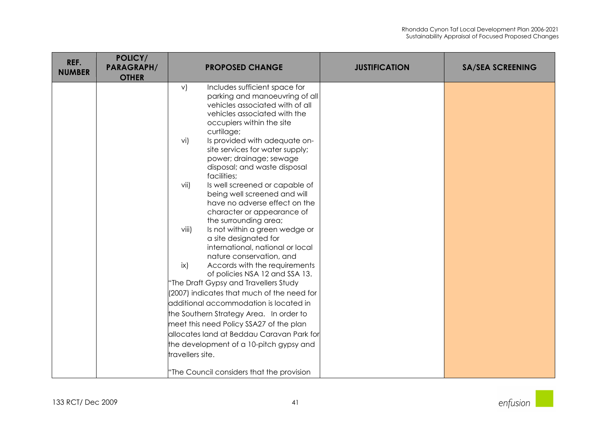| REF.<br><b>NUMBER</b> | POLICY/<br><b>PARAGRAPH/</b><br><b>OTHER</b> | <b>PROPOSED CHANGE</b>                                                                                                                                                              | <b>JUSTIFICATION</b> | <b>SA/SEA SCREENING</b> |
|-----------------------|----------------------------------------------|-------------------------------------------------------------------------------------------------------------------------------------------------------------------------------------|----------------------|-------------------------|
|                       |                                              | Includes sufficient space for<br>V)<br>parking and manoeuvring of all<br>vehicles associated with of all<br>vehicles associated with the<br>occupiers within the site<br>curtilage; |                      |                         |
|                       |                                              | Is provided with adequate on-<br>vi)<br>site services for water supply;<br>power; drainage; sewage<br>disposal; and waste disposal<br>facilities;                                   |                      |                         |
|                       |                                              | Is well screened or capable of<br>vii)<br>being well screened and will<br>have no adverse effect on the<br>character or appearance of<br>the surrounding area;                      |                      |                         |
|                       |                                              | Is not within a green wedge or<br>viii)<br>a site designated for<br>international, national or local<br>nature conservation, and                                                    |                      |                         |
|                       |                                              | ix)<br>Accords with the requirements<br>of policies NSA 12 and SSA 13.                                                                                                              |                      |                         |
|                       |                                              | "The Draft Gypsy and Travellers Study<br>(2007) indicates that much of the need for                                                                                                 |                      |                         |
|                       |                                              | additional accommodation is located in                                                                                                                                              |                      |                         |
|                       |                                              | the Southern Strategy Area. In order to                                                                                                                                             |                      |                         |
|                       |                                              | meet this need Policy SSA27 of the plan                                                                                                                                             |                      |                         |
|                       |                                              | allocates land at Beddau Caravan Park for                                                                                                                                           |                      |                         |
|                       |                                              | the development of a 10-pitch gypsy and<br>travellers site.                                                                                                                         |                      |                         |
|                       |                                              | "The Council considers that the provision                                                                                                                                           |                      |                         |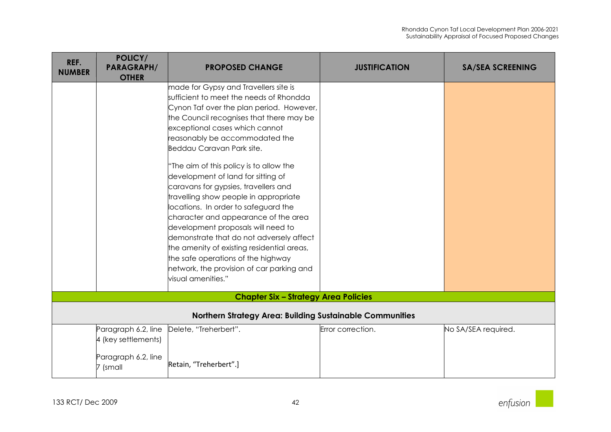| <b>PARAGRAPH/</b><br><b>OTHER</b>                                 | <b>PROPOSED CHANGE</b>                                                                                                                                                                                                       | <b>JUSTIFICATION</b>                                                                                                                                                                                                                                                                                                                                                                                                                                                                                                                                                                    | <b>SA/SEA SCREENING</b>                                          |  |
|-------------------------------------------------------------------|------------------------------------------------------------------------------------------------------------------------------------------------------------------------------------------------------------------------------|-----------------------------------------------------------------------------------------------------------------------------------------------------------------------------------------------------------------------------------------------------------------------------------------------------------------------------------------------------------------------------------------------------------------------------------------------------------------------------------------------------------------------------------------------------------------------------------------|------------------------------------------------------------------|--|
|                                                                   | reasonably be accommodated the<br>"The aim of this policy is to allow the<br>caravans for gypsies, travellers and<br>character and appearance of the area<br>network, the provision of car parking and<br>visual amenities." |                                                                                                                                                                                                                                                                                                                                                                                                                                                                                                                                                                                         |                                                                  |  |
|                                                                   |                                                                                                                                                                                                                              |                                                                                                                                                                                                                                                                                                                                                                                                                                                                                                                                                                                         |                                                                  |  |
| <b>Northern Strategy Area: Building Sustainable Communities</b>   |                                                                                                                                                                                                                              |                                                                                                                                                                                                                                                                                                                                                                                                                                                                                                                                                                                         |                                                                  |  |
| Paragraph 6.2, line<br>4 (key settlements)<br>Paragraph 6.2, line |                                                                                                                                                                                                                              |                                                                                                                                                                                                                                                                                                                                                                                                                                                                                                                                                                                         | No SA/SEA required.                                              |  |
|                                                                   | 7 (small                                                                                                                                                                                                                     | made for Gypsy and Travellers site is<br>sufficient to meet the needs of Rhondda<br>Cynon Taf over the plan period. However,<br>the Council recognises that there may be<br>exceptional cases which cannot<br>Beddau Caravan Park site.<br>development of land for sitting of<br>travelling show people in appropriate<br>locations. In order to safeguard the<br>development proposals will need to<br>demonstrate that do not adversely affect<br>the amenity of existing residential areas,<br>the safe operations of the highway<br>Delete, "Treherbert".<br>Retain, "Treherbert".] | <b>Chapter Six - Strategy Area Policies</b><br>Error correction. |  |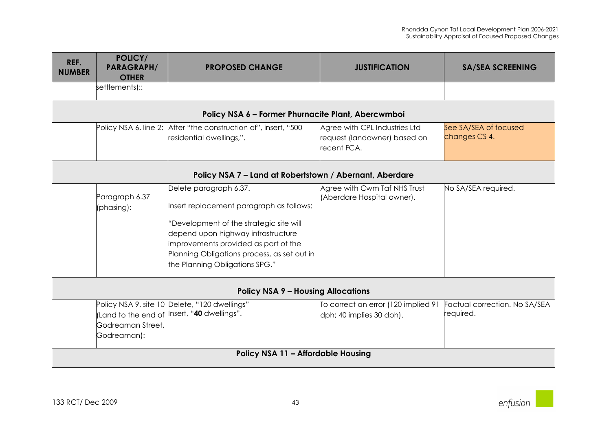| REF.<br><b>NUMBER</b>                     | POLICY/<br><b>PARAGRAPH/</b><br><b>OTHER</b> | <b>PROPOSED CHANGE</b>                                                                                                                                                                                                                                                       | <b>JUSTIFICATION</b>                                                         | <b>SA/SEA SCREENING</b>                    |
|-------------------------------------------|----------------------------------------------|------------------------------------------------------------------------------------------------------------------------------------------------------------------------------------------------------------------------------------------------------------------------------|------------------------------------------------------------------------------|--------------------------------------------|
|                                           | settlements)::                               |                                                                                                                                                                                                                                                                              |                                                                              |                                            |
|                                           |                                              | Policy NSA 6 - Former Phurnacite Plant, Abercwmboi                                                                                                                                                                                                                           |                                                                              |                                            |
|                                           |                                              | Policy NSA 6, line 2: After "the construction of", insert, "500<br>residential dwellings,".                                                                                                                                                                                  | Agree with CPL Industries Ltd<br>request (landowner) based on<br>recent FCA. | See SA/SEA of focused<br>changes CS 4.     |
|                                           |                                              | Policy NSA 7 - Land at Robertstown / Abernant, Aberdare                                                                                                                                                                                                                      |                                                                              |                                            |
|                                           | Paragraph 6.37<br>(phasing):                 | Delete paragraph 6.37.<br>Insert replacement paragraph as follows:<br>'Development of the strategic site will<br>depend upon highway infrastructure<br>improvements provided as part of the<br>Planning Obligations process, as set out in<br>the Planning Obligations SPG." | Agree with Cwm Taf NHS Trust<br>(Aberdare Hospital owner).                   | No SA/SEA required.                        |
| <b>Policy NSA 9 - Housing Allocations</b> |                                              |                                                                                                                                                                                                                                                                              |                                                                              |                                            |
|                                           | Godreaman Street,<br>Godreaman):             | Policy NSA 9, site 10 Delete, "120 dwellings"<br>(Land to the end of <i>Insert,</i> " <b>40</b> dwellings".                                                                                                                                                                  | To correct an error (120 implied 91<br>dph; 40 implies 30 dph).              | Factual correction. No SA/SEA<br>required. |
|                                           |                                              | Policy NSA 11 - Affordable Housing                                                                                                                                                                                                                                           |                                                                              |                                            |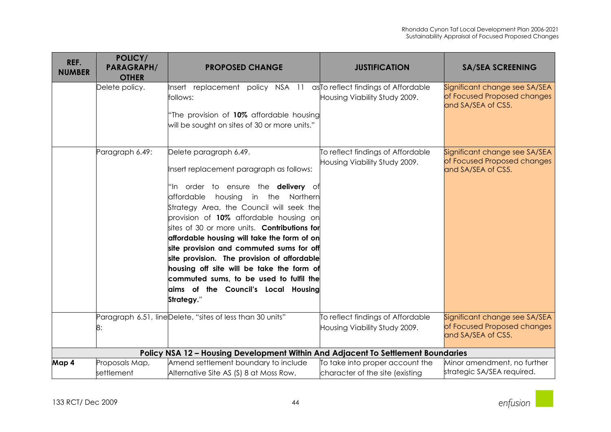| REF.<br><b>NUMBER</b> | POLICY/<br><b>PARAGRAPH/</b><br><b>OTHER</b> | <b>PROPOSED CHANGE</b>                                                                                                                                                                                                                                                                                                                                                                                                                                                                                                                                                                        | <b>JUSTIFICATION</b>                                               | <b>SA/SEA SCREENING</b>                                                            |
|-----------------------|----------------------------------------------|-----------------------------------------------------------------------------------------------------------------------------------------------------------------------------------------------------------------------------------------------------------------------------------------------------------------------------------------------------------------------------------------------------------------------------------------------------------------------------------------------------------------------------------------------------------------------------------------------|--------------------------------------------------------------------|------------------------------------------------------------------------------------|
|                       | Delete policy.                               | Insert replacement policy NSA 11 asto reflect findings of Affordable<br>follows:<br>"The provision of 10% affordable housing<br>will be sought on sites of 30 or more units."                                                                                                                                                                                                                                                                                                                                                                                                                 | Housing Viability Study 2009.                                      | Significant change see SA/SEA<br>of Focused Proposed changes<br>and SA/SEA of CS5. |
|                       | Paragraph 6.49:                              | Delete paragraph 6.49.<br>Insert replacement paragraph as follows:<br>"In order to ensure the <b>delivery</b> of<br>affordable<br>housing in the Northern<br>Strategy Area, the Council will seek the<br>provision of 10% affordable housing on<br>sites of 30 or more units. <b>Contributions for</b><br>affordable housing will take the form of on<br>site provision and commuted sums for off<br>site provision. The provision of affordable<br>housing off site will be take the form of<br>commuted sums, to be used to fulfil the<br>aims of the Council's Local Housing<br>Strategy." | To reflect findings of Affordable<br>Housing Viability Study 2009. | Significant change see SA/SEA<br>of Focused Proposed changes<br>and SA/SEA of CS5. |
|                       | 8:                                           | Paragraph 6.51, lineDelete, "sites of less than 30 units"                                                                                                                                                                                                                                                                                                                                                                                                                                                                                                                                     | To reflect findings of Affordable<br>Housing Viability Study 2009. | Significant change see SA/SEA<br>of Focused Proposed changes<br>and SA/SEA of CS5. |
|                       |                                              | Policy NSA 12 - Housing Development Within And Adjacent To Settlement Boundaries                                                                                                                                                                                                                                                                                                                                                                                                                                                                                                              |                                                                    |                                                                                    |
| Map 4                 | Proposals Map,<br>settlement                 | Amend settlement boundary to include<br>Alternative Site AS (S) 8 at Moss Row,                                                                                                                                                                                                                                                                                                                                                                                                                                                                                                                | To take into proper account the<br>character of the site (existing | Minor amendment, no further<br>strategic SA/SEA required.                          |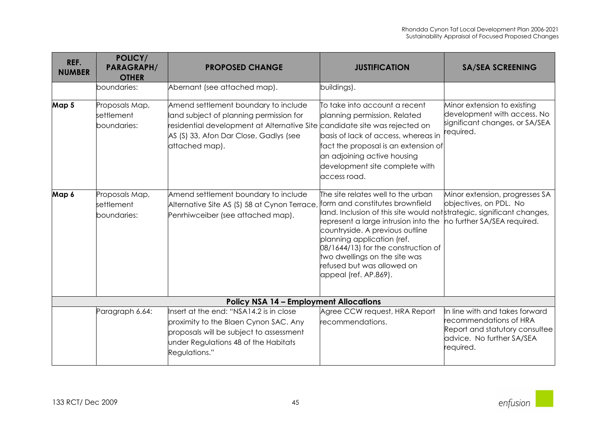| REF.<br><b>NUMBER</b> | POLICY/<br><b>PARAGRAPH/</b><br><b>OTHER</b> | <b>PROPOSED CHANGE</b>                                                                                                                                                                                                    | <b>JUSTIFICATION</b>                                                                                                                                                                                                                                                                                                                                                                         | <b>SA/SEA SCREENING</b>                                                                                                              |
|-----------------------|----------------------------------------------|---------------------------------------------------------------------------------------------------------------------------------------------------------------------------------------------------------------------------|----------------------------------------------------------------------------------------------------------------------------------------------------------------------------------------------------------------------------------------------------------------------------------------------------------------------------------------------------------------------------------------------|--------------------------------------------------------------------------------------------------------------------------------------|
|                       | boundaries:                                  | Abernant (see attached map).                                                                                                                                                                                              | buildings).                                                                                                                                                                                                                                                                                                                                                                                  |                                                                                                                                      |
| Map 5                 | Proposals Map,<br>settlement<br>boundaries:  | Amend settlement boundary to include<br>land subject of planning permission for<br>residential development at Alternative Site candidate site was rejected on<br>AS (S) 33, Afon Dar Close, Gadlys (see<br>attached map). | To take into account a recent<br>planning permission. Related<br>basis of lack of access, whereas in<br>fact the proposal is an extension of<br>an adjoining active housing<br>development site complete with<br>access road.                                                                                                                                                                | Minor extension to existing<br>development with access. No<br>significant changes, or SA/SEA<br>required.                            |
| Map 6                 | Proposals Map,<br>settlement<br>boundaries:  | Amend settlement boundary to include<br>Alternative Site AS (S) 58 at Cynon Terrace<br>Penrhiwceiber (see attached map).                                                                                                  | The site relates well to the urban $\,$<br>form and constitutes brownfield<br>land. Inclusion of this site would not strategic, significant changes,<br>represent a large intrusion into the<br>countryside. A previous outline<br>planning application (ref.<br>08/1644/13) for the construction of<br>two dwellings on the site was<br>refused but was allowed on<br>appeal (ref. AP.869). | Minor extension, progresses SA<br>objectives, on PDL. No<br>no further SA/SEA required.                                              |
|                       |                                              | <b>Policy NSA 14 - Employment Allocations</b>                                                                                                                                                                             |                                                                                                                                                                                                                                                                                                                                                                                              |                                                                                                                                      |
|                       | Paragraph 6.64:                              | Insert at the end: "NSA14.2 is in close<br>proximity to the Blaen Cynon SAC. Any<br>proposals will be subject to assessment<br>under Regulations 48 of the Habitats<br>Regulations."                                      | Agree CCW request, HRA Report<br>recommendations.                                                                                                                                                                                                                                                                                                                                            | In line with and takes forward<br>recommendations of HRA<br>Report and statutory consultee<br>advice. No further SA/SEA<br>required. |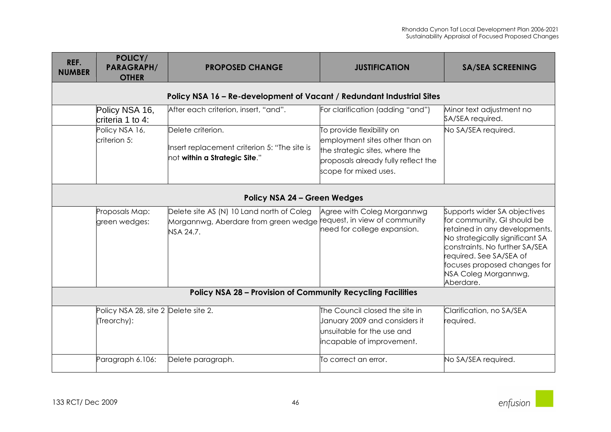| REF.<br><b>NUMBER</b>                                                 | POLICY/<br><b>PARAGRAPH/</b><br><b>OTHER</b>        | <b>PROPOSED CHANGE</b>                                                                                                       | <b>JUSTIFICATION</b>                                                                                                                                          | <b>SA/SEA SCREENING</b>                                                                                                                                                                                                                                          |  |  |
|-----------------------------------------------------------------------|-----------------------------------------------------|------------------------------------------------------------------------------------------------------------------------------|---------------------------------------------------------------------------------------------------------------------------------------------------------------|------------------------------------------------------------------------------------------------------------------------------------------------------------------------------------------------------------------------------------------------------------------|--|--|
| Policy NSA 16 - Re-development of Vacant / Redundant Industrial Sites |                                                     |                                                                                                                              |                                                                                                                                                               |                                                                                                                                                                                                                                                                  |  |  |
|                                                                       | Policy NSA 16,<br>criteria 1 to 4:                  | After each criterion, insert, "and".                                                                                         | For clarification (adding "and")                                                                                                                              | Minor text adjustment no<br>SA/SEA required.                                                                                                                                                                                                                     |  |  |
|                                                                       | Policy NSA 16,<br>criterion 5:                      | Delete criterion.<br>Insert replacement criterion 5: "The site is<br>not within a Strategic Site."                           | To provide flexibility on<br>employment sites other than on<br>the strategic sites, where the<br>proposals already fully reflect the<br>scope for mixed uses. | No SA/SEA required.                                                                                                                                                                                                                                              |  |  |
| <b>Policy NSA 24 - Green Wedges</b>                                   |                                                     |                                                                                                                              |                                                                                                                                                               |                                                                                                                                                                                                                                                                  |  |  |
|                                                                       | Proposals Map:<br>green wedges:                     | Delete site AS (N) 10 Land north of Coleg<br>Morgannwg, Aberdare from green wedge request, in view of community<br>NSA 24.7. | Agree with Coleg Morgannwg<br>need for college expansion.                                                                                                     | Supports wider SA objectives<br>for community, GI should be<br>retained in any developments.<br>No strategically significant SA<br>constraints. No further SA/SEA<br>equired. See SA/SEA of<br>focuses proposed changes for<br>NSA Coleg Morgannwg,<br>Aberdare. |  |  |
| <b>Policy NSA 28 - Provision of Community Recycling Facilities</b>    |                                                     |                                                                                                                              |                                                                                                                                                               |                                                                                                                                                                                                                                                                  |  |  |
|                                                                       | Policy NSA 28, site 2 Delete site 2.<br>(Treorchy): |                                                                                                                              | The Council closed the site in<br>January 2009 and considers it<br>unsuitable for the use and<br>incapable of improvement.                                    | Clarification, no SA/SEA<br>required.                                                                                                                                                                                                                            |  |  |
|                                                                       | Paragraph 6.106:                                    | Delete paragraph.                                                                                                            | To correct an error.                                                                                                                                          | No SA/SEA required.                                                                                                                                                                                                                                              |  |  |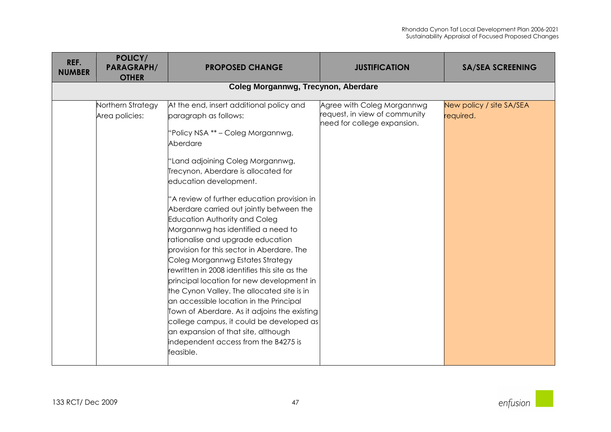| REF.           | <b>POLICY/</b>    |                                                                                                                                                                                                                                                                                                                                                                                                                                                                                                                                                                                                                                                                                                                                                                                                                                                                                                 |                                                                                            |                                       |
|----------------|-------------------|-------------------------------------------------------------------------------------------------------------------------------------------------------------------------------------------------------------------------------------------------------------------------------------------------------------------------------------------------------------------------------------------------------------------------------------------------------------------------------------------------------------------------------------------------------------------------------------------------------------------------------------------------------------------------------------------------------------------------------------------------------------------------------------------------------------------------------------------------------------------------------------------------|--------------------------------------------------------------------------------------------|---------------------------------------|
| <b>NUMBER</b>  | <b>PARAGRAPH/</b> | <b>PROPOSED CHANGE</b>                                                                                                                                                                                                                                                                                                                                                                                                                                                                                                                                                                                                                                                                                                                                                                                                                                                                          | <b>JUSTIFICATION</b>                                                                       | <b>SA/SEA SCREENING</b>               |
|                | <b>OTHER</b>      |                                                                                                                                                                                                                                                                                                                                                                                                                                                                                                                                                                                                                                                                                                                                                                                                                                                                                                 |                                                                                            |                                       |
|                |                   | Coleg Morgannwg, Trecynon, Aberdare                                                                                                                                                                                                                                                                                                                                                                                                                                                                                                                                                                                                                                                                                                                                                                                                                                                             |                                                                                            |                                       |
| Area policies: | Northern Strategy | At the end, insert additional policy and<br>paragraph as follows:<br>"Policy NSA ** - Coleg Morgannwg,<br>Aberdare<br>"Land adjoining Coleg Morgannwg,<br>Trecynon, Aberdare is allocated for<br>education development.<br>"A review of further education provision in<br>Aberdare carried out jointly between the<br>Education Authority and Coleg<br>Morgannwg has identified a need to<br>rationalise and upgrade education<br>provision for this sector in Aberdare. The<br>Coleg Morgannwg Estates Strategy<br>rewritten in 2008 identifies this site as the<br>principal location for new development in<br>the Cynon Valley. The allocated site is in<br>an accessible location in the Principal<br>Town of Aberdare. As it adjoins the existing<br>college campus, it could be developed as<br>an expansion of that site, although<br>independent access from the B4275 is<br>feasible. | Agree with Coleg Morgannwg<br>request, in view of community<br>need for college expansion. | New policy / site SA/SEA<br>required. |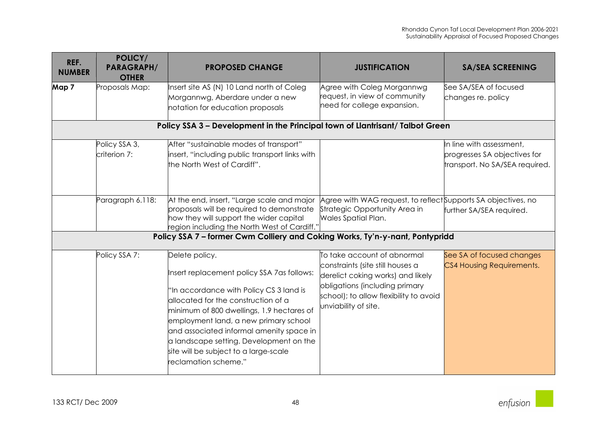| REF.<br><b>NUMBER</b> | POLICY/<br><b>PARAGRAPH/</b><br><b>OTHER</b> | <b>PROPOSED CHANGE</b>                                                                                                                                                                                                                                                                                                                                                                       | <b>JUSTIFICATION</b>                                                                                                                                                                                     | <b>SA/SEA SCREENING</b>                                                                    |
|-----------------------|----------------------------------------------|----------------------------------------------------------------------------------------------------------------------------------------------------------------------------------------------------------------------------------------------------------------------------------------------------------------------------------------------------------------------------------------------|----------------------------------------------------------------------------------------------------------------------------------------------------------------------------------------------------------|--------------------------------------------------------------------------------------------|
| Map 7                 | Proposals Map:                               | Insert site AS (N) 10 Land north of Coleg<br>Morgannwg, Aberdare under a new<br>notation for education proposals<br>Policy SSA 3 - Development in the Principal town of Llantrisant/Talbot Green                                                                                                                                                                                             | Agree with Coleg Morgannwg<br>request, in view of community<br>need for college expansion.                                                                                                               | See SA/SEA of focused<br>changes re. policy                                                |
|                       | Policy SSA 3,<br>criterion 7:                | After "sustainable modes of transport"<br>insert, "including public transport links with<br>the North West of Cardiff".                                                                                                                                                                                                                                                                      |                                                                                                                                                                                                          | In line with assessment,<br>progresses SA objectives for<br>transport. No SA/SEA required. |
|                       | Paragraph 6.118:                             | At the end, insert, "Large scale and major<br>proposals will be required to demonstrate<br>how they will support the wider capital<br>region including the North West of Cardiff."                                                                                                                                                                                                           | Agree with WAG request, to reflect Supports SA objectives, no<br>Strategic Opportunity Area in<br>Wales Spatial Plan.                                                                                    | further SA/SEA required.                                                                   |
|                       |                                              | Policy SSA 7 - former Cwm Colliery and Coking Works, Ty'n-y-nant, Pontypridd                                                                                                                                                                                                                                                                                                                 |                                                                                                                                                                                                          |                                                                                            |
|                       | Policy SSA 7:                                | Delete policy.<br>Insert replacement policy SSA 7as follows:<br>"In accordance with Policy CS 3 land is<br>allocated for the construction of a<br>minimum of 800 dwellings, 1.9 hectares of<br>employment land, a new primary school<br>and associated informal amenity space in<br>a landscape setting. Development on the<br>site will be subject to a large-scale<br>reclamation scheme." | To take account of abnormal<br>constraints (site still houses a<br>derelict coking works) and likely<br>obligations (including primary<br>school); to allow flexibility to avoid<br>unviability of site. | See SA of focused changes<br>CS4 Housing Requirements.                                     |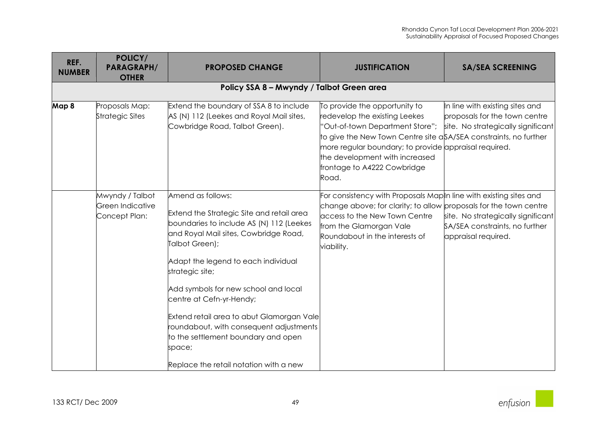| REF.          | POLICY/                                              |                                                                                                                                                                                                                                                                                                                                                                                                                                                                                        |                                                                                                                                                                                                                                                                                                          |                                                                                                        |  |  |
|---------------|------------------------------------------------------|----------------------------------------------------------------------------------------------------------------------------------------------------------------------------------------------------------------------------------------------------------------------------------------------------------------------------------------------------------------------------------------------------------------------------------------------------------------------------------------|----------------------------------------------------------------------------------------------------------------------------------------------------------------------------------------------------------------------------------------------------------------------------------------------------------|--------------------------------------------------------------------------------------------------------|--|--|
| <b>NUMBER</b> | <b>PARAGRAPH/</b><br><b>OTHER</b>                    | <b>PROPOSED CHANGE</b>                                                                                                                                                                                                                                                                                                                                                                                                                                                                 | <b>JUSTIFICATION</b>                                                                                                                                                                                                                                                                                     | <b>SA/SEA SCREENING</b>                                                                                |  |  |
|               | Policy SSA 8 - Mwyndy / Talbot Green area            |                                                                                                                                                                                                                                                                                                                                                                                                                                                                                        |                                                                                                                                                                                                                                                                                                          |                                                                                                        |  |  |
| Map 8         | Proposals Map:<br>Strategic Sites                    | Extend the boundary of SSA 8 to include<br>AS (N) 112 (Leekes and Royal Mail sites,<br>Cowbridge Road, Talbot Green).                                                                                                                                                                                                                                                                                                                                                                  | To provide the opportunity to<br>redevelop the existing Leekes<br>"Out-of-town Department Store";<br>to give the New Town Centre site aSA/SEA constraints, no further<br>more regular boundary; to provide appraisal required.<br>the development with increased<br>frontage to A4222 Cowbridge<br>Road. | In line with existing sites and<br>proposals for the town centre<br>site. No strategically significant |  |  |
|               | Mwyndy / Talbot<br>Green Indicative<br>Concept Plan: | Amend as follows:<br>Extend the Strategic Site and retail area<br>boundaries to include AS (N) 112 (Leekes<br>and Royal Mail sites, Cowbridge Road,<br>Talbot Green);<br>Adapt the legend to each individual<br>strategic site;<br>Add symbols for new school and local<br>centre at Cefn-yr-Hendy;<br>Extend retail area to abut Glamorgan Vale<br>roundabout, with consequent adjustments<br>to the settlement boundary and open<br>space;<br>Replace the retail notation with a new | For consistency with Proposals Map In line with existing sites and<br>change above; for clarity; to allow proposals for the town centre<br>access to the New Town Centre<br>from the Glamorgan Vale<br>Roundabout in the interests of<br>viability.                                                      | site. No strategically significant<br>SA/SEA constraints, no further<br>appraisal required.            |  |  |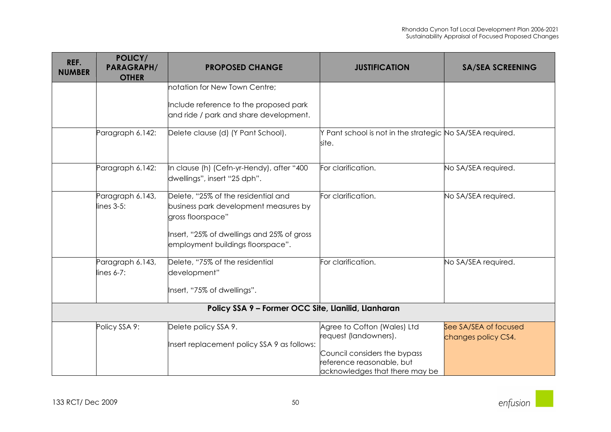| REF.<br><b>NUMBER</b>                               | POLICY/<br><b>PARAGRAPH/</b><br><b>OTHER</b> | <b>PROPOSED CHANGE</b>                                                                                                                                                               | <b>JUSTIFICATION</b>                                                                                                                                | <b>SA/SEA SCREENING</b>                      |  |
|-----------------------------------------------------|----------------------------------------------|--------------------------------------------------------------------------------------------------------------------------------------------------------------------------------------|-----------------------------------------------------------------------------------------------------------------------------------------------------|----------------------------------------------|--|
|                                                     |                                              | notation for New Town Centre:                                                                                                                                                        |                                                                                                                                                     |                                              |  |
|                                                     |                                              | Include reference to the proposed park<br>and ride / park and share development.                                                                                                     |                                                                                                                                                     |                                              |  |
|                                                     | Paragraph 6.142:                             | Delete clause (d) (Y Pant School).                                                                                                                                                   | Y Pant school is not in the strategic No SA/SEA required.<br>lsite.                                                                                 |                                              |  |
|                                                     | Paragraph 6.142:                             | In clause (h) (Cefn-yr-Hendy), after "400<br>dwellings", insert "25 dph".                                                                                                            | For clarification.                                                                                                                                  | No SA/SEA required.                          |  |
|                                                     | Paragraph 6.143,<br>$lines$ 3-5:             | Delete, "25% of the residential and<br>business park development measures by<br>gross floorspace"<br>Insert, "25% of dwellings and 25% of gross<br>employment buildings floorspace". | For clarification.                                                                                                                                  | No SA/SEA required.                          |  |
|                                                     | Paragraph 6.143,<br>$lines 6-7:$             | Delete, "75% of the residential<br>development"<br>Insert, "75% of dwellings".                                                                                                       | For clarification.                                                                                                                                  | No SA/SEA required.                          |  |
| Policy SSA 9 - Former OCC Site, Llanilid, Llanharan |                                              |                                                                                                                                                                                      |                                                                                                                                                     |                                              |  |
|                                                     | Policy SSA 9:                                | Delete policy SSA 9.<br>Insert replacement policy SSA 9 as follows:                                                                                                                  | Agree to Cofton (Wales) Ltd<br>request (landowners).<br>Council considers the bypass<br>reference reasonable, but<br>acknowledges that there may be | See SA/SEA of focused<br>changes policy CS4. |  |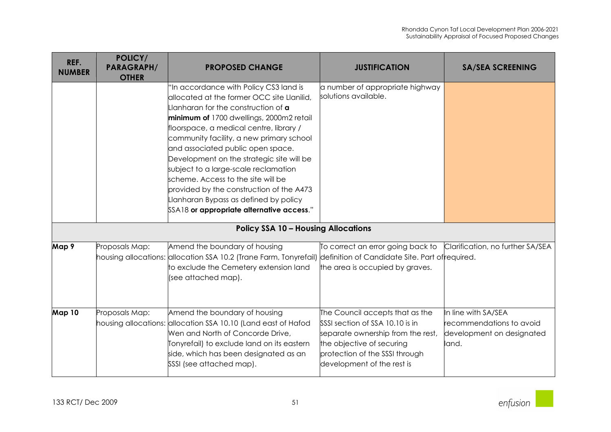| REF.<br><b>NUMBER</b> | POLICY/<br><b>PARAGRAPH/</b><br><b>OTHER</b> | <b>PROPOSED CHANGE</b>                                                                                                                                                                                                                                                                                                                                                                                                                                                                                                    | <b>JUSTIFICATION</b>                                                                                                                                                                                 | <b>SA/SEA SCREENING</b>                                                               |
|-----------------------|----------------------------------------------|---------------------------------------------------------------------------------------------------------------------------------------------------------------------------------------------------------------------------------------------------------------------------------------------------------------------------------------------------------------------------------------------------------------------------------------------------------------------------------------------------------------------------|------------------------------------------------------------------------------------------------------------------------------------------------------------------------------------------------------|---------------------------------------------------------------------------------------|
|                       |                                              | "In accordance with Policy CS3 land is<br>allocated at the former OCC site Llanilid,<br>lanharan for the construction of <b>a</b><br>minimum of 1700 dwellings, 2000m2 retail<br>floorspace, a medical centre, library /<br>community facility, a new primary school<br>and associated public open space.<br>Development on the strategic site will be<br>subject to a large-scale reclamation<br>scheme. Access to the site will be<br>provided by the construction of the A473<br>Llanharan Bypass as defined by policy | a number of appropriate highway<br>solutions available.                                                                                                                                              |                                                                                       |
|                       |                                              | SSA18 or appropriate alternative access."                                                                                                                                                                                                                                                                                                                                                                                                                                                                                 |                                                                                                                                                                                                      |                                                                                       |
|                       |                                              | <b>Policy SSA 10 - Housing Allocations</b>                                                                                                                                                                                                                                                                                                                                                                                                                                                                                |                                                                                                                                                                                                      |                                                                                       |
| Map 9                 | Proposals Map:                               | Amend the boundary of housing<br>housing allocations: allocation SSA 10.2 (Trane Farm, Tonyrefail) definition of Candidate Site. Part of required.<br>to exclude the Cemetery extension land<br>(see attached map).                                                                                                                                                                                                                                                                                                       | To correct an error going back to<br>the area is occupied by graves.                                                                                                                                 | Clarification, no further SA/SEA                                                      |
| Map 10                | Proposals Map:                               | Amend the boundary of housing<br>housing allocations: allocation SSA 10.10 (Land east of Hafod<br>Wen and North of Concorde Drive,<br>Tonyrefail) to exclude land on its eastern<br>side, which has been designated as an<br>SSSI (see attached map).                                                                                                                                                                                                                                                                     | The Council accepts that as the<br>SSSI section of SSA 10.10 is in<br>separate ownership from the rest,<br>the objective of securing<br>protection of the SSSI through<br>development of the rest is | In line with SA/SEA<br>recommendations to avoid<br>development on designated<br>land. |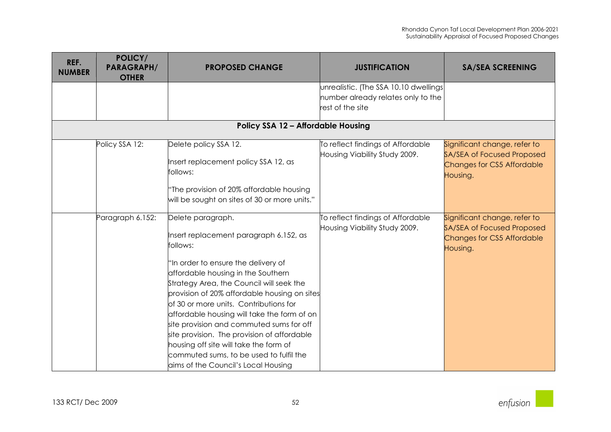| REF.<br><b>NUMBER</b> | POLICY/<br><b>PARAGRAPH/</b><br><b>OTHER</b> | <b>PROPOSED CHANGE</b>                                                                                                                                                                                                                                                                                                                                                                                                                                                                                                                                           | <b>JUSTIFICATION</b>                                               | <b>SA/SEA SCREENING</b>                                                                                     |
|-----------------------|----------------------------------------------|------------------------------------------------------------------------------------------------------------------------------------------------------------------------------------------------------------------------------------------------------------------------------------------------------------------------------------------------------------------------------------------------------------------------------------------------------------------------------------------------------------------------------------------------------------------|--------------------------------------------------------------------|-------------------------------------------------------------------------------------------------------------|
|                       |                                              |                                                                                                                                                                                                                                                                                                                                                                                                                                                                                                                                                                  | unrealistic. (The SSA 10.10 dwellings                              |                                                                                                             |
|                       |                                              |                                                                                                                                                                                                                                                                                                                                                                                                                                                                                                                                                                  | number already relates only to the<br>rest of the site             |                                                                                                             |
|                       |                                              | <b>Policy SSA 12 - Affordable Housing</b>                                                                                                                                                                                                                                                                                                                                                                                                                                                                                                                        |                                                                    |                                                                                                             |
|                       |                                              |                                                                                                                                                                                                                                                                                                                                                                                                                                                                                                                                                                  |                                                                    |                                                                                                             |
|                       | Policy SSA 12:                               | Delete policy SSA 12.<br>Insert replacement policy SSA 12, as<br>follows:                                                                                                                                                                                                                                                                                                                                                                                                                                                                                        | To reflect findings of Affordable<br>Housing Viability Study 2009. | Significant change, refer to<br><b>SA/SEA of Focused Proposed</b><br>Changes for CS5 Affordable             |
|                       |                                              | "The provision of 20% affordable housing<br>will be sought on sites of 30 or more units."                                                                                                                                                                                                                                                                                                                                                                                                                                                                        |                                                                    | Housing.                                                                                                    |
|                       | Paragraph 6.152:                             | Delete paragraph.<br>Insert replacement paragraph 6.152, as<br>follows:<br>"In order to ensure the delivery of<br>affordable housing in the Southern<br>Strategy Area, the Council will seek the<br>provision of 20% affordable housing on sites<br>of 30 or more units. Contributions for<br>affordable housing will take the form of on<br>site provision and commuted sums for off<br>site provision. The provision of affordable<br>housing off site will take the form of<br>commuted sums, to be used to fulfil the<br>aims of the Council's Local Housing | To reflect findings of Affordable<br>Housing Viability Study 2009. | Significant change, refer to<br><b>SA/SEA of Focused Proposed</b><br>Changes for CS5 Affordable<br>Housing. |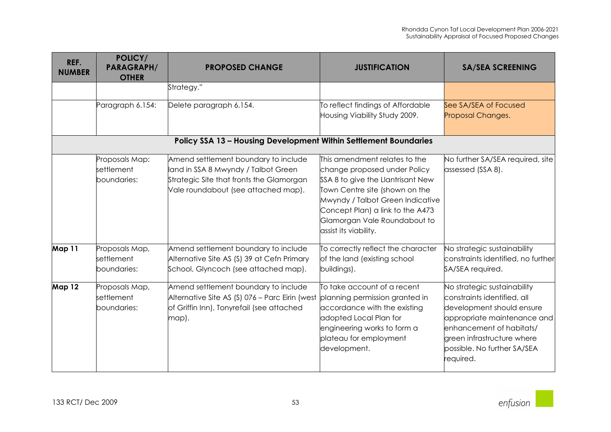| REF.<br><b>NUMBER</b> | POLICY/<br><b>PARAGRAPH/</b><br><b>OTHER</b> | <b>PROPOSED CHANGE</b>                                                                                                                                         | <b>JUSTIFICATION</b>                                                                                                                                                                                                                                                  | <b>SA/SEA SCREENING</b>                                                                                                                                                                                                      |
|-----------------------|----------------------------------------------|----------------------------------------------------------------------------------------------------------------------------------------------------------------|-----------------------------------------------------------------------------------------------------------------------------------------------------------------------------------------------------------------------------------------------------------------------|------------------------------------------------------------------------------------------------------------------------------------------------------------------------------------------------------------------------------|
|                       |                                              | Strategy."                                                                                                                                                     |                                                                                                                                                                                                                                                                       |                                                                                                                                                                                                                              |
|                       | Paragraph 6.154:                             | Delete paragraph 6.154.                                                                                                                                        | To reflect findings of Affordable<br>Housing Viability Study 2009.                                                                                                                                                                                                    | See SA/SEA of Focused<br>Proposal Changes.                                                                                                                                                                                   |
|                       |                                              | Policy SSA 13 - Housing Development Within Settlement Boundaries                                                                                               |                                                                                                                                                                                                                                                                       |                                                                                                                                                                                                                              |
|                       | Proposals Map:<br>settlement<br>boundaries:  | Amend settlement boundary to include<br>land in SSA 8 Mwyndy / Talbot Green<br>Strategic Site that fronts the Glamorgan<br>Vale roundabout (see attached map). | This amendment relates to the<br>change proposed under Policy<br>SSA 8 to give the Llantrisant New<br>Town Centre site (shown on the<br>Mwyndy / Talbot Green Indicative<br>Concept Plan) a link to the A473<br>Glamorgan Vale Roundabout to<br>assist its viability. | No further SA/SEA required, site<br>assessed (SSA 8).                                                                                                                                                                        |
| Map 11                | Proposals Map,<br>settlement<br>boundaries:  | Amend settlement boundary to include<br>Alternative Site AS (S) 39 at Cefn Primary<br>School, Glyncoch (see attached map).                                     | To correctly reflect the character<br>of the land (existing school<br>buildings).                                                                                                                                                                                     | No strategic sustainability<br>constraints identified, no further<br>SA/SEA required.                                                                                                                                        |
| <b>Map 12</b>         | Proposals Map,<br>settlement<br>boundaries:  | Amend settlement boundary to include<br>Alternative Site AS (S) 076 - Parc Eirin (west<br>of Griffin Inn), Tonyrefail (see attached<br>map).                   | To take account of a recent<br>planning permission granted in<br>accordance with the existing<br>adopted Local Plan for<br>engineering works to form a<br>plateau for employment<br>development.                                                                      | No strategic sustainability<br>constraints identified, all<br>development should ensure<br>appropriate maintenance and<br>enhancement of habitats/<br>green infrastructure where<br>possible. No further SA/SEA<br>required. |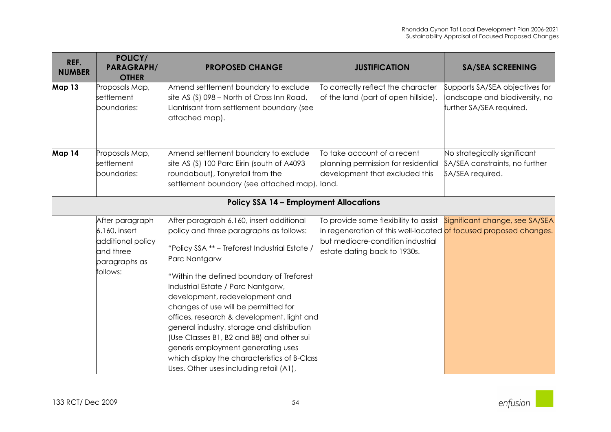| REF.<br><b>NUMBER</b> | POLICY/<br><b>PARAGRAPH/</b><br><b>OTHER</b>                                                    | <b>PROPOSED CHANGE</b>                                                                                                                                                                                                                                                                                                                                                                                                                                                                                                                                                                        | <b>JUSTIFICATION</b>                                                                                                                                                            | <b>SA/SEA SCREENING</b>                                                                      |
|-----------------------|-------------------------------------------------------------------------------------------------|-----------------------------------------------------------------------------------------------------------------------------------------------------------------------------------------------------------------------------------------------------------------------------------------------------------------------------------------------------------------------------------------------------------------------------------------------------------------------------------------------------------------------------------------------------------------------------------------------|---------------------------------------------------------------------------------------------------------------------------------------------------------------------------------|----------------------------------------------------------------------------------------------|
| Map 13                | Proposals Map,<br>settlement<br>boundaries:                                                     | Amend settlement boundary to exclude<br>site AS (S) 098 - North of Cross Inn Road,<br>Llantrisant from settlement boundary (see<br>attached map).                                                                                                                                                                                                                                                                                                                                                                                                                                             | To correctly reflect the character<br>of the land (part of open hillside).                                                                                                      | Supports SA/SEA objectives for<br>landscape and biodiversity, no<br>further SA/SEA required. |
| Map 14                | Proposals Map,<br>settlement<br>boundaries:                                                     | Amend settlement boundary to exclude<br>site AS (S) 100 Parc Eirin (south of A4093<br>roundabout), Tonyrefail from the<br>settlement boundary (see attached map).                                                                                                                                                                                                                                                                                                                                                                                                                             | To take account of a recent<br>planning permission for residential<br>development that excluded this<br>land.                                                                   | No strategically significant<br>SA/SEA constraints, no further<br>SA/SEA required.           |
|                       |                                                                                                 | <b>Policy SSA 14 - Employment Allocations</b>                                                                                                                                                                                                                                                                                                                                                                                                                                                                                                                                                 |                                                                                                                                                                                 |                                                                                              |
|                       | After paragraph<br>6.160, insert<br>additional policy<br>and three<br>paragraphs as<br>follows: | After paragraph 6.160, insert additional<br>policy and three paragraphs as follows:<br>"Policy SSA ** - Treforest Industrial Estate /<br>Parc Nantgarw<br>"Within the defined boundary of Treforest<br>Industrial Estate / Parc Nantgarw,<br>development, redevelopment and<br>changes of use will be permitted for<br>offices, research & development, light and<br>general industry, storage and distribution<br>(Use Classes B1, B2 and B8) and other sui<br>generis employment generating uses<br>which display the characteristics of B-Class<br>Uses. Other uses including retail (A1), | To provide some flexibility to assist<br>in regeneration of this well-located of focused proposed changes.<br>but mediocre-condition industrial<br>estate dating back to 1930s. | Significant change, see SA/SEA                                                               |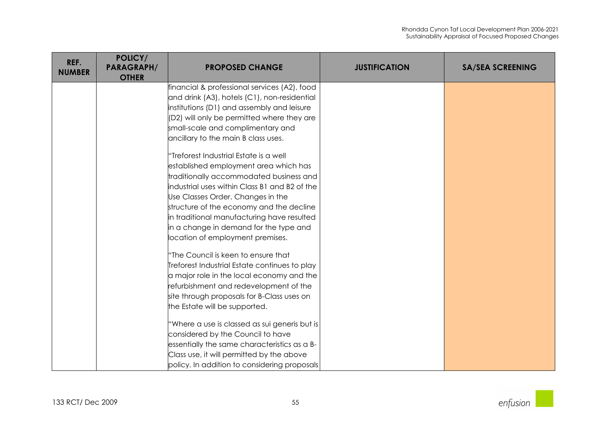| REF.<br><b>NUMBER</b> | POLICY/<br><b>PARAGRAPH/</b><br><b>OTHER</b> | <b>PROPOSED CHANGE</b>                        | <b>JUSTIFICATION</b> | <b>SA/SEA SCREENING</b> |
|-----------------------|----------------------------------------------|-----------------------------------------------|----------------------|-------------------------|
|                       |                                              | financial & professional services (A2), food  |                      |                         |
|                       |                                              | and drink (A3), hotels (C1), non-residential  |                      |                         |
|                       |                                              | institutions (D1) and assembly and leisure    |                      |                         |
|                       |                                              | (D2) will only be permitted where they are    |                      |                         |
|                       |                                              | small-scale and complimentary and             |                      |                         |
|                       |                                              | ancillary to the main B class uses.           |                      |                         |
|                       |                                              | "Treforest Industrial Estate is a well        |                      |                         |
|                       |                                              | established employment area which has         |                      |                         |
|                       |                                              | traditionally accommodated business and       |                      |                         |
|                       |                                              | industrial uses within Class B1 and B2 of the |                      |                         |
|                       |                                              | Use Classes Order. Changes in the             |                      |                         |
|                       |                                              | structure of the economy and the decline      |                      |                         |
|                       |                                              | in traditional manufacturing have resulted    |                      |                         |
|                       |                                              | in a change in demand for the type and        |                      |                         |
|                       |                                              | location of employment premises.              |                      |                         |
|                       |                                              | 'The Council is keen to ensure that           |                      |                         |
|                       |                                              | Treforest Industrial Estate continues to play |                      |                         |
|                       |                                              | a major role in the local economy and the     |                      |                         |
|                       |                                              | refurbishment and redevelopment of the        |                      |                         |
|                       |                                              | site through proposals for B-Class uses on    |                      |                         |
|                       |                                              | the Estate will be supported.                 |                      |                         |
|                       |                                              | 'Where a use is classed as sui generis but is |                      |                         |
|                       |                                              | considered by the Council to have             |                      |                         |
|                       |                                              | essentially the same characteristics as a B-  |                      |                         |
|                       |                                              | Class use, it will permitted by the above     |                      |                         |
|                       |                                              | policy. In addition to considering proposals  |                      |                         |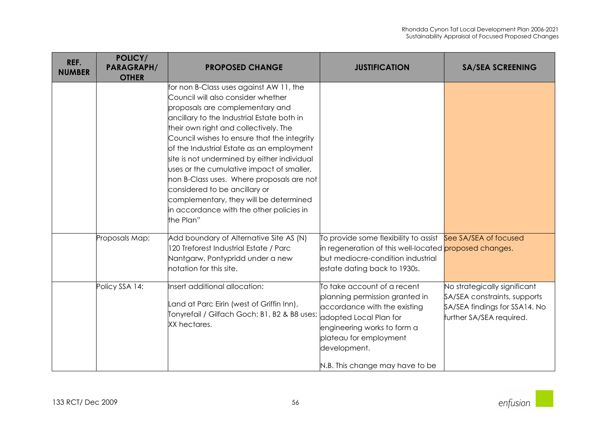| REF.<br><b>NUMBER</b> | POLICY/<br><b>PARAGRAPH/</b><br><b>OTHER</b> | <b>PROPOSED CHANGE</b>                                                                                                                                                                                                                                                                                                                                                                                                                                                                                                                                                           | <b>JUSTIFICATION</b>                                                                                                                                                                                                                | <b>SA/SEA SCREENING</b>                                                                                                   |
|-----------------------|----------------------------------------------|----------------------------------------------------------------------------------------------------------------------------------------------------------------------------------------------------------------------------------------------------------------------------------------------------------------------------------------------------------------------------------------------------------------------------------------------------------------------------------------------------------------------------------------------------------------------------------|-------------------------------------------------------------------------------------------------------------------------------------------------------------------------------------------------------------------------------------|---------------------------------------------------------------------------------------------------------------------------|
|                       |                                              | for non B-Class uses against AW 11, the<br>Council will also consider whether<br>proposals are complementary and<br>ancillary to the Industrial Estate both in<br>their own right and collectively. The<br>Council wishes to ensure that the integrity<br>of the Industrial Estate as an employment<br>site is not undermined by either individual<br>uses or the cumulative impact of smaller,<br>non B-Class uses. Where proposals are not<br>considered to be ancillary or<br>complementary, they will be determined<br>in accordance with the other policies in<br>the Plan" |                                                                                                                                                                                                                                     |                                                                                                                           |
|                       | Proposals Map:                               | Add boundary of Alternative Site AS (N)<br>120 Treforest Industrial Estate / Parc<br>Nantgarw, Pontypridd under a new<br>notation for this site.                                                                                                                                                                                                                                                                                                                                                                                                                                 | To provide some flexibility to assist See SA/SEA of focused<br>in regeneration of this well-located proposed changes.<br>but mediocre-condition industrial<br>estate dating back to 1930s.                                          |                                                                                                                           |
|                       | Policy SSA 14:                               | Insert additional allocation:<br>and at Parc Eirin (west of Griffin Inn),<br>Tonyrefail / Gilfach Goch; B1, B2 & B8 uses;<br>XX hectares.                                                                                                                                                                                                                                                                                                                                                                                                                                        | To take account of a recent<br>planning permission granted in<br>accordance with the existing<br>adopted Local Plan for<br>engineering works to form a<br>plateau for employment<br>development.<br>N.B. This change may have to be | No strategically significant<br>SA/SEA constraints, supports<br>SA/SEA findings for SSA14. No<br>further SA/SEA required. |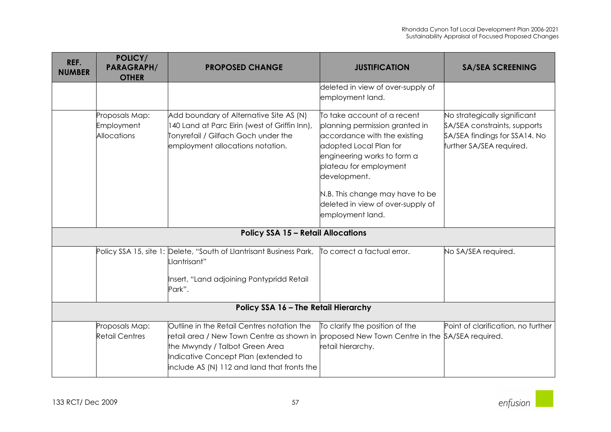| REF.<br><b>NUMBER</b>                | POLICY/<br><b>PARAGRAPH/</b><br><b>OTHER</b>       | <b>PROPOSED CHANGE</b>                                                                                                                                                                                           | <b>JUSTIFICATION</b>                                                                                                                                                                                                                                                                         | <b>SA/SEA SCREENING</b>                                                                                                   |
|--------------------------------------|----------------------------------------------------|------------------------------------------------------------------------------------------------------------------------------------------------------------------------------------------------------------------|----------------------------------------------------------------------------------------------------------------------------------------------------------------------------------------------------------------------------------------------------------------------------------------------|---------------------------------------------------------------------------------------------------------------------------|
|                                      |                                                    |                                                                                                                                                                                                                  | deleted in view of over-supply of<br>employment land.                                                                                                                                                                                                                                        |                                                                                                                           |
|                                      | Proposals Map:<br>Employment<br><b>Allocations</b> | Add boundary of Alternative Site AS (N)<br>140 Land at Parc Eirin (west of Griffin Inn),<br>Tonyrefail / Gilfach Goch under the<br>employment allocations notation.                                              | To take account of a recent<br>planning permission granted in<br>accordance with the existing<br>adopted Local Plan for<br>engineering works to form a<br>plateau for employment<br>development.<br>N.B. This change may have to be<br>deleted in view of over-supply of<br>employment land. | No strategically significant<br>SA/SEA constraints, supports<br>SA/SEA findings for SSA14. No<br>further SA/SEA required. |
|                                      |                                                    | <b>Policy SSA 15 - Retail Allocations</b>                                                                                                                                                                        |                                                                                                                                                                                                                                                                                              |                                                                                                                           |
|                                      |                                                    | Policy SSA 15, site 1: Delete, "South of Llantrisant Business Park,<br>.lantrisant"<br>Insert, "Land adjoining Pontypridd Retail<br>Park".                                                                       | To correct a factual error.                                                                                                                                                                                                                                                                  | No SA/SEA required.                                                                                                       |
| Policy SSA 16 - The Retail Hierarchy |                                                    |                                                                                                                                                                                                                  |                                                                                                                                                                                                                                                                                              |                                                                                                                           |
|                                      | Proposals Map:<br><b>Retail Centres</b>            | Outline in the Retail Centres notation the<br>retail area / New Town Centre as shown in<br>the Mwyndy / Talbot Green Area<br>Indicative Concept Plan (extended to<br>include AS (N) 112 and land that fronts the | To clarify the position of the<br>proposed New Town Centre in the SA/SEA required.<br>retail hierarchy.                                                                                                                                                                                      | Point of clarification, no further                                                                                        |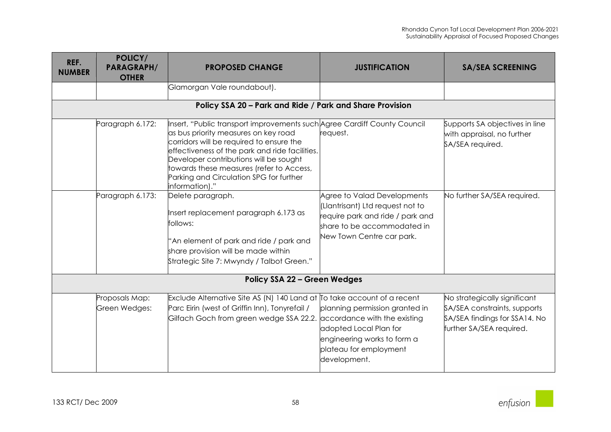| REF.<br><b>NUMBER</b> | POLICY/<br><b>PARAGRAPH/</b><br><b>OTHER</b> | <b>PROPOSED CHANGE</b>                                                                                                                                                                                                                                                                                                                                            | <b>JUSTIFICATION</b>                                                                                                                                              | <b>SA/SEA SCREENING</b>                                                                                                   |
|-----------------------|----------------------------------------------|-------------------------------------------------------------------------------------------------------------------------------------------------------------------------------------------------------------------------------------------------------------------------------------------------------------------------------------------------------------------|-------------------------------------------------------------------------------------------------------------------------------------------------------------------|---------------------------------------------------------------------------------------------------------------------------|
|                       |                                              | Glamorgan Vale roundabout).                                                                                                                                                                                                                                                                                                                                       |                                                                                                                                                                   |                                                                                                                           |
|                       |                                              | Policy SSA 20 - Park and Ride / Park and Share Provision                                                                                                                                                                                                                                                                                                          |                                                                                                                                                                   |                                                                                                                           |
|                       | Paragraph 6.172:                             | Insert, "Public transport improvements such Agree Cardiff County Council<br>as bus priority measures on key road<br>corridors will be required to ensure the<br>effectiveness of the park and ride facilities.<br>Developer contributions will be sought<br>towards these measures (refer to Access,<br>Parking and Circulation SPG for further<br>information)." | request.                                                                                                                                                          | Supports SA objectives in line<br>with appraisal, no further<br>SA/SEA required.                                          |
|                       | Paragraph 6.173:                             | Delete paragraph.<br>Insert replacement paragraph 6.173 as<br>follows:<br>"An element of park and ride / park and<br>share provision will be made within<br>Strategic Site 7: Mwyndy / Talbot Green."                                                                                                                                                             | Agree to Valad Developments<br>(Llantrisant) Ltd request not to<br>require park and ride / park and<br>share to be accommodated in<br>New Town Centre car park.   | No further SA/SEA required.                                                                                               |
|                       |                                              | <b>Policy SSA 22 - Green Wedges</b>                                                                                                                                                                                                                                                                                                                               |                                                                                                                                                                   |                                                                                                                           |
|                       | Proposals Map:<br>Green Wedges:              | Exclude Alternative Site AS (N) 140 Land at $\overline{I}$ o take account of a recent<br>Parc Eirin (west of Griffin Inn), Tonyrefail /<br>Gilfach Goch from green wedge SSA 22.2.                                                                                                                                                                                | planning permission granted in<br>accordance with the existing<br>adopted Local Plan for<br>engineering works to form a<br>plateau for employment<br>development. | No strategically significant<br>SA/SEA constraints, supports<br>SA/SEA findings for SSA14. No<br>further SA/SEA required. |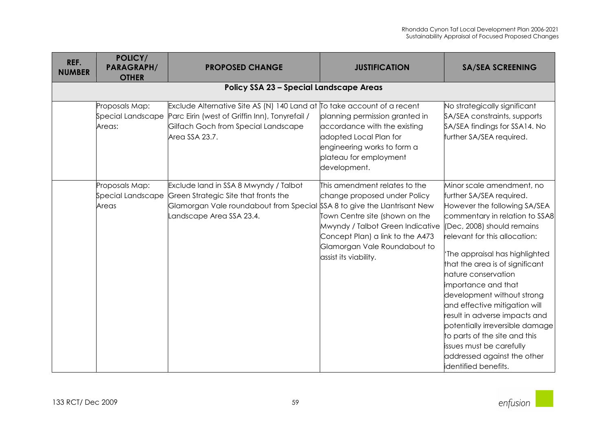| REF.          | POLICY/                                       |                                                                                                                                                                                      |                                                                                                                                                                                                                                  |                                                                                                                                                                                                                                                                                                                                                                                                                                                                                                                                                                 |
|---------------|-----------------------------------------------|--------------------------------------------------------------------------------------------------------------------------------------------------------------------------------------|----------------------------------------------------------------------------------------------------------------------------------------------------------------------------------------------------------------------------------|-----------------------------------------------------------------------------------------------------------------------------------------------------------------------------------------------------------------------------------------------------------------------------------------------------------------------------------------------------------------------------------------------------------------------------------------------------------------------------------------------------------------------------------------------------------------|
| <b>NUMBER</b> | <b>PARAGRAPH/</b>                             | <b>PROPOSED CHANGE</b>                                                                                                                                                               | <b>JUSTIFICATION</b>                                                                                                                                                                                                             | <b>SA/SEA SCREENING</b>                                                                                                                                                                                                                                                                                                                                                                                                                                                                                                                                         |
|               | <b>OTHER</b>                                  |                                                                                                                                                                                      |                                                                                                                                                                                                                                  |                                                                                                                                                                                                                                                                                                                                                                                                                                                                                                                                                                 |
|               |                                               | <b>Policy SSA 23 - Special Landscape Areas</b>                                                                                                                                       |                                                                                                                                                                                                                                  |                                                                                                                                                                                                                                                                                                                                                                                                                                                                                                                                                                 |
|               | Proposals Map:<br>Special Landscape<br>Areas: | Exclude Alternative Site AS (N) 140 Land at To take account of a recent<br>Parc Eirin (west of Griffin Inn), Tonyrefail /<br>Gilfach Goch from Special Landscape<br>Area SSA 23.7.   | planning permission granted in<br>accordance with the existing<br>adopted Local Plan for<br>engineering works to form a<br>plateau for employment<br>development.                                                                | No strategically significant<br>SA/SEA constraints, supports<br>SA/SEA findings for SSA14. No<br>further SA/SEA required.                                                                                                                                                                                                                                                                                                                                                                                                                                       |
|               | Proposals Map:<br>Special Landscape<br>Areas  | Exclude land in SSA 8 Mwyndy / Talbot<br>Green Strategic Site that fronts the<br>Glamorgan Vale roundabout from Special SSA 8 to give the Llantrisant New<br>andscape Area SSA 23.4. | This amendment relates to the<br>change proposed under Policy<br>Town Centre site (shown on the<br>Mwyndy / Talbot Green Indicative<br>Concept Plan) a link to the A473<br>Glamorgan Vale Roundabout to<br>assist its viability. | Minor scale amendment, no<br>further SA/SEA required.<br>However the following SA/SEA<br>commentary in relation to SSA8<br>(Dec, 2008) should remains<br>elevant for this allocation:<br>'The appraisal has highlighted<br>that the area is of significant<br>nature conservation<br>importance and that<br>development without strong<br>and effective mitigation will<br>result in adverse impacts and<br>potentially irreversible damage<br>to parts of the site and this<br>issues must be carefully<br>addressed against the other<br>identified benefits. |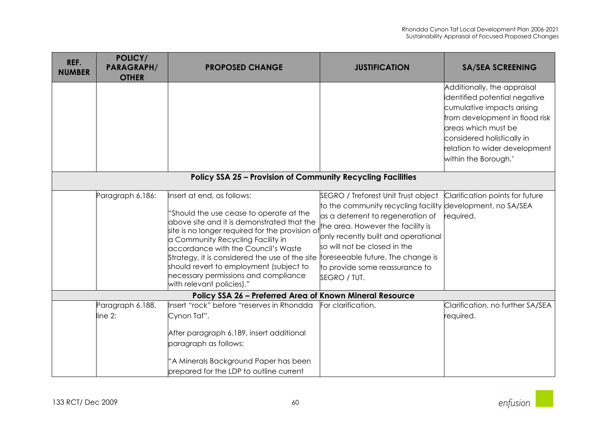| REF.<br><b>NUMBER</b> | POLICY/<br><b>PARAGRAPH/</b><br><b>OTHER</b> | <b>PROPOSED CHANGE</b>                                                                                                                                                                                                                                                                                                                                                                                                                                 | <b>JUSTIFICATION</b>                                                                                                                                                                                                                                                                                 | <b>SA/SEA SCREENING</b>                                                                                                                                                                                                                    |
|-----------------------|----------------------------------------------|--------------------------------------------------------------------------------------------------------------------------------------------------------------------------------------------------------------------------------------------------------------------------------------------------------------------------------------------------------------------------------------------------------------------------------------------------------|------------------------------------------------------------------------------------------------------------------------------------------------------------------------------------------------------------------------------------------------------------------------------------------------------|--------------------------------------------------------------------------------------------------------------------------------------------------------------------------------------------------------------------------------------------|
|                       |                                              | <b>Policy SSA 25 - Provision of Community Recycling Facilities</b>                                                                                                                                                                                                                                                                                                                                                                                     |                                                                                                                                                                                                                                                                                                      | Additionally, the appraisal<br>identified potential negative<br>cumulative impacts arising<br>from development in flood risk<br>areas which must be<br>considered holistically in<br>relation to wider development<br>within the Borough.' |
|                       | Paragraph 6.186:                             | Insert at end, as follows:<br>"Should the use cease to operate at the<br>above site and it is demonstrated that the<br>site is no longer required for the provision of<br>a Community Recycling Facility in<br>accordance with the Council's Waste<br>Strategy, it is considered the use of the site foreseeable future. The change is<br>should revert to employment (subject to<br>necessary permissions and compliance<br>with relevant policies)." | SEGRO / Treforest Unit Trust object<br>to the community recycling facility development, no SA/SEA<br>as a deterrent to regeneration of<br>the area. However the facility is<br>only recently built and operational<br>so will not be closed in the<br>to provide some reassurance to<br>SEGRO / TUT. | Clarification points for future<br>required.                                                                                                                                                                                               |
|                       |                                              | Policy SSA 26 - Preferred Area of Known Mineral Resource                                                                                                                                                                                                                                                                                                                                                                                               |                                                                                                                                                                                                                                                                                                      |                                                                                                                                                                                                                                            |
|                       | Paragraph 6.188,<br>$line 2$ :               | Insert "rock" before "reserves in Rhondda<br>Cynon Taf".<br>After paragraph 6.189, insert additional<br>paragraph as follows:<br>'A Minerals Background Paper has been<br>prepared for the LDP to outline current                                                                                                                                                                                                                                      | For clarification.                                                                                                                                                                                                                                                                                   | Clarification, no further SA/SEA<br>required.                                                                                                                                                                                              |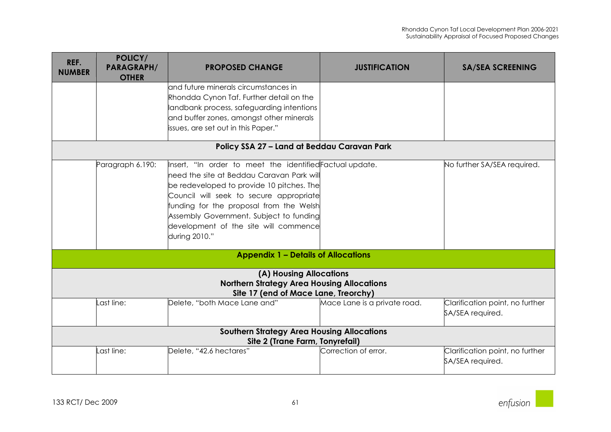| REF.<br><b>NUMBER</b> | POLICY/<br><b>PARAGRAPH/</b><br><b>OTHER</b> | <b>PROPOSED CHANGE</b>                                                                    | <b>JUSTIFICATION</b>         | <b>SA/SEA SCREENING</b>         |
|-----------------------|----------------------------------------------|-------------------------------------------------------------------------------------------|------------------------------|---------------------------------|
|                       |                                              | land future minerals circumstances in                                                     |                              |                                 |
|                       |                                              | Rhondda Cynon Taf. Further detail on the                                                  |                              |                                 |
|                       |                                              | landbank process, safeguarding intentions                                                 |                              |                                 |
|                       |                                              | and buffer zones, amongst other minerals                                                  |                              |                                 |
|                       |                                              | issues, are set out in this Paper."                                                       |                              |                                 |
|                       |                                              | Policy SSA 27 - Land at Beddau Caravan Park                                               |                              |                                 |
|                       |                                              |                                                                                           |                              |                                 |
|                       | Paragraph 6.190:                             | Insert, "In order to meet the identified Factual update.                                  |                              | No further SA/SEA required.     |
|                       |                                              | need the site at Beddau Caravan Park will                                                 |                              |                                 |
|                       |                                              | be redeveloped to provide 10 pitches. The<br>Council will seek to secure appropriate      |                              |                                 |
|                       |                                              | funding for the proposal from the Welsh                                                   |                              |                                 |
|                       |                                              | Assembly Government. Subject to funding                                                   |                              |                                 |
|                       |                                              | development of the site will commence                                                     |                              |                                 |
|                       |                                              | during 2010."                                                                             |                              |                                 |
|                       |                                              |                                                                                           |                              |                                 |
|                       |                                              | <b>Appendix 1 - Details of Allocations</b>                                                |                              |                                 |
|                       |                                              | (A) Housing Allocations                                                                   |                              |                                 |
|                       |                                              | <b>Northern Strategy Area Housing Allocations</b><br>Site 17 (end of Mace Lane, Treorchy) |                              |                                 |
|                       | Last line:                                   | Delete, "both Mace Lane and"                                                              | Mace Lane is a private road. | Clarification point, no further |
|                       |                                              |                                                                                           |                              | SA/SEA required.                |
|                       |                                              | <b>Southern Strategy Area Housing Allocations</b>                                         |                              |                                 |
|                       |                                              | Site 2 (Trane Farm, Tonyrefail)                                                           |                              |                                 |
|                       | _ast line:                                   | Delete, "42.6 hectares"                                                                   | Correction of error.         | Clarification point, no further |
|                       |                                              |                                                                                           |                              | SA/SEA required.                |
|                       |                                              |                                                                                           |                              |                                 |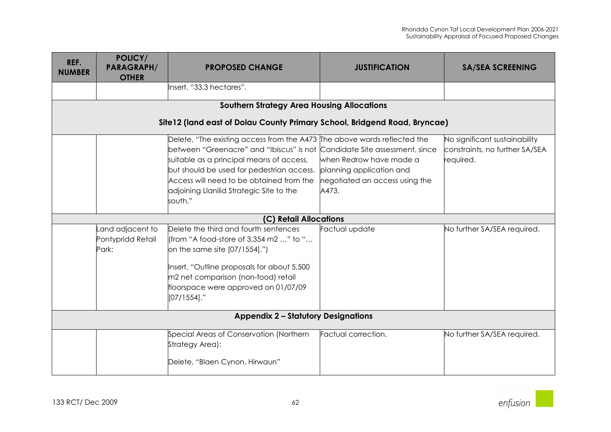| REF.<br><b>NUMBER</b> | POLICY/<br><b>PARAGRAPH/</b><br><b>OTHER</b>   | <b>PROPOSED CHANGE</b>                                                                                                                                                                                                                                                                                                                            | <b>JUSTIFICATION</b>                                                                           | <b>SA/SEA SCREENING</b>                                                      |  |  |
|-----------------------|------------------------------------------------|---------------------------------------------------------------------------------------------------------------------------------------------------------------------------------------------------------------------------------------------------------------------------------------------------------------------------------------------------|------------------------------------------------------------------------------------------------|------------------------------------------------------------------------------|--|--|
|                       |                                                | Insert, "33.3 hectares".                                                                                                                                                                                                                                                                                                                          |                                                                                                |                                                                              |  |  |
|                       |                                                | <b>Southern Strategy Area Housing Allocations</b>                                                                                                                                                                                                                                                                                                 |                                                                                                |                                                                              |  |  |
|                       |                                                | Site12 (land east of Dolau County Primary School, Bridgend Road, Bryncae)                                                                                                                                                                                                                                                                         |                                                                                                |                                                                              |  |  |
|                       |                                                | Delete, "The existing access from the A473 The above words reflected the<br>between "Greenacre" and "Ibiscus" is not Candidate Site assessment, since<br>suitable as a principal means of access,<br>but should be used for pedestrian access.<br>Access will need to be obtained from the<br>adjoining Llanilid Strategic Site to the<br>south." | when Redrow have made a<br>planning application and<br>negotiated an access using the<br>A473. | No significant sustainability<br>constraints, no further SA/SEA<br>required. |  |  |
|                       |                                                | (C) Retail Allocations                                                                                                                                                                                                                                                                                                                            |                                                                                                |                                                                              |  |  |
|                       | Land adjacent to<br>Pontypridd Retail<br>Park: | Delete the third and fourth sentences<br>(from "A food-store of 3,354 m2 " to "<br>on the same site $[07/1554]$ .")<br>Insert, "Outline proposals for about 5,500<br>m2 net comparison (non-food) retail<br>floorspace were approved on 01/07/09<br>$[07/1554]$ ."                                                                                | Factual update                                                                                 | No further SA/SEA required.                                                  |  |  |
|                       | <b>Appendix 2 - Statutory Designations</b>     |                                                                                                                                                                                                                                                                                                                                                   |                                                                                                |                                                                              |  |  |
|                       |                                                | Special Areas of Conservation (Northern<br>Strategy Area):<br>Delete, "Blaen Cynon, Hirwaun"                                                                                                                                                                                                                                                      | Factual correction.                                                                            | No further SA/SEA required.                                                  |  |  |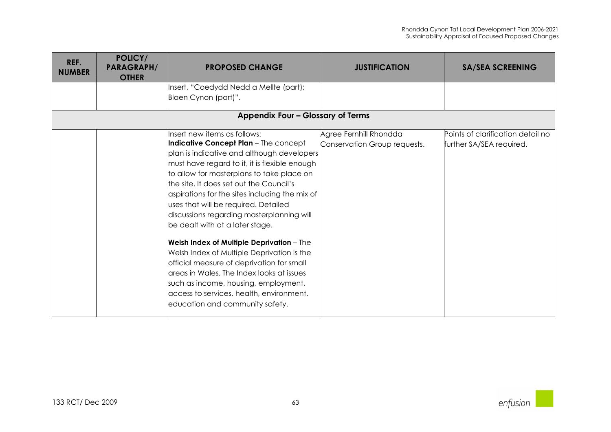| REF.<br><b>NUMBER</b> | POLICY/<br><b>PARAGRAPH/</b><br><b>OTHER</b> | <b>PROPOSED CHANGE</b>                                                                                                                                                                                                                                                                                                                                                                                                                                                                                                                                                                                                                                                                                                                                           | <b>JUSTIFICATION</b>                                   | <b>SA/SEA SCREENING</b>                                       |
|-----------------------|----------------------------------------------|------------------------------------------------------------------------------------------------------------------------------------------------------------------------------------------------------------------------------------------------------------------------------------------------------------------------------------------------------------------------------------------------------------------------------------------------------------------------------------------------------------------------------------------------------------------------------------------------------------------------------------------------------------------------------------------------------------------------------------------------------------------|--------------------------------------------------------|---------------------------------------------------------------|
|                       |                                              | Insert, "Coedydd Nedd a Mellte (part);<br>Blaen Cynon (part)".                                                                                                                                                                                                                                                                                                                                                                                                                                                                                                                                                                                                                                                                                                   |                                                        |                                                               |
|                       |                                              | Appendix Four - Glossary of Terms                                                                                                                                                                                                                                                                                                                                                                                                                                                                                                                                                                                                                                                                                                                                |                                                        |                                                               |
|                       |                                              | Insert new items as follows:<br><b>Indicative Concept Plan</b> - The concept<br>plan is indicative and although developers<br>must have regard to it, it is flexible enough<br>to allow for masterplans to take place on<br>the site. It does set out the Council's<br>aspirations for the sites including the mix of<br>uses that will be required. Detailed<br>discussions regarding masterplanning will<br>be dealt with at a later stage.<br><b>Welsh Index of Multiple Deprivation</b> - The<br>Welsh Index of Multiple Deprivation is the<br>official measure of deprivation for small<br>areas in Wales. The Index looks at issues<br>such as income, housing, employment,<br>access to services, health, environment,<br>education and community safety. | Agree Fernhill Rhondda<br>Conservation Group requests. | Points of clarification detail no<br>further SA/SEA required. |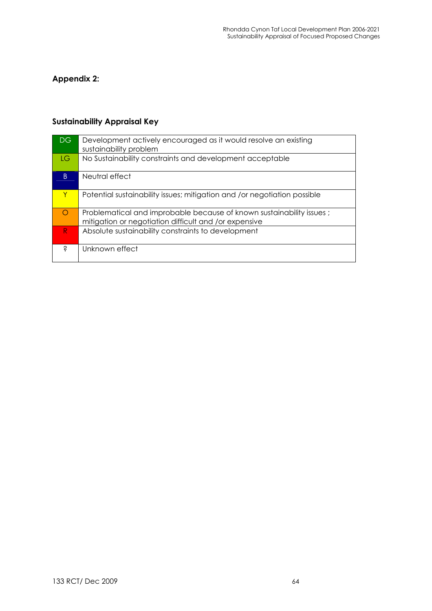## Appendix 2:

## Sustainability Appraisal Key

| DG           | Development actively encouraged as it would resolve an existing<br>sustainability problem                                      |
|--------------|--------------------------------------------------------------------------------------------------------------------------------|
| LG.          | No Sustainability constraints and development acceptable                                                                       |
| <sub>B</sub> | Neutral effect                                                                                                                 |
| Y            | Potential sustainability issues; mitigation and /or negotiation possible                                                       |
| $\bigcirc$   | Problematical and improbable because of known sustainability issues ;<br>mitigation or negotiation difficult and /or expensive |
| $\mathsf{R}$ | Absolute sustainability constraints to development                                                                             |
| Ś            | Unknown effect                                                                                                                 |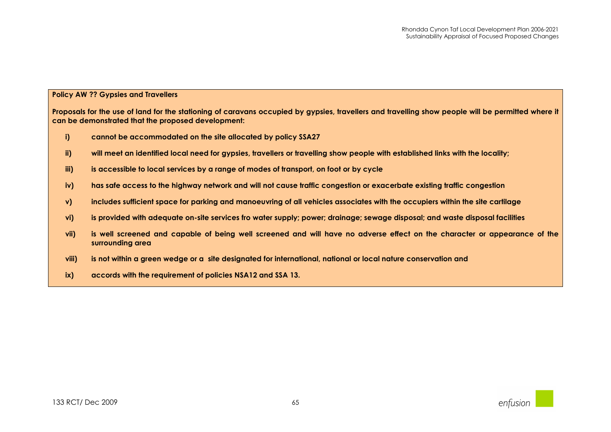## Policy AW ?? Gypsies and Travellers

Proposals for the use of land for the stationing of caravans occupied by gypsies, travellers and travelling show people will be permitted where it can be demonstrated that the proposed development:

- i)cannot be accommodated on the site allocated by policy SSA27
- ii)will meet an identified local need for gypsies, travellers or travelling show people with established links with the locality;
- iii)is accessible to local services by a range of modes of transport, on foot or by cycle
- iv)has safe access to the highway network and will not cause traffic congestion or exacerbate existing traffic congestion
- v)includes sufficient space for parking and manoeuvring of all vehicles associates with the occupiers within the site cartilage
- vi)is provided with adequate on-site services fro water supply; power; drainage; sewage disposal; and waste disposal facilities
- vii) is well screened and capable of being well screened and will have no adverse effect on the character or appearance of the surrounding area
- viii)is not within a green wedge or a site designated for international, national or local nature conservation and
- ix)accords with the requirement of policies NSA12 and SSA 13.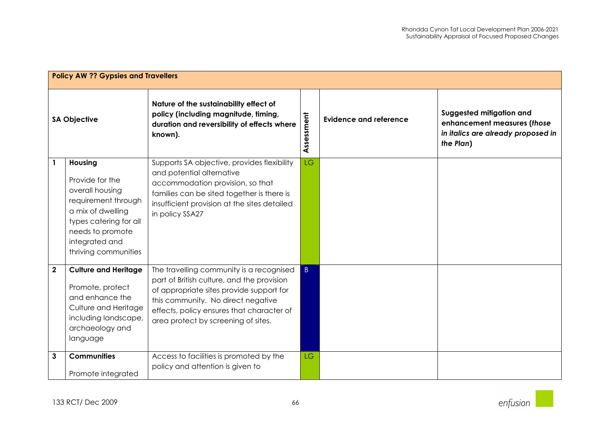|                     | <b>Policy AW ?? Gypsies and Travellers</b>                                                                                                                                        |                                                                                                                                                                                                                                                              |            |                               |                                                                                                            |
|---------------------|-----------------------------------------------------------------------------------------------------------------------------------------------------------------------------------|--------------------------------------------------------------------------------------------------------------------------------------------------------------------------------------------------------------------------------------------------------------|------------|-------------------------------|------------------------------------------------------------------------------------------------------------|
| <b>SA Objective</b> |                                                                                                                                                                                   | Nature of the sustainability effect of<br>policy (including magnitude, timing,<br>duration and reversibility of effects where<br>known).                                                                                                                     | Assessment | <b>Evidence and reference</b> | Suggested mitigation and<br>enhancement measures (those<br>in italics are already proposed in<br>the Plan) |
|                     | Housing<br>Provide for the<br>overall housing<br>requirement through<br>a mix of dwelling<br>types catering for all<br>needs to promote<br>integrated and<br>thriving communities | Supports SA objective, provides flexibility<br>and potential alternative<br>accommodation provision, so that<br>families can be sited together is there is<br>insufficient provision at the sites detailed<br>in policy SSA27                                | LG         |                               |                                                                                                            |
| $\mathbf 2$         | <b>Culture and Heritage</b><br>Promote, protect<br>and enhance the<br>Culture and Heritage<br>including landscape,<br>archaeology and<br>language                                 | The travelling community is a recognised<br>part of British culture, and the provision<br>of appropriate sites provide support for<br>this community. No direct negative<br>effects, policy ensures that character of<br>area protect by screening of sites. | $\vert$ B  |                               |                                                                                                            |
| 3                   | <b>Communities</b><br>Promote integrated                                                                                                                                          | Access to facilities is promoted by the<br>policy and attention is given to                                                                                                                                                                                  | <b>LG</b>  |                               |                                                                                                            |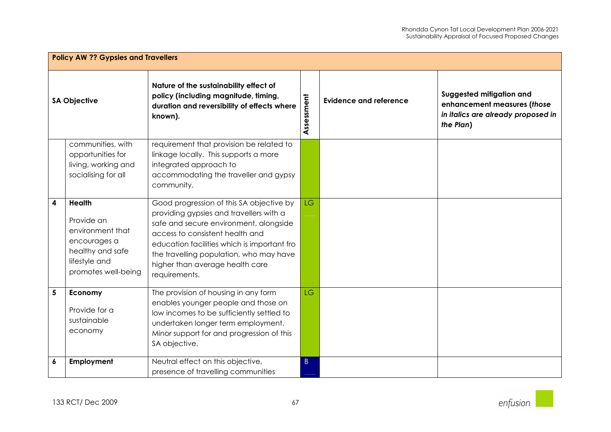|                     | <b>Policy AW ?? Gypsies and Travellers</b>                                                                                  |                                                                                                                                                                                                                                                                                                                |             |                               |                                                                                                            |
|---------------------|-----------------------------------------------------------------------------------------------------------------------------|----------------------------------------------------------------------------------------------------------------------------------------------------------------------------------------------------------------------------------------------------------------------------------------------------------------|-------------|-------------------------------|------------------------------------------------------------------------------------------------------------|
| <b>SA Objective</b> |                                                                                                                             | Nature of the sustainability effect of<br>policy (including magnitude, timing,<br>duration and reversibility of effects where<br>known).                                                                                                                                                                       | Assessment  | <b>Evidence and reference</b> | Suggested mitigation and<br>enhancement measures (those<br>in italics are already proposed in<br>the Plan) |
|                     | communities, with<br>opportunities for<br>living, working and<br>socialising for all                                        | requirement that provision be related to<br>linkage locally. This supports a more<br>integrated approach to<br>accommodating the traveller and gypsy<br>community.                                                                                                                                             |             |                               |                                                                                                            |
| 4                   | <b>Health</b><br>Provide an<br>environment that<br>encourages a<br>healthy and safe<br>lifestyle and<br>promotes well-being | Good progression of this SA objective by<br>providing gypsies and travellers with a<br>safe and secure environment, alongside<br>access to consistent health and<br>education facilities which is important fro<br>the travelling population, who may have<br>higher than average health care<br>requirements. | <b>LG</b>   |                               |                                                                                                            |
| 5                   | Economy<br>Provide for a<br>sustainable<br>economy                                                                          | The provision of housing in any form<br>enables younger people and those on<br>low incomes to be sufficiently settled to<br>undertaken longer term employment.<br>Minor support for and progression of this<br>SA objective.                                                                                   | <b>LG</b>   |                               |                                                                                                            |
| 6                   | Employment                                                                                                                  | Neutral effect on this objective,<br>presence of travelling communities                                                                                                                                                                                                                                        | $\mathsf B$ |                               |                                                                                                            |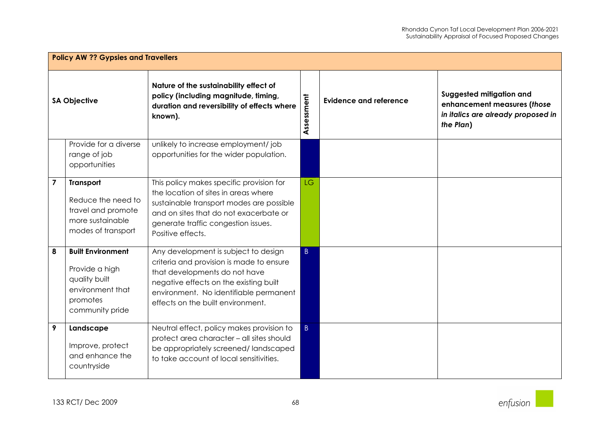|                         | <b>Policy AW ?? Gypsies and Travellers</b>                                                                     |                                                                                                                                                                                                                                            |                |                               |                                                                                                            |  |  |
|-------------------------|----------------------------------------------------------------------------------------------------------------|--------------------------------------------------------------------------------------------------------------------------------------------------------------------------------------------------------------------------------------------|----------------|-------------------------------|------------------------------------------------------------------------------------------------------------|--|--|
| <b>SA Objective</b>     |                                                                                                                | Nature of the sustainability effect of<br>policy (including magnitude, timing,<br>duration and reversibility of effects where<br>known).                                                                                                   | Assessment     | <b>Evidence and reference</b> | Suggested mitigation and<br>enhancement measures (those<br>in italics are already proposed in<br>the Plan) |  |  |
|                         | Provide for a diverse<br>range of job<br>opportunities                                                         | unlikely to increase employment/job<br>opportunities for the wider population.                                                                                                                                                             |                |                               |                                                                                                            |  |  |
| $\overline{\mathbf{z}}$ | Transport<br>Reduce the need to<br>travel and promote<br>more sustainable<br>modes of transport                | This policy makes specific provision for<br>the location of sites in areas where<br>sustainable transport modes are possible<br>and on sites that do not exacerbate or<br>generate traffic congestion issues.<br>Positive effects.         | <b>LG</b>      |                               |                                                                                                            |  |  |
| 8                       | <b>Built Environment</b><br>Provide a high<br>quality built<br>environment that<br>promotes<br>community pride | Any development is subject to design<br>criteria and provision is made to ensure<br>that developments do not have<br>negative effects on the existing built<br>environment. No identifiable permanent<br>effects on the built environment. | B              |                               |                                                                                                            |  |  |
| 9                       | Landscape<br>Improve, protect<br>and enhance the<br>countryside                                                | Neutral effect, policy makes provision to<br>protect area character - all sites should<br>be appropriately screened/landscaped<br>to take account of local sensitivities.                                                                  | $\overline{B}$ |                               |                                                                                                            |  |  |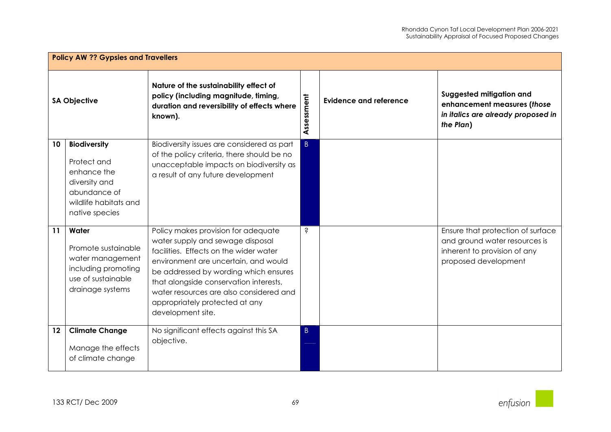| <b>Policy AW ?? Gypsies and Travellers</b> |                                                                                                                               |                                                                                                                                                                                                                                                                                                                                                |                |                               |                                                                                                                            |
|--------------------------------------------|-------------------------------------------------------------------------------------------------------------------------------|------------------------------------------------------------------------------------------------------------------------------------------------------------------------------------------------------------------------------------------------------------------------------------------------------------------------------------------------|----------------|-------------------------------|----------------------------------------------------------------------------------------------------------------------------|
| <b>SA Objective</b>                        |                                                                                                                               | Nature of the sustainability effect of<br>policy (including magnitude, timing,<br>duration and reversibility of effects where<br>known).                                                                                                                                                                                                       | Assessment     | <b>Evidence and reference</b> | Suggested mitigation and<br>enhancement measures (those<br>in italics are already proposed in<br>the Plan)                 |
| 10                                         | <b>Biodiversity</b><br>Protect and<br>enhance the<br>diversity and<br>abundance of<br>wildlife habitats and<br>native species | Biodiversity issues are considered as part<br>of the policy criteria, there should be no<br>unacceptable impacts on biodiversity as<br>a result of any future development                                                                                                                                                                      | $\overline{B}$ |                               |                                                                                                                            |
| 11                                         | Water<br>Promote sustainable<br>water management<br>including promoting<br>use of sustainable<br>drainage systems             | Policy makes provision for adequate<br>water supply and sewage disposal<br>facilities. Effects on the wider water<br>environment are uncertain, and would<br>be addressed by wording which ensures<br>that alongside conservation interests,<br>water resources are also considered and<br>appropriately protected at any<br>development site. | Ś              |                               | Ensure that protection of surface<br>and ground water resources is<br>inherent to provision of any<br>proposed development |
| 12                                         | <b>Climate Change</b><br>Manage the effects<br>of climate change                                                              | No significant effects against this SA<br>objective.                                                                                                                                                                                                                                                                                           | B.             |                               |                                                                                                                            |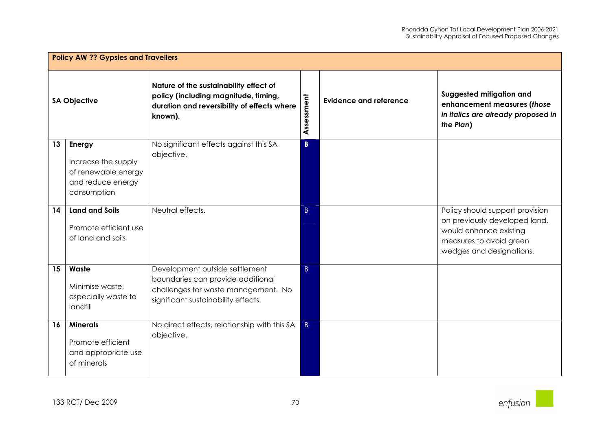|                     | <b>Policy AW ?? Gypsies and Travellers</b>                                               |                                                                                                                                                   |                |                               |                                                                                                                                                   |  |  |
|---------------------|------------------------------------------------------------------------------------------|---------------------------------------------------------------------------------------------------------------------------------------------------|----------------|-------------------------------|---------------------------------------------------------------------------------------------------------------------------------------------------|--|--|
| <b>SA Objective</b> |                                                                                          | Nature of the sustainability effect of<br>policy (including magnitude, timing,<br>duration and reversibility of effects where<br>known).          | Assessment     | <b>Evidence and reference</b> | Suggested mitigation and<br>enhancement measures (those<br>in italics are already proposed in<br>the Plan)                                        |  |  |
| 13                  | Energy<br>Increase the supply<br>of renewable energy<br>and reduce energy<br>consumption | No significant effects against this SA<br>objective.                                                                                              | B              |                               |                                                                                                                                                   |  |  |
| 14                  | <b>Land and Soils</b><br>Promote efficient use<br>of land and soils                      | Neutral effects.                                                                                                                                  | $\overline{B}$ |                               | Policy should support provision<br>on previously developed land,<br>would enhance existing<br>measures to avoid green<br>wedges and designations. |  |  |
| 15                  | Waste<br>Minimise waste,<br>especially waste to<br>landfill                              | Development outside settlement<br>boundaries can provide additional<br>challenges for waste management. No<br>significant sustainability effects. | B              |                               |                                                                                                                                                   |  |  |
| 16                  | <b>Minerals</b><br>Promote efficient<br>and appropriate use<br>of minerals               | No direct effects, relationship with this SA<br>objective.                                                                                        | B              |                               |                                                                                                                                                   |  |  |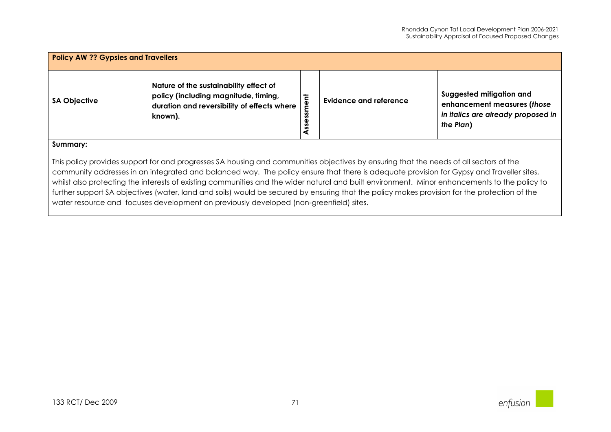| <b>Policy AW ?? Gypsies and Travellers</b> |                                                                                                                                          |                                    |                        |                                                                                                            |  |  |
|--------------------------------------------|------------------------------------------------------------------------------------------------------------------------------------------|------------------------------------|------------------------|------------------------------------------------------------------------------------------------------------|--|--|
| <b>SA Objective</b>                        | Nature of the sustainability effect of<br>policy (including magnitude, timing,<br>duration and reversibility of effects where<br>known). | ent<br>SS <sub>0</sub><br>sse<br>◀ | Evidence and reference | Suggested mitigation and<br>enhancement measures (those<br>in italics are already proposed in<br>the Plan) |  |  |
| Summary:                                   |                                                                                                                                          |                                    |                        |                                                                                                            |  |  |

This policy provides support for and progresses SA housing and communities objectives by ensuring that the needs of all sectors of the community addresses in an integrated and balanced way. The policy ensure that there is adequate provision for Gypsy and Traveller sites, whilst also protecting the interests of existing communities and the wider natural and built environment. Minor enhancements to the policy to further support SA objectives (water, land and soils) would be secured by ensuring that the policy makes provision for the protection of the water resource and focuses development on previously developed (non-greenfield) sites.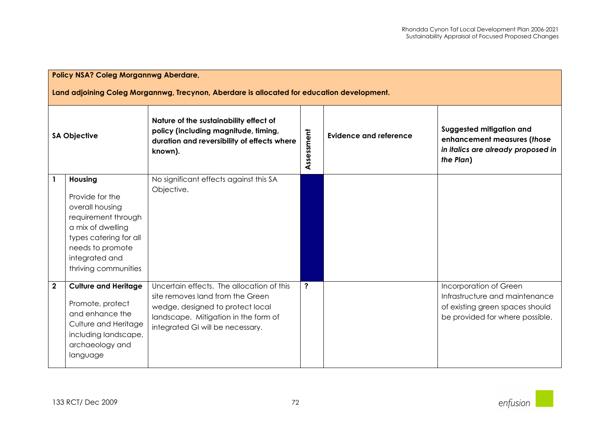| <b>Policy NSA? Coleg Morgannwg Aberdare,</b><br>Land adjoining Coleg Morgannwg, Trecynon, Aberdare is allocated for education development. |                                                                                                                                                                                   |                                                                                                                                                                                               |            |                               |                                                                                                                                |  |
|--------------------------------------------------------------------------------------------------------------------------------------------|-----------------------------------------------------------------------------------------------------------------------------------------------------------------------------------|-----------------------------------------------------------------------------------------------------------------------------------------------------------------------------------------------|------------|-------------------------------|--------------------------------------------------------------------------------------------------------------------------------|--|
| <b>SA Objective</b>                                                                                                                        |                                                                                                                                                                                   | Nature of the sustainability effect of<br>policy (including magnitude, timing,<br>duration and reversibility of effects where<br>known).                                                      | Assessment | <b>Evidence and reference</b> | Suggested mitigation and<br>enhancement measures (those<br>in italics are already proposed in<br>the Plan)                     |  |
| $\mathbf{1}$                                                                                                                               | Housing<br>Provide for the<br>overall housing<br>requirement through<br>a mix of dwelling<br>types catering for all<br>needs to promote<br>integrated and<br>thriving communities | No significant effects against this SA<br>Objective.                                                                                                                                          |            |                               |                                                                                                                                |  |
| $\overline{\mathbf{2}}$                                                                                                                    | <b>Culture and Heritage</b><br>Promote, protect<br>and enhance the<br>Culture and Heritage<br>including landscape,<br>archaeology and<br>language                                 | Uncertain effects. The allocation of this<br>site removes land from the Green<br>wedge, designed to protect local<br>landscape. Mitigation in the form of<br>integrated GI will be necessary. | ?          |                               | Incorporation of Green<br>Infrastructure and maintenance<br>of existing green spaces should<br>be provided for where possible. |  |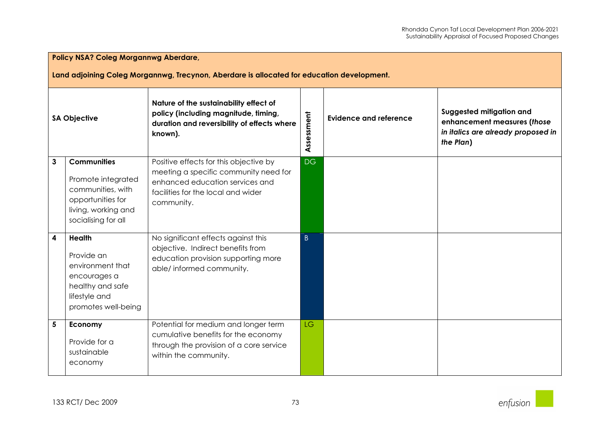|                         | <b>Policy NSA? Coleg Morgannwg Aberdare,</b><br>Land adjoining Coleg Morgannwg, Trecynon, Aberdare is allocated for education development. |                                                                                                                                                                        |                |                               |                                                                                                            |  |  |
|-------------------------|--------------------------------------------------------------------------------------------------------------------------------------------|------------------------------------------------------------------------------------------------------------------------------------------------------------------------|----------------|-------------------------------|------------------------------------------------------------------------------------------------------------|--|--|
| <b>SA Objective</b>     |                                                                                                                                            | Nature of the sustainability effect of<br>policy (including magnitude, timing,<br>duration and reversibility of effects where<br>known).                               | Assessment     | <b>Evidence and reference</b> | Suggested mitigation and<br>enhancement measures (those<br>in italics are already proposed in<br>the Plan) |  |  |
| 3                       | <b>Communities</b><br>Promote integrated<br>communities, with<br>opportunities for<br>living, working and<br>socialising for all           | Positive effects for this objective by<br>meeting a specific community need for<br>enhanced education services and<br>facilities for the local and wider<br>community. | DG             |                               |                                                                                                            |  |  |
| $\overline{\mathbf{4}}$ | <b>Health</b><br>Provide an<br>environment that<br>encourages a<br>healthy and safe<br>lifestyle and<br>promotes well-being                | No significant effects against this<br>objective. Indirect benefits from<br>education provision supporting more<br>able/ informed community.                           | $\overline{B}$ |                               |                                                                                                            |  |  |
| 5                       | Economy<br>Provide for a<br>sustainable<br>economy                                                                                         | Potential for medium and longer term<br>cumulative benefits for the economy<br>through the provision of a core service<br>within the community.                        | LG.            |                               |                                                                                                            |  |  |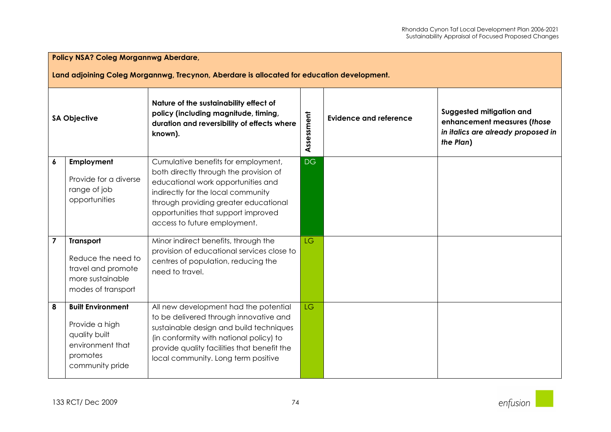|                     | <b>Policy NSA? Coleg Morgannwg Aberdare,</b><br>Land adjoining Coleg Morgannwg, Trecynon, Aberdare is allocated for education development. |                                                                                                                                                                                                                                                                           |            |                               |                                                                                                            |  |  |
|---------------------|--------------------------------------------------------------------------------------------------------------------------------------------|---------------------------------------------------------------------------------------------------------------------------------------------------------------------------------------------------------------------------------------------------------------------------|------------|-------------------------------|------------------------------------------------------------------------------------------------------------|--|--|
| <b>SA Objective</b> |                                                                                                                                            | Nature of the sustainability effect of<br>policy (including magnitude, timing,<br>duration and reversibility of effects where<br>known).                                                                                                                                  | Assessment | <b>Evidence and reference</b> | Suggested mitigation and<br>enhancement measures (those<br>in italics are already proposed in<br>the Plan) |  |  |
| 6                   | Employment<br>Provide for a diverse<br>range of job<br>opportunities                                                                       | Cumulative benefits for employment,<br>both directly through the provision of<br>educational work opportunities and<br>indirectly for the local community<br>through providing greater educational<br>opportunities that support improved<br>access to future employment. | <b>DG</b>  |                               |                                                                                                            |  |  |
| $\overline{7}$      | <b>Transport</b><br>Reduce the need to<br>travel and promote<br>more sustainable<br>modes of transport                                     | Minor indirect benefits, through the<br>provision of educational services close to<br>centres of population, reducing the<br>need to travel.                                                                                                                              | <b>LG</b>  |                               |                                                                                                            |  |  |
| 8                   | <b>Built Environment</b><br>Provide a high<br>quality built<br>environment that<br>promotes<br>community pride                             | All new development had the potential<br>to be delivered through innovative and<br>sustainable design and build techniques<br>(in conformity with national policy) to<br>provide quality facilities that benefit the<br>local community. Long term positive               | <b>LG</b>  |                               |                                                                                                            |  |  |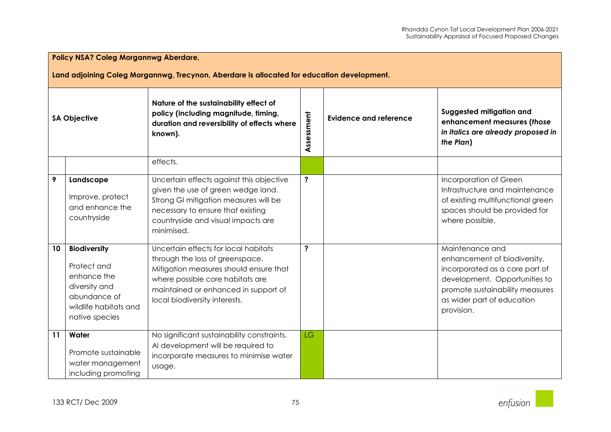| <b>Policy NSA? Coleg Morgannwg Aberdare,</b><br>Land adjoining Coleg Morgannwg, Trecynon, Aberdare is allocated for education development. |                                                                                                                               |                                                                                                                                                                                                                                |                         |                               |                                                                                                                                                                                                   |  |  |
|--------------------------------------------------------------------------------------------------------------------------------------------|-------------------------------------------------------------------------------------------------------------------------------|--------------------------------------------------------------------------------------------------------------------------------------------------------------------------------------------------------------------------------|-------------------------|-------------------------------|---------------------------------------------------------------------------------------------------------------------------------------------------------------------------------------------------|--|--|
| <b>SA Objective</b>                                                                                                                        |                                                                                                                               | Nature of the sustainability effect of<br>policy (including magnitude, timing,<br>duration and reversibility of effects where<br>known).                                                                                       | Assessment              | <b>Evidence and reference</b> | Suggested mitigation and<br>enhancement measures (those<br>in italics are already proposed in<br>the Plan)                                                                                        |  |  |
|                                                                                                                                            |                                                                                                                               | effects.                                                                                                                                                                                                                       |                         |                               |                                                                                                                                                                                                   |  |  |
| 9                                                                                                                                          | Landscape<br>Improve, protect<br>and enhance the<br>countryside                                                               | Uncertain effects against this objective<br>given the use of green wedge land.<br>Strong GI mitigation measures will be<br>necessary to ensure that existing<br>countryside and visual impacts are<br>minimised.               | $\ddot{\phantom{0}}$    |                               | Incorporation of Green<br>Infrastructure and maintenance<br>of existing multifunctional green<br>spaces should be provided for<br>where possible.                                                 |  |  |
| 10                                                                                                                                         | <b>Biodiversity</b><br>Protect and<br>enhance the<br>diversity and<br>abundance of<br>wildlife habitats and<br>native species | Uncertain effects for local habitats<br>through the loss of greenspace.<br>Mitigation measures should ensure that<br>where possible core habitats are<br>maintained or enhanced in support of<br>local biodiversity interests. | $\overline{\mathbf{?}}$ |                               | Maintenance and<br>enhancement of biodiversity,<br>incorporated as a core part of<br>development. Opportunities to<br>promote sustainability measures<br>as wider part of education<br>provision. |  |  |
| 11                                                                                                                                         | Water<br>Promote sustainable<br>water management<br>including promoting                                                       | No significant sustainability constraints.<br>Al development will be required to<br>incorporate measures to minimise water<br>usage.                                                                                           | <b>LG</b>               |                               |                                                                                                                                                                                                   |  |  |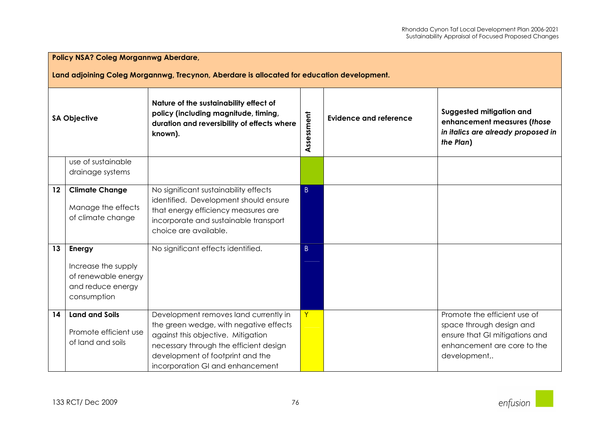|                     | <b>Policy NSA? Coleg Morgannwg Aberdare,</b>                                               |                                                                                                                                                                                                                                         |                |                               |                                                                                                                                            |  |  |  |
|---------------------|--------------------------------------------------------------------------------------------|-----------------------------------------------------------------------------------------------------------------------------------------------------------------------------------------------------------------------------------------|----------------|-------------------------------|--------------------------------------------------------------------------------------------------------------------------------------------|--|--|--|
|                     | Land adjoining Coleg Morgannwg, Trecynon, Aberdare is allocated for education development. |                                                                                                                                                                                                                                         |                |                               |                                                                                                                                            |  |  |  |
| <b>SA Objective</b> |                                                                                            | Nature of the sustainability effect of<br>policy (including magnitude, timing,<br>duration and reversibility of effects where<br>known).                                                                                                | Assessment     | <b>Evidence and reference</b> | Suggested mitigation and<br>enhancement measures (those<br>in italics are already proposed in<br>the Plan)                                 |  |  |  |
|                     | use of sustainable<br>drainage systems                                                     |                                                                                                                                                                                                                                         |                |                               |                                                                                                                                            |  |  |  |
| 12                  | <b>Climate Change</b><br>Manage the effects<br>of climate change                           | No significant sustainability effects<br>identified. Development should ensure<br>that energy efficiency measures are<br>incorporate and sustainable transport<br>choice are available.                                                 | $\vert$ B      |                               |                                                                                                                                            |  |  |  |
| 13                  | Energy<br>Increase the supply<br>of renewable energy<br>and reduce energy<br>consumption   | No significant effects identified.                                                                                                                                                                                                      | $\overline{B}$ |                               |                                                                                                                                            |  |  |  |
| 14                  | <b>Land and Soils</b><br>Promote efficient use<br>of land and soils                        | Development removes land currently in<br>the green wedge, with negative effects<br>against this objective. Mitigation<br>necessary through the efficient design<br>development of footprint and the<br>incorporation GI and enhancement | Y              |                               | Promote the efficient use of<br>space through design and<br>ensure that GI mitigations and<br>enhancement are core to the<br>development,. |  |  |  |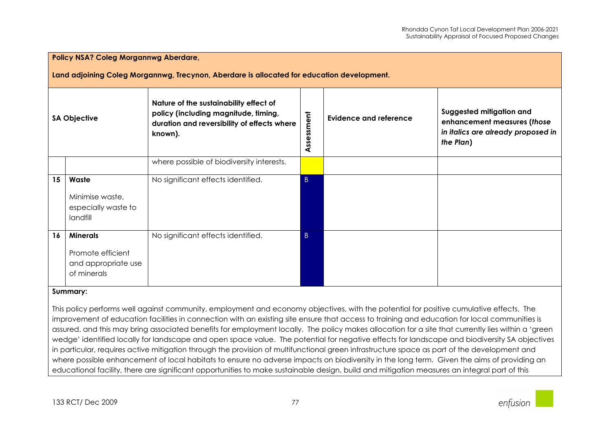|                     | <b>Policy NSA? Coleg Morgannwg Aberdare,</b>                                               |                                                                                                                                          |              |                               |                                                                                                            |  |  |  |
|---------------------|--------------------------------------------------------------------------------------------|------------------------------------------------------------------------------------------------------------------------------------------|--------------|-------------------------------|------------------------------------------------------------------------------------------------------------|--|--|--|
|                     | Land adjoining Coleg Morgannwg, Trecynon, Aberdare is allocated for education development. |                                                                                                                                          |              |                               |                                                                                                            |  |  |  |
| <b>SA Objective</b> |                                                                                            | Nature of the sustainability effect of<br>policy (including magnitude, timing,<br>duration and reversibility of effects where<br>known). | Assessment   | <b>Evidence and reference</b> | Suggested mitigation and<br>enhancement measures (those<br>in italics are already proposed in<br>the Plan) |  |  |  |
|                     |                                                                                            | where possible of biodiversity interests.                                                                                                |              |                               |                                                                                                            |  |  |  |
| 15                  | Waste<br>Minimise waste,<br>especially waste to<br>landfill                                | No significant effects identified.                                                                                                       | B            |                               |                                                                                                            |  |  |  |
| 16                  | <b>Minerals</b><br>Promote efficient<br>and appropriate use<br>of minerals<br>Summary:     | No significant effects identified.                                                                                                       | $\mathsf{B}$ |                               |                                                                                                            |  |  |  |

This policy performs well against community, employment and economy objectives, with the potential for positive cumulative effects. The improvement of education facilities in connection with an existing site ensure that access to training and education for local communities is assured, and this may bring associated benefits for employment locally. The policy makes allocation for a site that currently lies within a 'green wedge' identified locally for landscape and open space value. The potential for negative effects for landscape and biodiversity SA objectives in particular, requires active mitigation through the provision of multifunctional green infrastructure space as part of the development and where possible enhancement of local habitats to ensure no adverse impacts on biodiversity in the long term. Given the aims of providing an educational facility, there are significant opportunities to make sustainable design, build and mitigation measures an integral part of this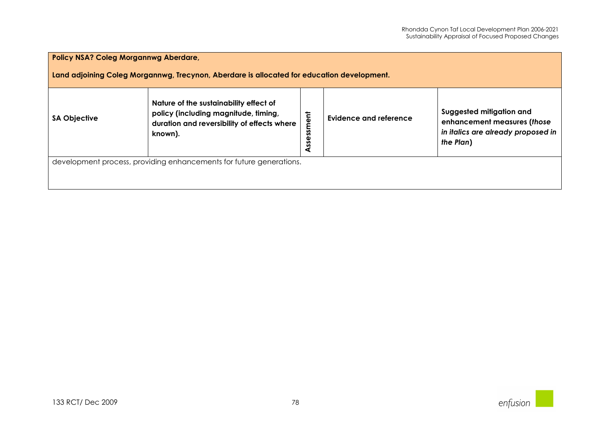| <b>Policy NSA? Coleg Morgannwg Aberdare,</b>                                               |                                                                                                                                          |                  |                        |                                                                                                            |  |  |  |
|--------------------------------------------------------------------------------------------|------------------------------------------------------------------------------------------------------------------------------------------|------------------|------------------------|------------------------------------------------------------------------------------------------------------|--|--|--|
| Land adjoining Coleg Morgannwg, Trecynon, Aberdare is allocated for education development. |                                                                                                                                          |                  |                        |                                                                                                            |  |  |  |
| <b>SA Objective</b>                                                                        | Nature of the sustainability effect of<br>policy (including magnitude, timing,<br>duration and reversibility of effects where<br>known). | iment<br>Assessi | Evidence and reference | Suggested mitigation and<br>enhancement measures (those<br>in italics are already proposed in<br>the Plan) |  |  |  |
| development process, providing enhancements for future generations.                        |                                                                                                                                          |                  |                        |                                                                                                            |  |  |  |
|                                                                                            |                                                                                                                                          |                  |                        |                                                                                                            |  |  |  |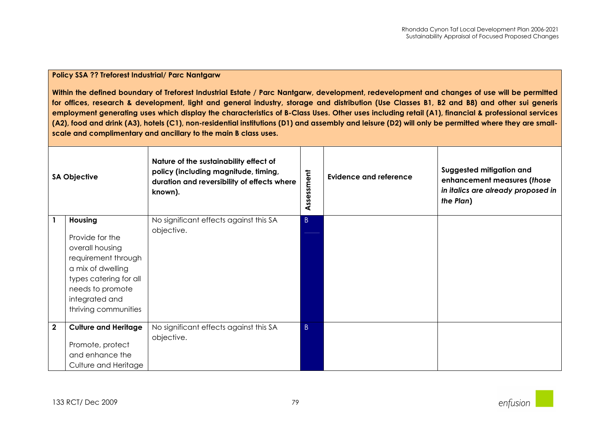| <b>SA Objective</b> |                                                                                                                                                                                          | Nature of the sustainability effect of<br>policy (including magnitude, timing,<br>duration and reversibility of effects where<br>known). | Assessment   | <b>Evidence and reference</b> | Suggested mitigation and<br>enhancement measures (those<br>in italics are already proposed in<br>the Plan) |
|---------------------|------------------------------------------------------------------------------------------------------------------------------------------------------------------------------------------|------------------------------------------------------------------------------------------------------------------------------------------|--------------|-------------------------------|------------------------------------------------------------------------------------------------------------|
|                     | <b>Housing</b><br>Provide for the<br>overall housing<br>requirement through<br>a mix of dwelling<br>types catering for all<br>needs to promote<br>integrated and<br>thriving communities | No significant effects against this SA<br>objective.                                                                                     | $\mathsf{B}$ |                               |                                                                                                            |
| $\mathbf{2}$        | <b>Culture and Heritage</b><br>Promote, protect<br>and enhance the<br>Culture and Heritage                                                                                               | No significant effects against this SA<br>objective.                                                                                     | $\mathsf{B}$ |                               |                                                                                                            |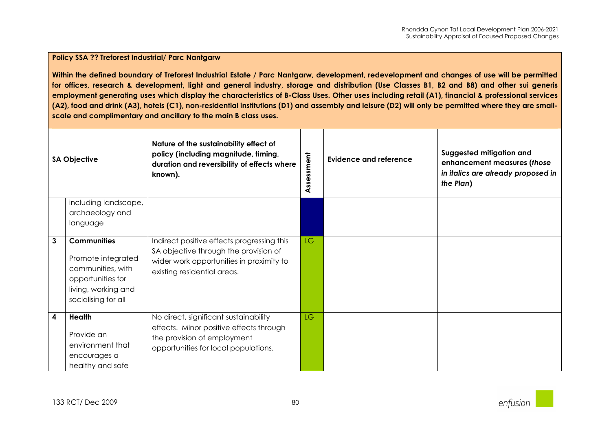|   | <b>SA Objective</b>                                                                                                              | Nature of the sustainability effect of<br>policy (including magnitude, timing,<br>duration and reversibility of effects where<br>known).                       | ssessment<br>⋖ | <b>Evidence and reference</b> | Suggested mitigation and<br>enhancement measures (those<br>in italics are already proposed in<br>the Plan) |
|---|----------------------------------------------------------------------------------------------------------------------------------|----------------------------------------------------------------------------------------------------------------------------------------------------------------|----------------|-------------------------------|------------------------------------------------------------------------------------------------------------|
|   | including landscape,                                                                                                             |                                                                                                                                                                |                |                               |                                                                                                            |
|   | archaeology and<br>language                                                                                                      |                                                                                                                                                                |                |                               |                                                                                                            |
| 3 | <b>Communities</b><br>Promote integrated<br>communities, with<br>opportunities for<br>living, working and<br>socialising for all | Indirect positive effects progressing this<br>SA objective through the provision of<br>wider work opportunities in proximity to<br>existing residential areas. | LG.            |                               |                                                                                                            |
| 4 | Health<br>Provide an<br>environment that<br>encourages a<br>healthy and safe                                                     | No direct, significant sustainability<br>effects. Minor positive effects through<br>the provision of employment<br>opportunities for local populations.        | LG.            |                               |                                                                                                            |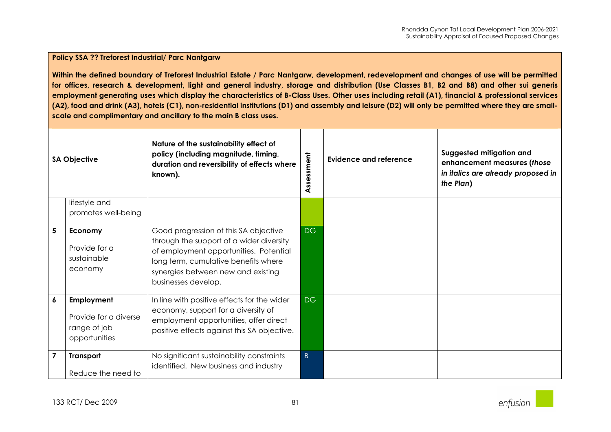| <b>SA Objective</b> |                                                                      | Nature of the sustainability effect of<br>policy (including magnitude, timing,<br>duration and reversibility of effects where<br>known).                                                                                         | Assessment | <b>Evidence and reference</b> | Suggested mitigation and<br>enhancement measures (those<br>in italics are already proposed in<br>the Plan) |
|---------------------|----------------------------------------------------------------------|----------------------------------------------------------------------------------------------------------------------------------------------------------------------------------------------------------------------------------|------------|-------------------------------|------------------------------------------------------------------------------------------------------------|
|                     | lifestyle and<br>promotes well-being                                 |                                                                                                                                                                                                                                  |            |                               |                                                                                                            |
| 5                   | Economy<br>Provide for a<br>sustainable<br>economy                   | Good progression of this SA objective<br>through the support of a wider diversity<br>of employment opportunities. Potential<br>long term, cumulative benefits where<br>synergies between new and existing<br>businesses develop. | DG         |                               |                                                                                                            |
| 6                   | Employment<br>Provide for a diverse<br>range of job<br>opportunities | In line with positive effects for the wider<br>economy, support for a diversity of<br>employment opportunities, offer direct<br>positive effects against this SA objective.                                                      | DG         |                               |                                                                                                            |
| $\overline{7}$      | <b>Transport</b><br>Reduce the need to                               | No significant sustainability constraints<br>identified. New business and industry                                                                                                                                               | $\vert$ B  |                               |                                                                                                            |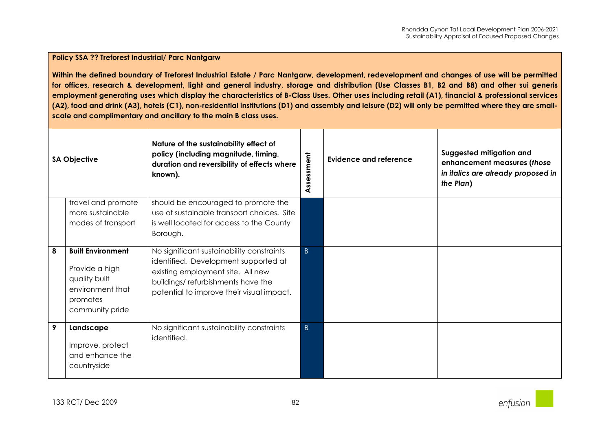| <b>SA Objective</b> |                                                                                                                | Nature of the sustainability effect of<br>policy (including magnitude, timing,<br>duration and reversibility of effects where<br>known).                                                                 | Assessment     | <b>Evidence and reference</b> | Suggested mitigation and<br>enhancement measures (those<br>in italics are already proposed in<br>the Plan) |
|---------------------|----------------------------------------------------------------------------------------------------------------|----------------------------------------------------------------------------------------------------------------------------------------------------------------------------------------------------------|----------------|-------------------------------|------------------------------------------------------------------------------------------------------------|
|                     | travel and promote<br>more sustainable<br>modes of transport                                                   | should be encouraged to promote the<br>use of sustainable transport choices. Site<br>is well located for access to the County<br>Borough.                                                                |                |                               |                                                                                                            |
| 8                   | <b>Built Environment</b><br>Provide a high<br>quality built<br>environment that<br>promotes<br>community pride | No significant sustainability constraints<br>identified. Development supported at<br>existing employment site. All new<br>buildings/refurbishments have the<br>potential to improve their visual impact. | $\overline{B}$ |                               |                                                                                                            |
| 9                   | Landscape<br>Improve, protect<br>and enhance the<br>countryside                                                | No significant sustainability constraints<br>identified.                                                                                                                                                 | $\overline{B}$ |                               |                                                                                                            |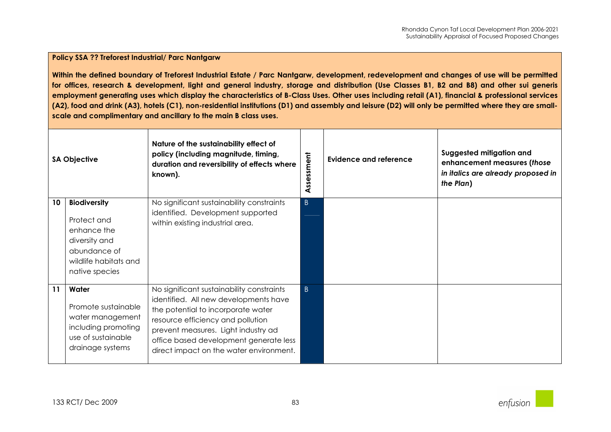| <b>SA Objective</b> |                                                                                                                               | Nature of the sustainability effect of<br>policy (including magnitude, timing,<br>duration and reversibility of effects where<br>known).                                                                                                                                                  | Assessment     | <b>Evidence and reference</b> | Suggested mitigation and<br>enhancement measures (those<br>in italics are already proposed in<br>the Plan) |
|---------------------|-------------------------------------------------------------------------------------------------------------------------------|-------------------------------------------------------------------------------------------------------------------------------------------------------------------------------------------------------------------------------------------------------------------------------------------|----------------|-------------------------------|------------------------------------------------------------------------------------------------------------|
| 10                  | <b>Biodiversity</b><br>Protect and<br>enhance the<br>diversity and<br>abundance of<br>wildlife habitats and<br>native species | No significant sustainability constraints<br>identified. Development supported<br>within existing industrial area.                                                                                                                                                                        | $\overline{B}$ |                               |                                                                                                            |
| 11                  | Water<br>Promote sustainable<br>water management<br>including promoting<br>use of sustainable<br>drainage systems             | No significant sustainability constraints<br>identified. All new developments have<br>the potential to incorporate water<br>resource efficiency and pollution<br>prevent measures. Light industry ad<br>office based development generate less<br>direct impact on the water environment. | $\mathsf{B}$   |                               |                                                                                                            |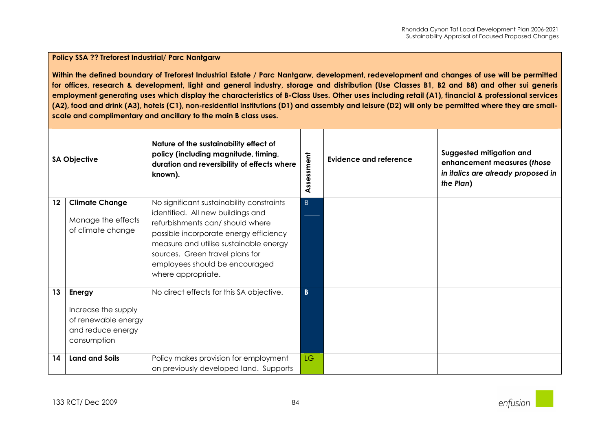| <b>SA Objective</b> |                                                                                                 | Nature of the sustainability effect of<br>policy (including magnitude, timing,<br>duration and reversibility of effects where<br>known).                                                                                                                                                         | Assessment              | Evidence and reference | Suggested mitigation and<br>enhancement measures (those<br>in italics are already proposed in<br>the Plan) |
|---------------------|-------------------------------------------------------------------------------------------------|--------------------------------------------------------------------------------------------------------------------------------------------------------------------------------------------------------------------------------------------------------------------------------------------------|-------------------------|------------------------|------------------------------------------------------------------------------------------------------------|
| 12                  | <b>Climate Change</b><br>Manage the effects<br>of climate change                                | No significant sustainability constraints<br>identified. All new buildings and<br>refurbishments can/should where<br>possible incorporate energy efficiency<br>measure and utilise sustainable energy<br>sources. Green travel plans for<br>employees should be encouraged<br>where appropriate. | $\vert$ B               |                        |                                                                                                            |
| 13                  | <b>Energy</b><br>Increase the supply<br>of renewable energy<br>and reduce energy<br>consumption | No direct effects for this SA objective.                                                                                                                                                                                                                                                         | $\overline{\mathbf{B}}$ |                        |                                                                                                            |
| 14                  | <b>Land and Soils</b>                                                                           | Policy makes provision for employment<br>on previously developed land. Supports                                                                                                                                                                                                                  | <b>LG</b>               |                        |                                                                                                            |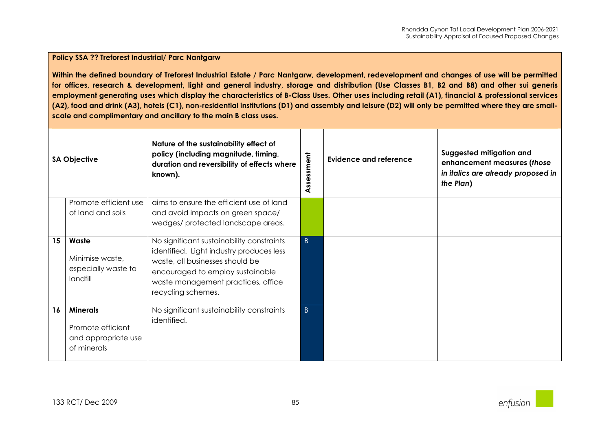| <b>SA Objective</b> |                                                                            | Nature of the sustainability effect of<br>policy (including magnitude, timing,<br>duration and reversibility of effects where<br>known).                                                                                 | ssessment<br>⋖ | <b>Evidence and reference</b> | Suggested mitigation and<br>enhancement measures (those<br>in italics are already proposed in<br>the Plan) |
|---------------------|----------------------------------------------------------------------------|--------------------------------------------------------------------------------------------------------------------------------------------------------------------------------------------------------------------------|----------------|-------------------------------|------------------------------------------------------------------------------------------------------------|
|                     | Promote efficient use                                                      | aims to ensure the efficient use of land                                                                                                                                                                                 |                |                               |                                                                                                            |
|                     | of land and soils                                                          | and avoid impacts on green space/                                                                                                                                                                                        |                |                               |                                                                                                            |
|                     |                                                                            | wedges/ protected landscape areas.                                                                                                                                                                                       |                |                               |                                                                                                            |
| 15                  | Waste<br>Minimise waste,<br>especially waste to<br>landfill                | No significant sustainability constraints<br>identified. Light industry produces less<br>waste, all businesses should be<br>encouraged to employ sustainable<br>waste management practices, office<br>recycling schemes. | $\vert$ B      |                               |                                                                                                            |
| 16                  | <b>Minerals</b><br>Promote efficient<br>and appropriate use<br>of minerals | No significant sustainability constraints<br>identified.                                                                                                                                                                 | $\vert$ B      |                               |                                                                                                            |